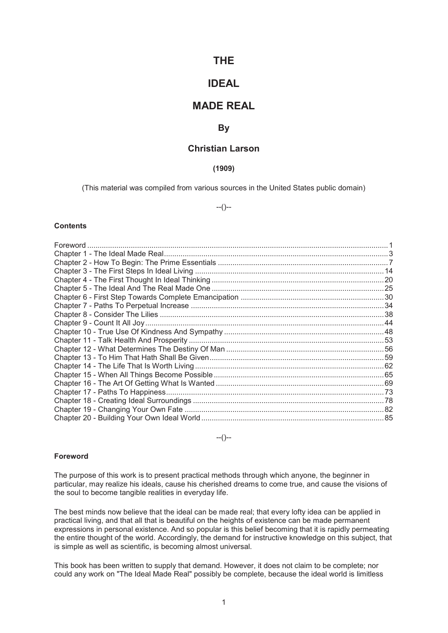# **THE**

# **IDEAL**

# **MADE REAL**

# **By**

# **Christian Larson**

# **(1909)**

(This material was compiled from various sources in the United States public domain)

--()--

### **Contents**

| Foreword |  |
|----------|--|
|          |  |
|          |  |
|          |  |
|          |  |
|          |  |
|          |  |
|          |  |
|          |  |
|          |  |
|          |  |
|          |  |
|          |  |
|          |  |
|          |  |
|          |  |
|          |  |
|          |  |
|          |  |
|          |  |
|          |  |
|          |  |

#### --()--

### **Foreword**

The purpose of this work is to present practical methods through which anyone, the beginner in particular, may realize his ideals, cause his cherished dreams to come true, and cause the visions of the soul to become tangible realities in everyday life.

The best minds now believe that the ideal can be made real; that every lofty idea can be applied in practical living, and that all that is beautiful on the heights of existence can be made permanent expressions in personal existence. And so popular is this belief becoming that it is rapidly permeating the entire thought of the world. Accordingly, the demand for instructive knowledge on this subject, that is simple as well as scientific, is becoming almost universal.

This book has been written to supply that demand. However, it does not claim to be complete; nor could any work on "The Ideal Made Real" possibly be complete, because the ideal world is limitless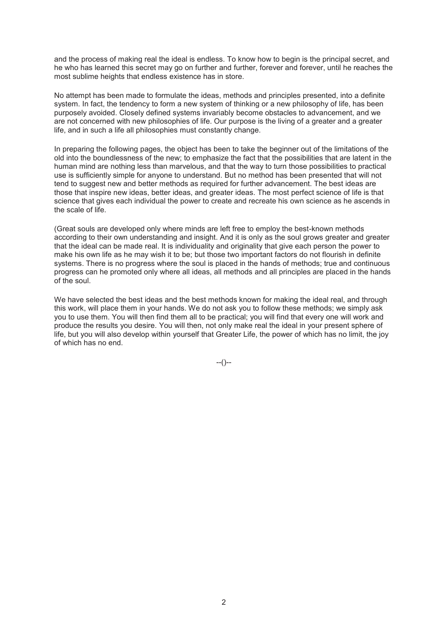and the process of making real the ideal is endless. To know how to begin is the principal secret, and he who has learned this secret may go on further and further, forever and forever, until he reaches the most sublime heights that endless existence has in store.

No attempt has been made to formulate the ideas, methods and principles presented, into a definite system. In fact, the tendency to form a new system of thinking or a new philosophy of life, has been purposely avoided. Closely defined systems invariably become obstacles to advancement, and we are not concerned with new philosophies of life. Our purpose is the living of a greater and a greater life, and in such a life all philosophies must constantly change.

In preparing the following pages, the object has been to take the beginner out of the limitations of the old into the boundlessness of the new; to emphasize the fact that the possibilities that are latent in the human mind are nothing less than marvelous, and that the way to turn those possibilities to practical use is sufficiently simple for anyone to understand. But no method has been presented that will not tend to suggest new and better methods as required for further advancement. The best ideas are those that inspire new ideas, better ideas, and greater ideas. The most perfect science of life is that science that gives each individual the power to create and recreate his own science as he ascends in the scale of life.

(Great souls are developed only where minds are left free to employ the best-known methods according to their own understanding and insight. And it is only as the soul grows greater and greater that the ideal can be made real. It is individuality and originality that give each person the power to make his own life as he may wish it to be; but those two important factors do not flourish in definite systems. There is no progress where the soul is placed in the hands of methods; true and continuous progress can he promoted only where all ideas, all methods and all principles are placed in the hands of the soul.

We have selected the best ideas and the best methods known for making the ideal real, and through this work, will place them in your hands. We do not ask you to follow these methods; we simply ask you to use them. You will then find them all to be practical; you will find that every one will work and produce the results you desire. You will then, not only make real the ideal in your present sphere of life, but you will also develop within yourself that Greater Life, the power of which has no limit, the joy of which has no end.

--()--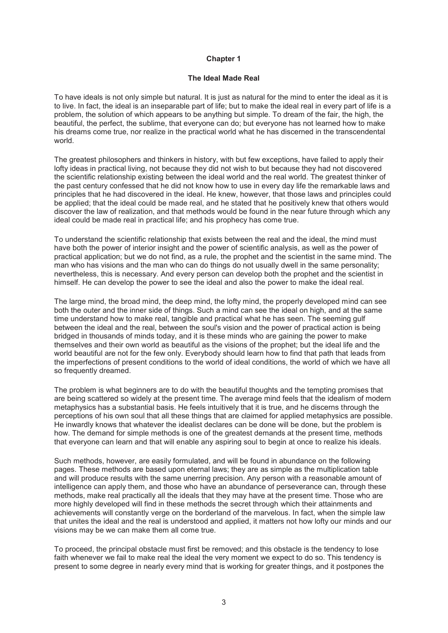### **The Ideal Made Real**

To have ideals is not only simple but natural. It is just as natural for the mind to enter the ideal as it is to live. In fact, the ideal is an inseparable part of life; but to make the ideal real in every part of life is a problem, the solution of which appears to be anything but simple. To dream of the fair, the high, the beautiful, the perfect, the sublime, that everyone can do; but everyone has not learned how to make his dreams come true, nor realize in the practical world what he has discerned in the transcendental world.

The greatest philosophers and thinkers in history, with but few exceptions, have failed to apply their lofty ideas in practical living, not because they did not wish to but because they had not discovered the scientific relationship existing between the ideal world and the real world. The greatest thinker of the past century confessed that he did not know how to use in every day life the remarkable laws and principles that he had discovered in the ideal. He knew, however, that those laws and principles could be applied; that the ideal could be made real, and he stated that he positively knew that others would discover the law of realization, and that methods would be found in the near future through which any ideal could be made real in practical life; and his prophecy has come true.

To understand the scientific relationship that exists between the real and the ideal, the mind must have both the power of interior insight and the power of scientific analysis, as well as the power of practical application; but we do not find, as a rule, the prophet and the scientist in the same mind. The man who has visions and the man who can do things do not usually dwell in the same personality; nevertheless, this is necessary. And every person can develop both the prophet and the scientist in himself. He can develop the power to see the ideal and also the power to make the ideal real.

The large mind, the broad mind, the deep mind, the lofty mind, the properly developed mind can see both the outer and the inner side of things. Such a mind can see the ideal on high, and at the same time understand how to make real, tangible and practical what he has seen. The seeming gulf between the ideal and the real, between the soul's vision and the power of practical action is being bridged in thousands of minds today, and it is these minds who are gaining the power to make themselves and their own world as beautiful as the visions of the prophet; but the ideal life and the world beautiful are not for the few only. Everybody should learn how to find that path that leads from the imperfections of present conditions to the world of ideal conditions, the world of which we have all so frequently dreamed.

The problem is what beginners are to do with the beautiful thoughts and the tempting promises that are being scattered so widely at the present time. The average mind feels that the idealism of modern metaphysics has a substantial basis. He feels intuitively that it is true, and he discerns through the perceptions of his own soul that all these things that are claimed for applied metaphysics are possible. He inwardly knows that whatever the idealist declares can be done will be done, but the problem is how. The demand for simple methods is one of the greatest demands at the present time, methods that everyone can learn and that will enable any aspiring soul to begin at once to realize his ideals.

Such methods, however, are easily formulated, and will be found in abundance on the following pages. These methods are based upon eternal laws; they are as simple as the multiplication table and will produce results with the same unerring precision. Any person with a reasonable amount of intelligence can apply them, and those who have an abundance of perseverance can, through these methods, make real practically all the ideals that they may have at the present time. Those who are more highly developed will find in these methods the secret through which their attainments and achievements will constantly verge on the borderland of the marvelous. In fact, when the simple law that unites the ideal and the real is understood and applied, it matters not how lofty our minds and our visions may be we can make them all come true.

To proceed, the principal obstacle must first be removed; and this obstacle is the tendency to lose faith whenever we fail to make real the ideal the very moment we expect to do so. This tendency is present to some degree in nearly every mind that is working for greater things, and it postpones the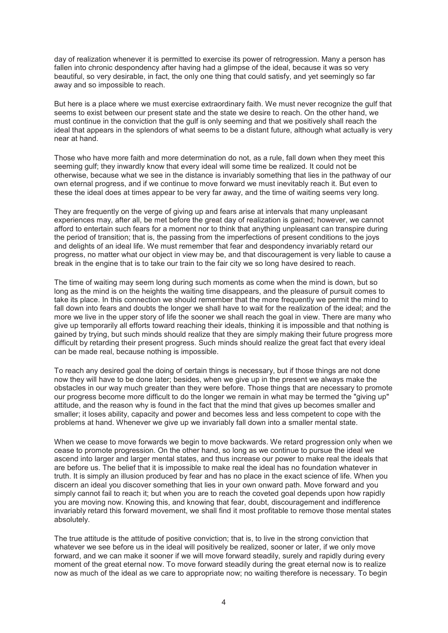day of realization whenever it is permitted to exercise its power of retrogression. Many a person has fallen into chronic despondency after having had a glimpse of the ideal, because it was so very beautiful, so very desirable, in fact, the only one thing that could satisfy, and yet seemingly so far away and so impossible to reach.

But here is a place where we must exercise extraordinary faith. We must never recognize the gulf that seems to exist between our present state and the state we desire to reach. On the other hand, we must continue in the conviction that the gulf is only seeming and that we positively shall reach the ideal that appears in the splendors of what seems to be a distant future, although what actually is very near at hand.

Those who have more faith and more determination do not, as a rule, fall down when they meet this seeming gulf; they inwardly know that every ideal will some time be realized. It could not be otherwise, because what we see in the distance is invariably something that lies in the pathway of our own eternal progress, and if we continue to move forward we must inevitably reach it. But even to these the ideal does at times appear to be very far away, and the time of waiting seems very long.

They are frequently on the verge of giving up and fears arise at intervals that many unpleasant experiences may, after all, be met before the great day of realization is gained; however, we cannot afford to entertain such fears for a moment nor to think that anything unpleasant can transpire during the period of transition; that is, the passing from the imperfections of present conditions to the joys and delights of an ideal life. We must remember that fear and despondency invariably retard our progress, no matter what our object in view may be, and that discouragement is very liable to cause a break in the engine that is to take our train to the fair city we so long have desired to reach.

The time of waiting may seem long during such moments as come when the mind is down, but so long as the mind is on the heights the waiting time disappears, and the pleasure of pursuit comes to take its place. In this connection we should remember that the more frequently we permit the mind to fall down into fears and doubts the longer we shall have to wait for the realization of the ideal; and the more we live in the upper story of life the sooner we shall reach the goal in view. There are many who give up temporarily all efforts toward reaching their ideals, thinking it is impossible and that nothing is gained by trying, but such minds should realize that they are simply making their future progress more difficult by retarding their present progress. Such minds should realize the great fact that every ideal can be made real, because nothing is impossible.

To reach any desired goal the doing of certain things is necessary, but if those things are not done now they will have to be done later; besides, when we give up in the present we always make the obstacles in our way much greater than they were before. Those things that are necessary to promote our progress become more difficult to do the longer we remain in what may be termed the "giving up" attitude, and the reason why is found in the fact that the mind that gives up becomes smaller and smaller; it loses ability, capacity and power and becomes less and less competent to cope with the problems at hand. Whenever we give up we invariably fall down into a smaller mental state.

When we cease to move forwards we begin to move backwards. We retard progression only when we cease to promote progression. On the other hand, so long as we continue to pursue the ideal we ascend into larger and larger mental states, and thus increase our power to make real the ideals that are before us. The belief that it is impossible to make real the ideal has no foundation whatever in truth. It is simply an illusion produced by fear and has no place in the exact science of life. When you discern an ideal you discover something that lies in your own onward path. Move forward and you simply cannot fail to reach it; but when you are to reach the coveted goal depends upon how rapidly you are moving now. Knowing this, and knowing that fear, doubt, discouragement and indifference invariably retard this forward movement, we shall find it most profitable to remove those mental states absolutely.

The true attitude is the attitude of positive conviction; that is, to live in the strong conviction that whatever we see before us in the ideal will positively be realized, sooner or later, if we only move forward, and we can make it sooner if we will move forward steadily, surely and rapidly during every moment of the great eternal now. To move forward steadily during the great eternal now is to realize now as much of the ideal as we care to appropriate now; no waiting therefore is necessary. To begin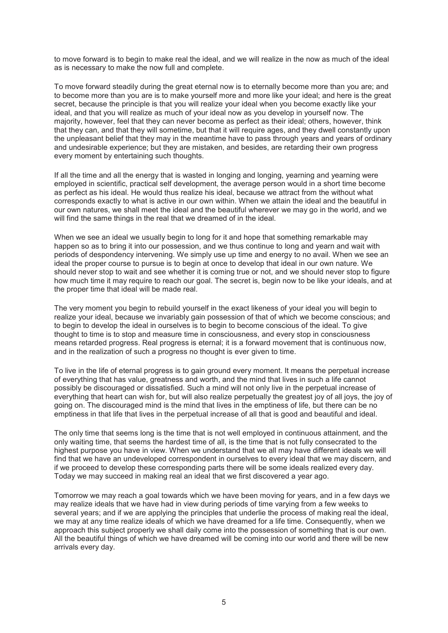to move forward is to begin to make real the ideal, and we will realize in the now as much of the ideal as is necessary to make the now full and complete.

To move forward steadily during the great eternal now is to eternally become more than you are; and to become more than you are is to make yourself more and more like your ideal; and here is the great secret, because the principle is that you will realize your ideal when you become exactly like your ideal, and that you will realize as much of your ideal now as you develop in yourself now. The majority, however, feel that they can never become as perfect as their ideal; others, however, think that they can, and that they will sometime, but that it will require ages, and they dwell constantly upon the unpleasant belief that they may in the meantime have to pass through years and years of ordinary and undesirable experience; but they are mistaken, and besides, are retarding their own progress every moment by entertaining such thoughts.

If all the time and all the energy that is wasted in longing and longing, yearning and yearning were employed in scientific, practical self development, the average person would in a short time become as perfect as his ideal. He would thus realize his ideal, because we attract from the without what corresponds exactly to what is active in our own within. When we attain the ideal and the beautiful in our own natures, we shall meet the ideal and the beautiful wherever we may go in the world, and we will find the same things in the real that we dreamed of in the ideal.

When we see an ideal we usually begin to long for it and hope that something remarkable may happen so as to bring it into our possession, and we thus continue to long and yearn and wait with periods of despondency intervening. We simply use up time and energy to no avail. When we see an ideal the proper course to pursue is to begin at once to develop that ideal in our own nature. We should never stop to wait and see whether it is coming true or not, and we should never stop to figure how much time it may require to reach our goal. The secret is, begin now to be like your ideals, and at the proper time that ideal will be made real.

The very moment you begin to rebuild yourself in the exact likeness of your ideal you will begin to realize your ideal, because we invariably gain possession of that of which we become conscious; and to begin to develop the ideal in ourselves is to begin to become conscious of the ideal. To give thought to time is to stop and measure time in consciousness, and every stop in consciousness means retarded progress. Real progress is eternal; it is a forward movement that is continuous now, and in the realization of such a progress no thought is ever given to time.

To live in the life of eternal progress is to gain ground every moment. It means the perpetual increase of everything that has value, greatness and worth, and the mind that lives in such a life cannot possibly be discouraged or dissatisfied. Such a mind will not only live in the perpetual increase of everything that heart can wish for, but will also realize perpetually the greatest joy of all joys, the joy of going on. The discouraged mind is the mind that lives in the emptiness of life, but there can be no emptiness in that life that lives in the perpetual increase of all that is good and beautiful and ideal.

The only time that seems long is the time that is not well employed in continuous attainment, and the only waiting time, that seems the hardest time of all, is the time that is not fully consecrated to the highest purpose you have in view. When we understand that we all may have different ideals we will find that we have an undeveloped correspondent in ourselves to every ideal that we may discern, and if we proceed to develop these corresponding parts there will be some ideals realized every day. Today we may succeed in making real an ideal that we first discovered a year ago.

Tomorrow we may reach a goal towards which we have been moving for years, and in a few days we may realize ideals that we have had in view during periods of time varying from a few weeks to several years; and if we are applying the principles that underlie the process of making real the ideal, we may at any time realize ideals of which we have dreamed for a life time. Consequently, when we approach this subject properly we shall daily come into the possession of something that is our own. All the beautiful things of which we have dreamed will be coming into our world and there will be new arrivals every day.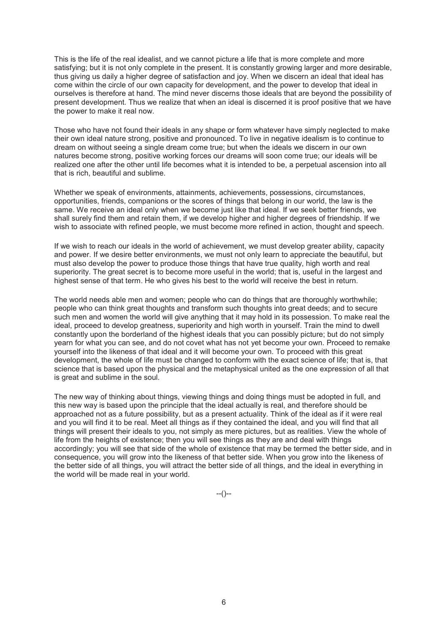This is the life of the real idealist, and we cannot picture a life that is more complete and more satisfying; but it is not only complete in the present. It is constantly growing larger and more desirable, thus giving us daily a higher degree of satisfaction and joy. When we discern an ideal that ideal has come within the circle of our own capacity for development, and the power to develop that ideal in ourselves is therefore at hand. The mind never discerns those ideals that are beyond the possibility of present development. Thus we realize that when an ideal is discerned it is proof positive that we have the power to make it real now.

Those who have not found their ideals in any shape or form whatever have simply neglected to make their own ideal nature strong, positive and pronounced. To live in negative idealism is to continue to dream on without seeing a single dream come true; but when the ideals we discern in our own natures become strong, positive working forces our dreams will soon come true; our ideals will be realized one after the other until life becomes what it is intended to be, a perpetual ascension into all that is rich, beautiful and sublime.

Whether we speak of environments, attainments, achievements, possessions, circumstances, opportunities, friends, companions or the scores of things that belong in our world, the law is the same. We receive an ideal only when we become just like that ideal. If we seek better friends, we shall surely find them and retain them, if we develop higher and higher degrees of friendship. If we wish to associate with refined people, we must become more refined in action, thought and speech.

If we wish to reach our ideals in the world of achievement, we must develop greater ability, capacity and power. If we desire better environments, we must not only learn to appreciate the beautiful, but must also develop the power to produce those things that have true quality, high worth and real superiority. The great secret is to become more useful in the world; that is, useful in the largest and highest sense of that term. He who gives his best to the world will receive the best in return.

The world needs able men and women; people who can do things that are thoroughly worthwhile; people who can think great thoughts and transform such thoughts into great deeds; and to secure such men and women the world will give anything that it may hold in its possession. To make real the ideal, proceed to develop greatness, superiority and high worth in yourself. Train the mind to dwell constantly upon the borderland of the highest ideals that you can possibly picture; but do not simply yearn for what you can see, and do not covet what has not yet become your own. Proceed to remake yourself into the likeness of that ideal and it will become your own. To proceed with this great development, the whole of life must be changed to conform with the exact science of life; that is, that science that is based upon the physical and the metaphysical united as the one expression of all that is great and sublime in the soul.

The new way of thinking about things, viewing things and doing things must be adopted in full, and this new way is based upon the principle that the ideal actually is real, and therefore should be approached not as a future possibility, but as a present actuality. Think of the ideal as if it were real and you will find it to be real. Meet all things as if they contained the ideal, and you will find that all things will present their ideals to you, not simply as mere pictures, but as realities. View the whole of life from the heights of existence; then you will see things as they are and deal with things accordingly; you will see that side of the whole of existence that may be termed the better side, and in consequence, you will grow into the likeness of that better side. When you grow into the likeness of the better side of all things, you will attract the better side of all things, and the ideal in everything in the world will be made real in your world.

--()--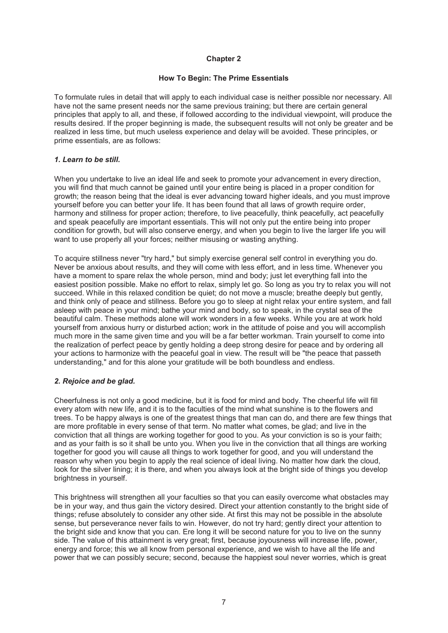## **How To Begin: The Prime Essentials**

To formulate rules in detail that will apply to each individual case is neither possible nor necessary. All have not the same present needs nor the same previous training; but there are certain general principles that apply to all, and these, if followed according to the individual viewpoint, will produce the results desired. If the proper beginning is made, the subsequent results will not only be greater and be realized in less time, but much useless experience and delay will be avoided. These principles, or prime essentials, are as follows:

## *1. Learn to be still.*

When you undertake to live an ideal life and seek to promote your advancement in every direction, you will find that much cannot be gained until your entire being is placed in a proper condition for growth; the reason being that the ideal is ever advancing toward higher ideals, and you must improve yourself before you can better your life. It has been found that all laws of growth require order, harmony and stillness for proper action; therefore, to live peacefully, think peacefully, act peacefully and speak peacefully are important essentials. This will not only put the entire being into proper condition for growth, but will also conserve energy, and when you begin to live the larger life you will want to use properly all your forces; neither misusing or wasting anything.

To acquire stillness never "try hard," but simply exercise general self control in everything you do. Never be anxious about results, and they will come with less effort, and in less time. Whenever you have a moment to spare relax the whole person, mind and body; just let everything fall into the easiest position possible. Make no effort to relax, simply let go. So long as you try to relax you will not succeed. While in this relaxed condition be quiet; do not move a muscle; breathe deeply but gently, and think only of peace and stillness. Before you go to sleep at night relax your entire system, and fall asleep with peace in your mind; bathe your mind and body, so to speak, in the crystal sea of the beautiful calm. These methods alone will work wonders in a few weeks. While you are at work hold yourself from anxious hurry or disturbed action; work in the attitude of poise and you will accomplish much more in the same given time and you will be a far better workman. Train yourself to come into the realization of perfect peace by gently holding a deep strong desire for peace and by ordering all your actions to harmonize with the peaceful goal in view. The result will be "the peace that passeth understanding," and for this alone your gratitude will be both boundless and endless.

# *2. Rejoice and be glad.*

Cheerfulness is not only a good medicine, but it is food for mind and body. The cheerful life will fill every atom with new life, and it is to the faculties of the mind what sunshine is to the flowers and trees. To be happy always is one of the greatest things that man can do, and there are few things that are more profitable in every sense of that term. No matter what comes, be glad; and live in the conviction that all things are working together for good to you. As your conviction is so is your faith; and as your faith is so it shall be unto you. When you live in the conviction that all things are working together for good you will cause all things to work together for good, and you will understand the reason why when you begin to apply the real science of ideal living. No matter how dark the cloud, look for the silver lining; it is there, and when you always look at the bright side of things you develop brightness in yourself.

This brightness will strengthen all your faculties so that you can easily overcome what obstacles may be in your way, and thus gain the victory desired. Direct your attention constantly to the bright side of things; refuse absolutely to consider any other side. At first this may not be possible in the absolute sense, but perseverance never fails to win. However, do not try hard; gently direct your attention to the bright side and know that you can. Ere long it will be second nature for you to live on the sunny side. The value of this attainment is very great; first, because joyousness will increase life, power, energy and force; this we all know from personal experience, and we wish to have all the life and power that we can possibly secure; second, because the happiest soul never worries, which is great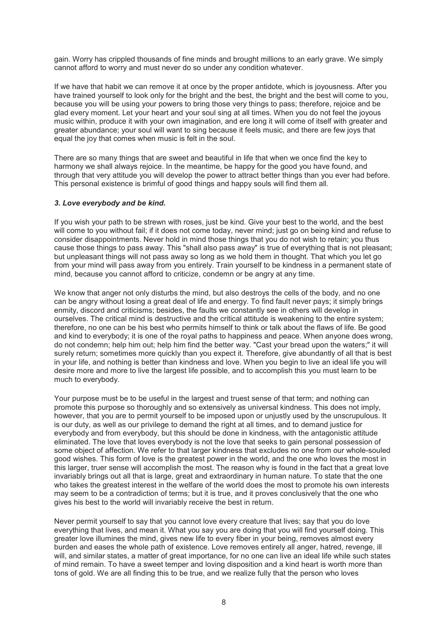gain. Worry has crippled thousands of fine minds and brought millions to an early grave. We simply cannot afford to worry and must never do so under any condition whatever.

If we have that habit we can remove it at once by the proper antidote, which is joyousness. After you have trained yourself to look only for the bright and the best, the bright and the best will come to you, because you will be using your powers to bring those very things to pass; therefore, rejoice and be glad every moment. Let your heart and your soul sing at all times. When you do not feel the joyous music within, produce it with your own imagination, and ere long it will come of itself with greater and greater abundance; your soul will want to sing because it feels music, and there are few joys that equal the joy that comes when music is felt in the soul.

There are so many things that are sweet and beautiful in life that when we once find the key to harmony we shall always rejoice. In the meantime, be happy for the good you have found, and through that very attitude you will develop the power to attract better things than you ever had before. This personal existence is brimful of good things and happy souls will find them all.

### *3. Love everybody and be kind.*

If you wish your path to be strewn with roses, just be kind. Give your best to the world, and the best will come to you without fail; if it does not come today, never mind; just go on being kind and refuse to consider disappointments. Never hold in mind those things that you do not wish to retain; you thus cause those things to pass away. This "shall also pass away" is true of everything that is not pleasant; but unpleasant things will not pass away so long as we hold them in thought. That which you let go from your mind will pass away from you entirely. Train yourself to be kindness in a permanent state of mind, because you cannot afford to criticize, condemn or be angry at any time.

We know that anger not only disturbs the mind, but also destroys the cells of the body, and no one can be angry without losing a great deal of life and energy. To find fault never pays; it simply brings enmity, discord and criticisms; besides, the faults we constantly see in others will develop in ourselves. The critical mind is destructive and the critical attitude is weakening to the entire system; therefore, no one can be his best who permits himself to think or talk about the flaws of life. Be good and kind to everybody; it is one of the royal paths to happiness and peace. When anyone does wrong, do not condemn; help him out; help him find the better way. "Cast your bread upon the waters;" it will surely return; sometimes more quickly than you expect it. Therefore, give abundantly of all that is best in your life, and nothing is better than kindness and love. When you begin to live an ideal life you will desire more and more to live the largest life possible, and to accomplish this you must learn to be much to everybody.

Your purpose must be to be useful in the largest and truest sense of that term; and nothing can promote this purpose so thoroughly and so extensively as universal kindness. This does not imply, however, that you are to permit yourself to be imposed upon or unjustly used by the unscrupulous. It is our duty, as well as our privilege to demand the right at all times, and to demand justice for everybody and from everybody, but this should be done in kindness, with the antagonistic attitude eliminated. The love that loves everybody is not the love that seeks to gain personal possession of some object of affection. We refer to that larger kindness that excludes no one from our whole-souled good wishes. This form of love is the greatest power in the world, and the one who loves the most in this larger, truer sense will accomplish the most. The reason why is found in the fact that a great love invariably brings out all that is large, great and extraordinary in human nature. To state that the one who takes the greatest interest in the welfare of the world does the most to promote his own interests may seem to be a contradiction of terms; but it is true, and it proves conclusively that the one who gives his best to the world will invariably receive the best in return.

Never permit yourself to say that you cannot love every creature that lives; say that you do love everything that lives, and mean it. What you say you are doing that you will find yourself doing. This greater love illumines the mind, gives new life to every fiber in your being, removes almost every burden and eases the whole path of existence. Love removes entirely all anger, hatred, revenge, ill will, and similar states, a matter of great importance, for no one can live an ideal life while such states of mind remain. To have a sweet temper and loving disposition and a kind heart is worth more than tons of gold. We are all finding this to be true, and we realize fully that the person who loves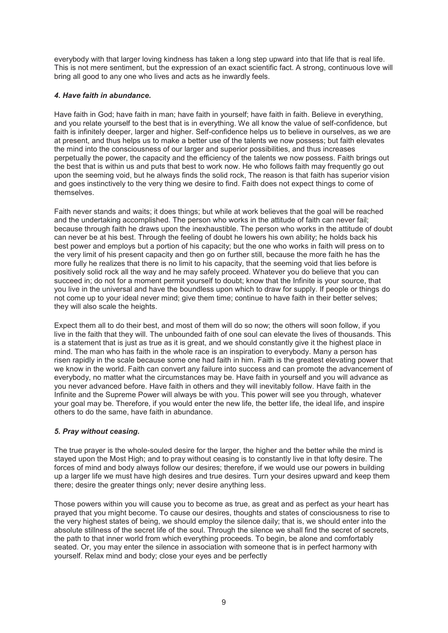everybody with that larger loving kindness has taken a long step upward into that life that is real life. This is not mere sentiment, but the expression of an exact scientific fact. A strong, continuous love will bring all good to any one who lives and acts as he inwardly feels.

# *4. Have faith in abundance.*

Have faith in God; have faith in man; have faith in yourself; have faith in faith. Believe in everything, and you relate yourself to the best that is in everything. We all know the value of self-confidence, but faith is infinitely deeper, larger and higher. Self-confidence helps us to believe in ourselves, as we are at present, and thus helps us to make a better use of the talents we now possess; but faith elevates the mind into the consciousness of our larger and superior possibilities, and thus increases perpetually the power, the capacity and the efficiency of the talents we now possess. Faith brings out the best that is within us and puts that best to work now. He who follows faith may frequently go out upon the seeming void, but he always finds the solid rock, The reason is that faith has superior vision and goes instinctively to the very thing we desire to find. Faith does not expect things to come of themselves.

Faith never stands and waits; it does things; but while at work believes that the goal will be reached and the undertaking accomplished. The person who works in the attitude of faith can never fail; because through faith he draws upon the inexhaustible. The person who works in the attitude of doubt can never be at his best. Through the feeling of doubt he lowers his own ability; he holds back his best power and employs but a portion of his capacity; but the one who works in faith will press on to the very limit of his present capacity and then go on further still, because the more faith he has the more fully he realizes that there is no limit to his capacity, that the seeming void that lies before is positively solid rock all the way and he may safely proceed. Whatever you do believe that you can succeed in; do not for a moment permit yourself to doubt; know that the Infinite is your source, that you live in the universal and have the boundless upon which to draw for supply. If people or things do not come up to your ideal never mind; give them time; continue to have faith in their better selves; they will also scale the heights.

Expect them all to do their best, and most of them will do so now; the others will soon follow, if you live in the faith that they will. The unbounded faith of one soul can elevate the lives of thousands. This is a statement that is just as true as it is great, and we should constantly give it the highest place in mind. The man who has faith in the whole race is an inspiration to everybody. Many a person has risen rapidly in the scale because some one had faith in him. Faith is the greatest elevating power that we know in the world. Faith can convert any failure into success and can promote the advancement of everybody, no matter what the circumstances may be. Have faith in yourself and you will advance as you never advanced before. Have faith in others and they will inevitably follow. Have faith in the Infinite and the Supreme Power will always be with you. This power will see you through, whatever your goal may be. Therefore, if you would enter the new life, the better life, the ideal life, and inspire others to do the same, have faith in abundance.

# *5. Pray without ceasing.*

The true prayer is the whole-souled desire for the larger, the higher and the better while the mind is stayed upon the Most High; and to pray without ceasing is to constantly live in that lofty desire. The forces of mind and body always follow our desires; therefore, if we would use our powers in building up a larger life we must have high desires and true desires. Turn your desires upward and keep them there; desire the greater things only; never desire anything less.

Those powers within you will cause you to become as true, as great and as perfect as your heart has prayed that you might become. To cause our desires, thoughts and states of consciousness to rise to the very highest states of being, we should employ the silence daily; that is, we should enter into the absolute stillness of the secret life of the soul. Through the silence we shall find the secret of secrets, the path to that inner world from which everything proceeds. To begin, be alone and comfortably seated. Or, you may enter the silence in association with someone that is in perfect harmony with yourself. Relax mind and body; close your eyes and be perfectly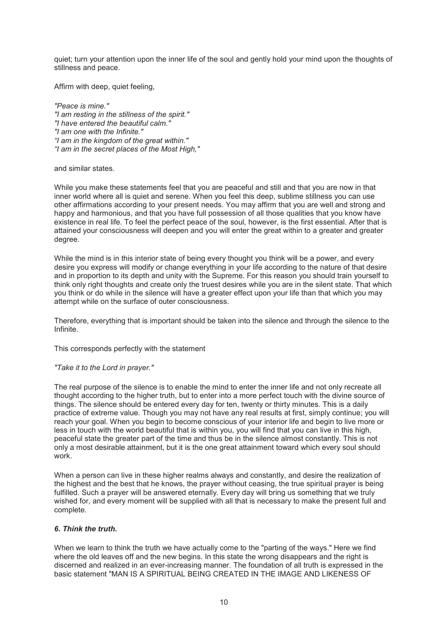quiet; turn your attention upon the inner life of the soul and gently hold your mind upon the thoughts of stillness and peace.

Affirm with deep, quiet feeling,

*"Peace is mine." "I am resting in the stillness of the spirit." "I have entered the beautiful calm." "I am one with the Infinite." "I am in the kingdom of the great within." "I am in the secret places of the Most High,"* 

and similar states.

While you make these statements feel that you are peaceful and still and that you are now in that inner world where all is quiet and serene. When you feel this deep, sublime stillness you can use other affirmations according to your present needs. You may affirm that you are well and strong and happy and harmonious, and that you have full possession of all those qualities that you know have existence in real life. To feel the perfect peace of the soul, however, is the first essential. After that is attained your consciousness will deepen and you will enter the great within to a greater and greater degree.

While the mind is in this interior state of being every thought you think will be a power, and every desire you express will modify or change everything in your life according to the nature of that desire and in proportion to its depth and unity with the Supreme. For this reason you should train yourself to think only right thoughts and create only the truest desires while you are in the silent state. That which you think or do while in the silence will have a greater effect upon your life than that which you may attempt while on the surface of outer consciousness.

Therefore, everything that is important should be taken into the silence and through the silence to the Infinite.

This corresponds perfectly with the statement

#### *"Take it to the Lord in prayer."*

The real purpose of the silence is to enable the mind to enter the inner life and not only recreate all thought according to the higher truth, but to enter into a more perfect touch with the divine source of things. The silence should be entered every day for ten, twenty or thirty minutes. This is a daily practice of extreme value. Though you may not have any real results at first, simply continue; you will reach your goal. When you begin to become conscious of your interior life and begin to live more or less in touch with the world beautiful that is within you, you will find that you can live in this high, peaceful state the greater part of the time and thus be in the silence almost constantly. This is not only a most desirable attainment, but it is the one great attainment toward which every soul should work.

When a person can live in these higher realms always and constantly, and desire the realization of the highest and the best that he knows, the prayer without ceasing, the true spiritual prayer is being fulfilled. Such a prayer will be answered eternally. Every day will bring us something that we truly wished for, and every moment will be supplied with all that is necessary to make the present full and complete.

#### *6. Think the truth.*

When we learn to think the truth we have actually come to the "parting of the ways." Here we find where the old leaves off and the new begins. In this state the wrong disappears and the right is discerned and realized in an ever-increasing manner. The foundation of all truth is expressed in the basic statement "MAN IS A SPIRITUAL BEING CREATED IN THE IMAGE AND LIKENESS OF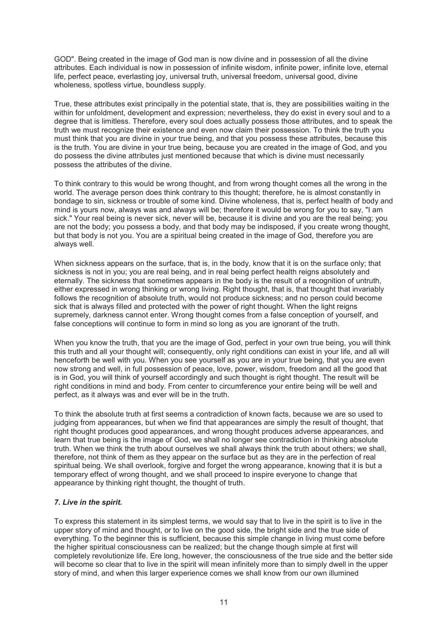GOD". Being created in the image of God man is now divine and in possession of all the divine attributes. Each individual is now in possession of infinite wisdom, infinite power, infinite love, eternal life, perfect peace, everlasting joy, universal truth, universal freedom, universal good, divine wholeness, spotless virtue, boundless supply.

True, these attributes exist principally in the potential state, that is, they are possibilities waiting in the within for unfoldment, development and expression; nevertheless, they do exist in every soul and to a degree that is limitless. Therefore, every soul does actually possess those attributes, and to speak the truth we must recognize their existence and even now claim their possession. To think the truth you must think that you are divine in your true being, and that you possess these attributes, because this is the truth. You are divine in your true being, because you are created in the image of God, and you do possess the divine attributes just mentioned because that which is divine must necessarily possess the attributes of the divine.

To think contrary to this would be wrong thought, and from wrong thought comes all the wrong in the world. The average person does think contrary to this thought; therefore, he is almost constantly in bondage to sin, sickness or trouble of some kind. Divine wholeness, that is, perfect health of body and mind is yours now, always was and always will be; therefore it would be wrong for you to say, "I am sick." Your real being is never sick, never will be, because it is divine and you are the real being; you are not the body; you possess a body, and that body may be indisposed, if you create wrong thought, but that body is not you. You are a spiritual being created in the image of God, therefore you are always well.

When sickness appears on the surface, that is, in the body, know that it is on the surface only; that sickness is not in you; you are real being, and in real being perfect health reigns absolutely and eternally. The sickness that sometimes appears in the body is the result of a recognition of untruth, either expressed in wrong thinking or wrong living. Right thought, that is, that thought that invariably follows the recognition of absolute truth, would not produce sickness; and no person could become sick that is always filled and protected with the power of right thought. When the light reigns supremely, darkness cannot enter. Wrong thought comes from a false conception of yourself, and false conceptions will continue to form in mind so long as you are ignorant of the truth.

When you know the truth, that you are the image of God, perfect in your own true being, you will think this truth and all your thought will; consequently, only right conditions can exist in your life, and all will henceforth be well with you. When you see yourself as you are in your true being, that you are even now strong and well, in full possession of peace, love, power, wisdom, freedom and all the good that is in God, you will think of yourself accordingly and such thought is right thought. The result will be right conditions in mind and body. From center to circumference your entire being will be well and perfect, as it always was and ever will be in the truth.

To think the absolute truth at first seems a contradiction of known facts, because we are so used to judging from appearances, but when we find that appearances are simply the result of thought, that right thought produces good appearances, and wrong thought produces adverse appearances, and learn that true being is the image of God, we shall no longer see contradiction in thinking absolute truth. When we think the truth about ourselves we shall always think the truth about others; we shall, therefore, not think of them as they appear on the surface but as they are in the perfection of real spiritual being. We shall overlook, forgive and forget the wrong appearance, knowing that it is but a temporary effect of wrong thought, and we shall proceed to inspire everyone to change that appearance by thinking right thought, the thought of truth.

# *7. Live in the spirit.*

To express this statement in its simplest terms, we would say that to live in the spirit is to live in the upper story of mind and thought, or to live on the good side, the bright side and the true side of everything. To the beginner this is sufficient, because this simple change in living must come before the higher spiritual consciousness can be realized; but the change though simple at first will completely revolutionize life. Ere long, however, the consciousness of the true side and the better side will become so clear that to live in the spirit will mean infinitely more than to simply dwell in the upper story of mind, and when this larger experience comes we shall know from our own illumined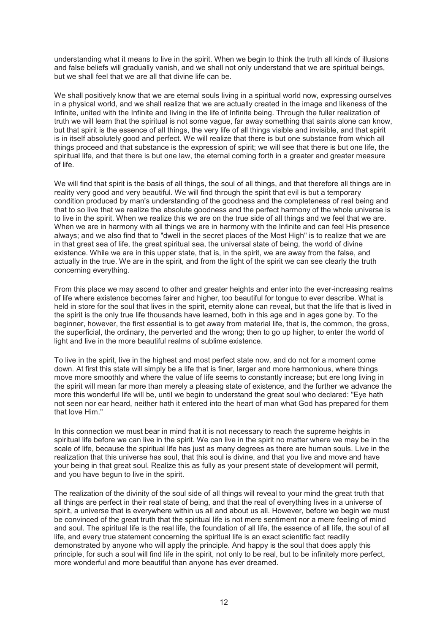understanding what it means to live in the spirit. When we begin to think the truth all kinds of illusions and false beliefs will gradually vanish, and we shall not only understand that we are spiritual beings, but we shall feel that we are all that divine life can be.

We shall positively know that we are eternal souls living in a spiritual world now, expressing ourselves in a physical world, and we shall realize that we are actually created in the image and likeness of the Infinite, united with the Infinite and living in the life of Infinite being. Through the fuller realization of truth we will learn that the spiritual is not some vague, far away something that saints alone can know, but that spirit is the essence of all things, the very life of all things visible and invisible, and that spirit is in itself absolutely good and perfect. We will realize that there is but one substance from which all things proceed and that substance is the expression of spirit; we will see that there is but one life, the spiritual life, and that there is but one law, the eternal coming forth in a greater and greater measure of life.

We will find that spirit is the basis of all things, the soul of all things, and that therefore all things are in reality very good and very beautiful. We will find through the spirit that evil is but a temporary condition produced by man's understanding of the goodness and the completeness of real being and that to so live that we realize the absolute goodness and the perfect harmony of the whole universe is to live in the spirit. When we realize this we are on the true side of all things and we feel that we are. When we are in harmony with all things we are in harmony with the Infinite and can feel His presence always; and we also find that to "dwell in the secret places of the Most High" is to realize that we are in that great sea of life, the great spiritual sea, the universal state of being, the world of divine existence. While we are in this upper state, that is, in the spirit, we are away from the false, and actually in the true. We are in the spirit, and from the light of the spirit we can see clearly the truth concerning everything.

From this place we may ascend to other and greater heights and enter into the ever-increasing realms of life where existence becomes fairer and higher, too beautiful for tongue to ever describe. What is held in store for the soul that lives in the spirit, eternity alone can reveal, but that the life that is lived in the spirit is the only true life thousands have learned, both in this age and in ages gone by. To the beginner, however, the first essential is to get away from material life, that is, the common, the gross, the superficial, the ordinary, the perverted and the wrong; then to go up higher, to enter the world of light and live in the more beautiful realms of sublime existence.

To live in the spirit, live in the highest and most perfect state now, and do not for a moment come down. At first this state will simply be a life that is finer, larger and more harmonious, where things move more smoothly and where the value of life seems to constantly increase; but ere long living in the spirit will mean far more than merely a pleasing state of existence, and the further we advance the more this wonderful life will be, until we begin to understand the great soul who declared: "Eye hath not seen nor ear heard, neither hath it entered into the heart of man what God has prepared for them that love Him."

In this connection we must bear in mind that it is not necessary to reach the supreme heights in spiritual life before we can live in the spirit. We can live in the spirit no matter where we may be in the scale of life, because the spiritual life has just as many degrees as there are human souls. Live in the realization that this universe has soul, that this soul is divine, and that you live and move and have your being in that great soul. Realize this as fully as your present state of development will permit, and you have begun to live in the spirit.

The realization of the divinity of the soul side of all things will reveal to your mind the great truth that all things are perfect in their real state of being, and that the real of everything lives in a universe of spirit, a universe that is everywhere within us all and about us all. However, before we begin we must be convinced of the great truth that the spiritual life is not mere sentiment nor a mere feeling of mind and soul. The spiritual life is the real life, the foundation of all life, the essence of all life, the soul of all life, and every true statement concerning the spiritual life is an exact scientific fact readily demonstrated by anyone who will apply the principle. And happy is the soul that does apply this principle, for such a soul will find life in the spirit, not only to be real, but to be infinitely more perfect, more wonderful and more beautiful than anyone has ever dreamed.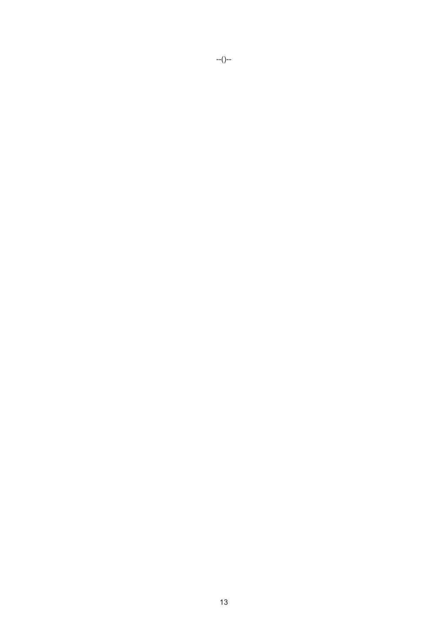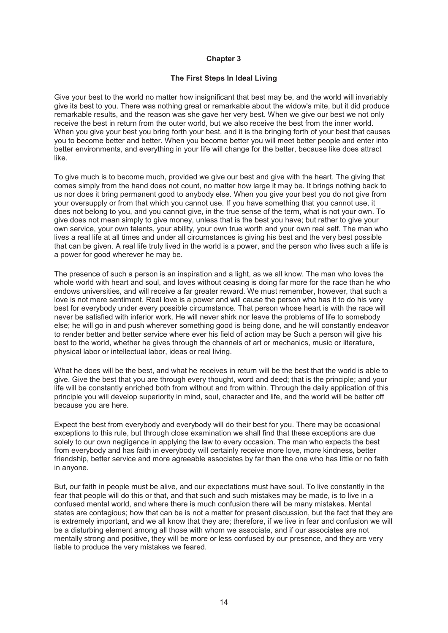### **The First Steps In Ideal Living**

Give your best to the world no matter how insignificant that best may be, and the world will invariably give its best to you. There was nothing great or remarkable about the widow's mite, but it did produce remarkable results, and the reason was she gave her very best. When we give our best we not only receive the best in return from the outer world, but we also receive the best from the inner world. When you give your best you bring forth your best, and it is the bringing forth of your best that causes you to become better and better. When you become better you will meet better people and enter into better environments, and everything in your life will change for the better, because like does attract like.

To give much is to become much, provided we give our best and give with the heart. The giving that comes simply from the hand does not count, no matter how large it may be. It brings nothing back to us nor does it bring permanent good to anybody else. When you give your best you do not give from your oversupply or from that which you cannot use. If you have something that you cannot use, it does not belong to you, and you cannot give, in the true sense of the term, what is not your own. To give does not mean simply to give money, unless that is the best you have; but rather to give your own service, your own talents, your ability, your own true worth and your own real self. The man who lives a real life at all times and under all circumstances is giving his best and the very best possible that can be given. A real life truly lived in the world is a power, and the person who lives such a life is a power for good wherever he may be.

The presence of such a person is an inspiration and a light, as we all know. The man who loves the whole world with heart and soul, and loves without ceasing is doing far more for the race than he who endows universities, and will receive a far greater reward. We must remember, however, that such a love is not mere sentiment. Real love is a power and will cause the person who has it to do his very best for everybody under every possible circumstance. That person whose heart is with the race will never be satisfied with inferior work. He will never shirk nor leave the problems of life to somebody else; he will go in and push wherever something good is being done, and he will constantly endeavor to render better and better service where ever his field of action may be Such a person will give his best to the world, whether he gives through the channels of art or mechanics, music or literature, physical labor or intellectual labor, ideas or real living.

What he does will be the best, and what he receives in return will be the best that the world is able to give. Give the best that you are through every thought, word and deed; that is the principle; and your life will be constantly enriched both from without and from within. Through the daily application of this principle you will develop superiority in mind, soul, character and life, and the world will be better off because you are here.

Expect the best from everybody and everybody will do their best for you. There may be occasional exceptions to this rule, but through close examination we shall find that these exceptions are due solely to our own negligence in applying the law to every occasion. The man who expects the best from everybody and has faith in everybody will certainly receive more love, more kindness, better friendship, better service and more agreeable associates by far than the one who has little or no faith in anyone.

But, our faith in people must be alive, and our expectations must have soul. To live constantly in the fear that people will do this or that, and that such and such mistakes may be made, is to live in a confused mental world, and where there is much confusion there will be many mistakes. Mental states are contagious; how that can be is not a matter for present discussion, but the fact that they are is extremely important, and we all know that they are; therefore, if we live in fear and confusion we will be a disturbing element among all those with whom we associate, and if our associates are not mentally strong and positive, they will be more or less confused by our presence, and they are very liable to produce the very mistakes we feared.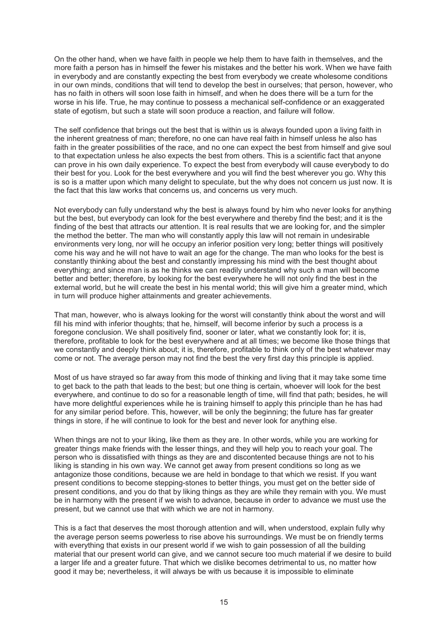On the other hand, when we have faith in people we help them to have faith in themselves, and the more faith a person has in himself the fewer his mistakes and the better his work. When we have faith in everybody and are constantly expecting the best from everybody we create wholesome conditions in our own minds, conditions that will tend to develop the best in ourselves; that person, however, who has no faith in others will soon lose faith in himself, and when he does there will be a turn for the worse in his life. True, he may continue to possess a mechanical self-confidence or an exaggerated state of egotism, but such a state will soon produce a reaction, and failure will follow.

The self confidence that brings out the best that is within us is always founded upon a living faith in the inherent greatness of man; therefore, no one can have real faith in himself unless he also has faith in the greater possibilities of the race, and no one can expect the best from himself and give soul to that expectation unless he also expects the best from others. This is a scientific fact that anyone can prove in his own daily experience. To expect the best from everybody will cause everybody to do their best for you. Look for the best everywhere and you will find the best wherever you go. Why this is so is a matter upon which many delight to speculate, but the why does not concern us just now. It is the fact that this law works that concerns us, and concerns us very much.

Not everybody can fully understand why the best is always found by him who never looks for anything but the best, but everybody can look for the best everywhere and thereby find the best; and it is the finding of the best that attracts our attention. It is real results that we are looking for, and the simpler the method the better. The man who will constantly apply this law will not remain in undesirable environments very long, nor will he occupy an inferior position very long; better things will positively come his way and he will not have to wait an age for the change. The man who looks for the best is constantly thinking about the best and constantly impressing his mind with the best thought about everything; and since man is as he thinks we can readily understand why such a man will become better and better; therefore, by looking for the best everywhere he will not only find the best in the external world, but he will create the best in his mental world; this will give him a greater mind, which in turn will produce higher attainments and greater achievements.

That man, however, who is always looking for the worst will constantly think about the worst and will fill his mind with inferior thoughts; that he, himself, will become inferior by such a process is a foregone conclusion. We shall positively find, sooner or later, what we constantly look for; it is, therefore, profitable to look for the best everywhere and at all times; we become like those things that we constantly and deeply think about; it is, therefore, profitable to think only of the best whatever may come or not. The average person may not find the best the very first day this principle is applied.

Most of us have strayed so far away from this mode of thinking and living that it may take some time to get back to the path that leads to the best; but one thing is certain, whoever will look for the best everywhere, and continue to do so for a reasonable length of time, will find that path; besides, he will have more delightful experiences while he is training himself to apply this principle than he has had for any similar period before. This, however, will be only the beginning; the future has far greater things in store, if he will continue to look for the best and never look for anything else.

When things are not to your liking, like them as they are. In other words, while you are working for greater things make friends with the lesser things, and they will help you to reach your goal. The person who is dissatisfied with things as they are and discontented because things are not to his liking is standing in his own way. We cannot get away from present conditions so long as we antagonize those conditions, because we are held in bondage to that which we resist. If you want present conditions to become stepping-stones to better things, you must get on the better side of present conditions, and you do that by liking things as they are while they remain with you. We must be in harmony with the present if we wish to advance, because in order to advance we must use the present, but we cannot use that with which we are not in harmony.

This is a fact that deserves the most thorough attention and will, when understood, explain fully why the average person seems powerless to rise above his surroundings. We must be on friendly terms with everything that exists in our present world if we wish to gain possession of all the building material that our present world can give, and we cannot secure too much material if we desire to build a larger life and a greater future. That which we dislike becomes detrimental to us, no matter how good it may be; nevertheless, it will always be with us because it is impossible to eliminate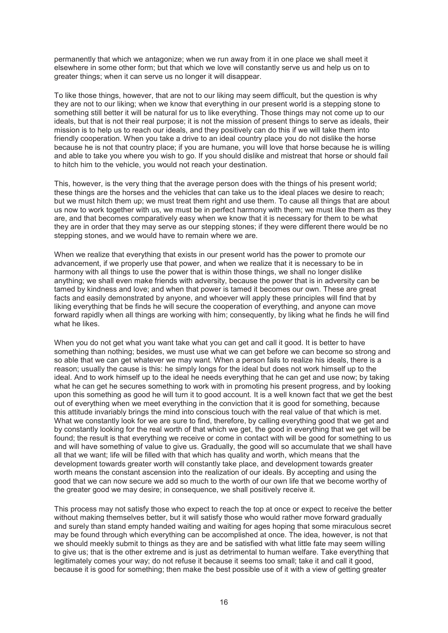permanently that which we antagonize; when we run away from it in one place we shall meet it elsewhere in some other form; but that which we love will constantly serve us and help us on to greater things; when it can serve us no longer it will disappear.

To like those things, however, that are not to our liking may seem difficult, but the question is why they are not to our liking; when we know that everything in our present world is a stepping stone to something still better it will be natural for us to like everything. Those things may not come up to our ideals, but that is not their real purpose; it is not the mission of present things to serve as ideals, their mission is to help us to reach our ideals, and they positively can do this if we will take them into friendly cooperation. When you take a drive to an ideal country place you do not dislike the horse because he is not that country place; if you are humane, you will love that horse because he is willing and able to take you where you wish to go. If you should dislike and mistreat that horse or should fail to hitch him to the vehicle, you would not reach your destination.

This, however, is the very thing that the average person does with the things of his present world; these things are the horses and the vehicles that can take us to the ideal places we desire to reach; but we must hitch them up; we must treat them right and use them. To cause all things that are about us now to work together with us, we must be in perfect harmony with them; we must like them as they are, and that becomes comparatively easy when we know that it is necessary for them to be what they are in order that they may serve as our stepping stones; if they were different there would be no stepping stones, and we would have to remain where we are.

When we realize that everything that exists in our present world has the power to promote our advancement, if we properly use that power, and when we realize that it is necessary to be in harmony with all things to use the power that is within those things, we shall no longer dislike anything; we shall even make friends with adversity, because the power that is in adversity can be tamed by kindness and love; and when that power is tamed it becomes our own. These are great facts and easily demonstrated by anyone, and whoever will apply these principles will find that by liking everything that be finds he will secure the cooperation of everything, and anyone can move forward rapidly when all things are working with him; consequently, by liking what he finds he will find what he likes.

When you do not get what you want take what you can get and call it good. It is better to have something than nothing; besides, we must use what we can get before we can become so strong and so able that we can get whatever we may want. When a person fails to realize his ideals, there is a reason; usually the cause is this: he simply longs for the ideal but does not work himself up to the ideal. And to work himself up to the ideal he needs everything that he can get and use now; by taking what he can get he secures something to work with in promoting his present progress, and by looking upon this something as good he will turn it to good account. It is a well known fact that we get the best out of everything when we meet everything in the conviction that it is good for something, because this attitude invariably brings the mind into conscious touch with the real value of that which is met. What we constantly look for we are sure to find, therefore, by calling everything good that we get and by constantly looking for the real worth of that which we get, the good in everything that we get will be found; the result is that everything we receive or come in contact with will be good for something to us and will have something of value to give us. Gradually, the good will so accumulate that we shall have all that we want; life will be filled with that which has quality and worth, which means that the development towards greater worth will constantly take place, and development towards greater worth means the constant ascension into the realization of our ideals. By accepting and using the good that we can now secure we add so much to the worth of our own life that we become worthy of the greater good we may desire; in consequence, we shall positively receive it.

This process may not satisfy those who expect to reach the top at once or expect to receive the better without making themselves better, but it will satisfy those who would rather move forward gradually and surely than stand empty handed waiting and waiting for ages hoping that some miraculous secret may be found through which everything can be accomplished at once. The idea, however, is not that we should meekly submit to things as they are and be satisfied with what little fate may seem willing to give us; that is the other extreme and is just as detrimental to human welfare. Take everything that legitimately comes your way; do not refuse it because it seems too small; take it and call it good, because it is good for something; then make the best possible use of it with a view of getting greater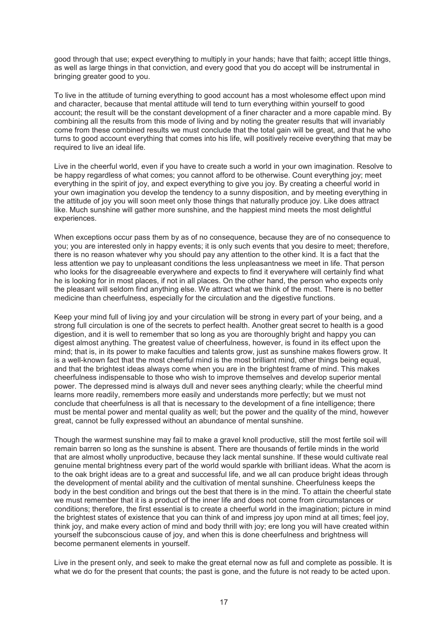good through that use; expect everything to multiply in your hands; have that faith; accept little things, as well as large things in that conviction, and every good that you do accept will be instrumental in bringing greater good to you.

To live in the attitude of turning everything to good account has a most wholesome effect upon mind and character, because that mental attitude will tend to turn everything within yourself to good account; the result will be the constant development of a finer character and a more capable mind. By combining all the results from this mode of living and by noting the greater results that will invariably come from these combined results we must conclude that the total gain will be great, and that he who turns to good account everything that comes into his life, will positively receive everything that may be required to live an ideal life.

Live in the cheerful world, even if you have to create such a world in your own imagination. Resolve to be happy regardless of what comes; you cannot afford to be otherwise. Count everything joy; meet everything in the spirit of joy, and expect everything to give you joy. By creating a cheerful world in your own imagination you develop the tendency to a sunny disposition, and by meeting everything in the attitude of joy you will soon meet only those things that naturally produce joy. Like does attract like. Much sunshine will gather more sunshine, and the happiest mind meets the most delightful experiences.

When exceptions occur pass them by as of no consequence, because they are of no consequence to you; you are interested only in happy events; it is only such events that you desire to meet; therefore, there is no reason whatever why you should pay any attention to the other kind. It is a fact that the less attention we pay to unpleasant conditions the less unpleasantness we meet in life. That person who looks for the disagreeable everywhere and expects to find it everywhere will certainly find what he is looking for in most places, if not in all places. On the other hand, the person who expects only the pleasant will seldom find anything else. We attract what we think of the most. There is no better medicine than cheerfulness, especially for the circulation and the digestive functions.

Keep your mind full of living joy and your circulation will be strong in every part of your being, and a strong full circulation is one of the secrets to perfect health. Another great secret to health is a good digestion, and it is well to remember that so long as you are thoroughly bright and happy you can digest almost anything. The greatest value of cheerfulness, however, is found in its effect upon the mind; that is, in its power to make faculties and talents grow, just as sunshine makes flowers grow. It is a well-known fact that the most cheerful mind is the most brilliant mind, other things being equal, and that the brightest ideas always come when you are in the brightest frame of mind. This makes cheerfulness indispensable to those who wish to improve themselves and develop superior mental power. The depressed mind is always dull and never sees anything clearly; while the cheerful mind learns more readily, remembers more easily and understands more perfectly; but we must not conclude that cheerfulness is all that is necessary to the development of a fine intelligence; there must be mental power and mental quality as well; but the power and the quality of the mind, however great, cannot be fully expressed without an abundance of mental sunshine.

Though the warmest sunshine may fail to make a gravel knoll productive, still the most fertile soil will remain barren so long as the sunshine is absent. There are thousands of fertile minds in the world that are almost wholly unproductive, because they lack mental sunshine. If these would cultivate real genuine mental brightness every part of the world would sparkle with brilliant ideas. What the acorn is to the oak bright ideas are to a great and successful life, and we all can produce bright ideas through the development of mental ability and the cultivation of mental sunshine. Cheerfulness keeps the body in the best condition and brings out the best that there is in the mind. To attain the cheerful state we must remember that it is a product of the inner life and does not come from circumstances or conditions; therefore, the first essential is to create a cheerful world in the imagination; picture in mind the brightest states of existence that you can think of and impress joy upon mind at all times; feel joy, think joy, and make every action of mind and body thrill with joy; ere long you will have created within yourself the subconscious cause of joy, and when this is done cheerfulness and brightness will become permanent elements in yourself.

Live in the present only, and seek to make the great eternal now as full and complete as possible. It is what we do for the present that counts; the past is gone, and the future is not ready to be acted upon.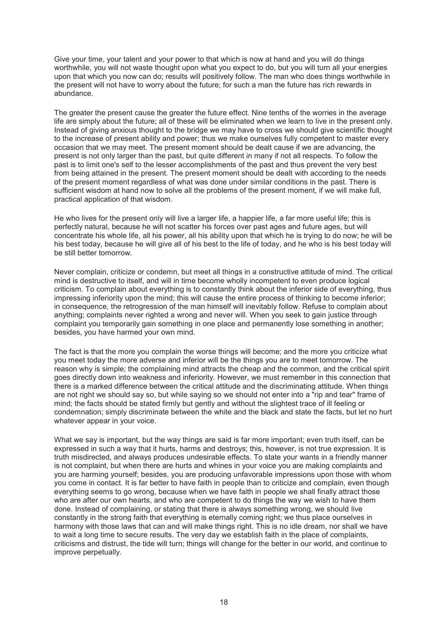Give your time, your talent and your power to that which is now at hand and you will do things worthwhile, you will not waste thought upon what you expect to do, but you will turn all your energies upon that which you now can do; results will positively follow. The man who does things worthwhile in the present will not have to worry about the future; for such a man the future has rich rewards in abundance.

The greater the present cause the greater the future effect. Nine tenths of the worries in the average life are simply about the future; all of these will be eliminated when we learn to live in the present only. Instead of giving anxious thought to the bridge we may have to cross we should give scientific thought to the increase of present ability and power; thus we make ourselves fully competent to master every occasion that we may meet. The present moment should be dealt cause if we are advancing, the present is not only larger than the past, but quite different in many if not all respects. To follow the past is to limit one's self to the lesser accomplishments of the past and thus prevent the very best from being attained in the present. The present moment should be dealt with according to the needs of the present moment regardless of what was done under similar conditions in the past. There is sufficient wisdom at hand now to solve all the problems of the present moment, if we will make full, practical application of that wisdom.

He who lives for the present only will live a larger life, a happier life, a far more useful life; this is perfectly natural, because he will not scatter his forces over past ages and future ages, but will concentrate his whole life, all his power, all his ability upon that which he is trying to do now; he will be his best today, because he will give all of his best to the life of today, and he who is his best today will be still better tomorrow.

Never complain, criticize or condemn, but meet all things in a constructive attitude of mind. The critical mind is destructive to itself, and will in time become wholly incompetent to even produce logical criticism. To complain about everything is to constantly think about the inferior side of everything, thus impressing inferiority upon the mind; this will cause the entire process of thinking to become inferior; in consequence, the retrogression of the man himself will inevitably follow. Refuse to complain about anything; complaints never righted a wrong and never will. When you seek to gain justice through complaint you temporarily gain something in one place and permanently lose something in another; besides, you have harmed your own mind.

The fact is that the more you complain the worse things will become; and the more you criticize what you meet today the more adverse and inferior will be the things you are to meet tomorrow. The reason why is simple; the complaining mind attracts the cheap and the common, and the critical spirit goes directly down into weakness and inferiority. However, we must remember in this connection that there is a marked difference between the critical attitude and the discriminating attitude. When things are not right we should say so, but while saying so we should not enter into a "rip and tear" frame of mind; the facts should be stated firmly but gently and without the slightest trace of ill feeling or condemnation; simply discriminate between the white and the black and state the facts, but let no hurt whatever appear in your voice.

What we say is important, but the way things are said is far more important; even truth itself, can be expressed in such a way that it hurts, harms and destroys; this, however, is not true expression. It is truth misdirected, and always produces undesirable effects. To state your wants in a friendly manner is not complaint, but when there are hurts and whines in your voice you are making complaints and you are harming yourself; besides, you are producing unfavorable impressions upon those with whom you come in contact. It is far better to have faith in people than to criticize and complain, even though everything seems to go wrong, because when we have faith in people we shall finally attract those who are after our own hearts, and who are competent to do things the way we wish to have them done. Instead of complaining, or stating that there is always something wrong, we should live constantly in the strong faith that everything is eternally coming right; we thus place ourselves in harmony with those laws that can and will make things right. This is no idle dream, nor shall we have to wait a long time to secure results. The very day we establish faith in the place of complaints, criticisms and distrust, the tide will turn; things will change for the better in our world, and continue to improve perpetually.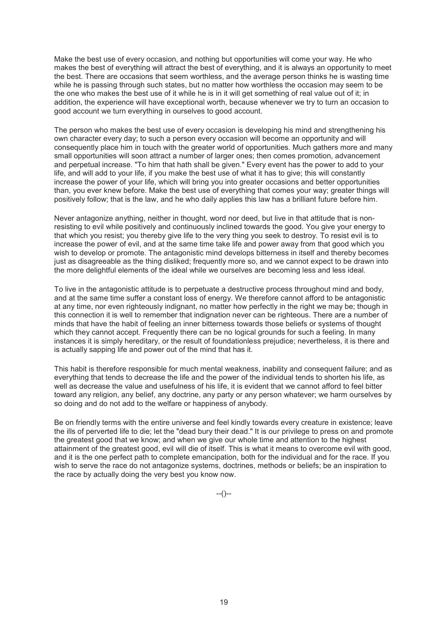Make the best use of every occasion, and nothing but opportunities will come your way. He who makes the best of everything will attract the best of everything, and it is always an opportunity to meet the best. There are occasions that seem worthless, and the average person thinks he is wasting time while he is passing through such states, but no matter how worthless the occasion may seem to be the one who makes the best use of it while he is in it will get something of real value out of it; in addition, the experience will have exceptional worth, because whenever we try to turn an occasion to good account we turn everything in ourselves to good account.

The person who makes the best use of every occasion is developing his mind and strengthening his own character every day; to such a person every occasion will become an opportunity and will consequently place him in touch with the greater world of opportunities. Much gathers more and many small opportunities will soon attract a number of larger ones; then comes promotion, advancement and perpetual increase. "To him that hath shall be given." Every event has the power to add to your life, and will add to your life, if you make the best use of what it has to give; this will constantly increase the power of your life, which will bring you into greater occasions and better opportunities than, you ever knew before. Make the best use of everything that comes your way; greater things will positively follow; that is the law, and he who daily applies this law has a brilliant future before him.

Never antagonize anything, neither in thought, word nor deed, but live in that attitude that is nonresisting to evil while positively and continuously inclined towards the good. You give your energy to that which you resist; you thereby give life to the very thing you seek to destroy. To resist evil is to increase the power of evil, and at the same time take life and power away from that good which you wish to develop or promote. The antagonistic mind develops bitterness in itself and thereby becomes just as disagreeable as the thing disliked; frequently more so, and we cannot expect to be drawn into the more delightful elements of the ideal while we ourselves are becoming less and less ideal.

To live in the antagonistic attitude is to perpetuate a destructive process throughout mind and body, and at the same time suffer a constant loss of energy. We therefore cannot afford to be antagonistic at any time, nor even righteously indignant, no matter how perfectly in the right we may be; though in this connection it is well to remember that indignation never can be righteous. There are a number of minds that have the habit of feeling an inner bitterness towards those beliefs or systems of thought which they cannot accept. Frequently there can be no logical grounds for such a feeling. In many instances it is simply hereditary, or the result of foundationless prejudice; nevertheless, it is there and is actually sapping life and power out of the mind that has it.

This habit is therefore responsible for much mental weakness, inability and consequent failure; and as everything that tends to decrease the life and the power of the individual tends to shorten his life, as well as decrease the value and usefulness of his life, it is evident that we cannot afford to feel bitter toward any religion, any belief, any doctrine, any party or any person whatever; we harm ourselves by so doing and do not add to the welfare or happiness of anybody.

Be on friendly terms with the entire universe and feel kindly towards every creature in existence; leave the ills of perverted life to die; let the "dead bury their dead." It is our privilege to press on and promote the greatest good that we know; and when we give our whole time and attention to the highest attainment of the greatest good, evil will die of itself. This is what it means to overcome evil with good, and it is the one perfect path to complete emancipation, both for the individual and for the race. If you wish to serve the race do not antagonize systems, doctrines, methods or beliefs; be an inspiration to the race by actually doing the very best you know now.

--()--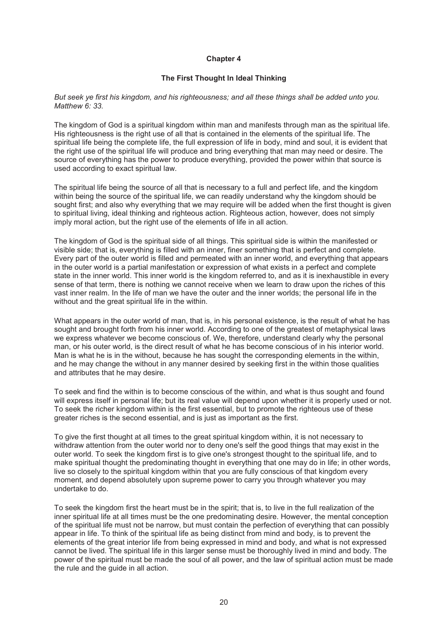## **The First Thought In Ideal Thinking**

*But seek ye first his kingdom, and his righteousness; and all these things shall be added unto you. Matthew 6: 33.* 

The kingdom of God is a spiritual kingdom within man and manifests through man as the spiritual life. His righteousness is the right use of all that is contained in the elements of the spiritual life. The spiritual life being the complete life, the full expression of life in body, mind and soul, it is evident that the right use of the spiritual life will produce and bring everything that man may need or desire. The source of everything has the power to produce everything, provided the power within that source is used according to exact spiritual law.

The spiritual life being the source of all that is necessary to a full and perfect life, and the kingdom within being the source of the spiritual life, we can readily understand why the kingdom should be sought first; and also why everything that we may require will be added when the first thought is given to spiritual living, ideal thinking and righteous action. Righteous action, however, does not simply imply moral action, but the right use of the elements of life in all action.

The kingdom of God is the spiritual side of all things. This spiritual side is within the manifested or visible side; that is, everything is filled with an inner, finer something that is perfect and complete. Every part of the outer world is filled and permeated with an inner world, and everything that appears in the outer world is a partial manifestation or expression of what exists in a perfect and complete state in the inner world. This inner world is the kingdom referred to, and as it is inexhaustible in every sense of that term, there is nothing we cannot receive when we learn to draw upon the riches of this vast inner realm. In the life of man we have the outer and the inner worlds; the personal life in the without and the great spiritual life in the within.

What appears in the outer world of man, that is, in his personal existence, is the result of what he has sought and brought forth from his inner world. According to one of the greatest of metaphysical laws we express whatever we become conscious of. We, therefore, understand clearly why the personal man, or his outer world, is the direct result of what he has become conscious of in his interior world. Man is what he is in the without, because he has sought the corresponding elements in the within, and he may change the without in any manner desired by seeking first in the within those qualities and attributes that he may desire.

To seek and find the within is to become conscious of the within, and what is thus sought and found will express itself in personal life; but its real value will depend upon whether it is properly used or not. To seek the richer kingdom within is the first essential, but to promote the righteous use of these greater riches is the second essential, and is just as important as the first.

To give the first thought at all times to the great spiritual kingdom within, it is not necessary to withdraw attention from the outer world nor to deny one's self the good things that may exist in the outer world. To seek the kingdom first is to give one's strongest thought to the spiritual life, and to make spiritual thought the predominating thought in everything that one may do in life; in other words, live so closely to the spiritual kingdom within that you are fully conscious of that kingdom every moment, and depend absolutely upon supreme power to carry you through whatever you may undertake to do.

To seek the kingdom first the heart must be in the spirit; that is, to live in the full realization of the inner spiritual life at all times must be the one predominating desire. However, the mental conception of the spiritual life must not be narrow, but must contain the perfection of everything that can possibly appear in life. To think of the spiritual life as being distinct from mind and body, is to prevent the elements of the great interior life from being expressed in mind and body, and what is not expressed cannot be lived. The spiritual life in this larger sense must be thoroughly lived in mind and body. The power of the spiritual must be made the soul of all power, and the law of spiritual action must be made the rule and the guide in all action.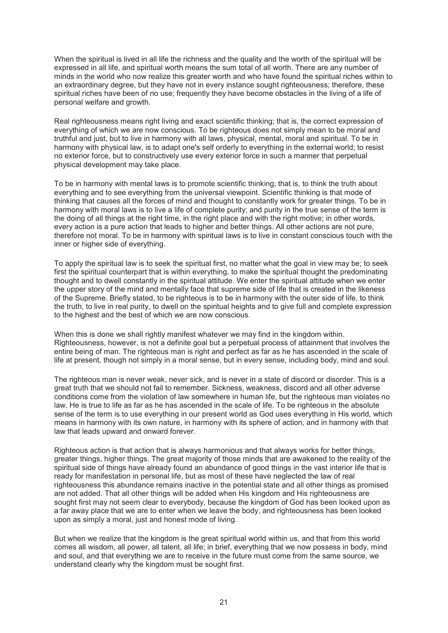When the spiritual is lived in all life the richness and the quality and the worth of the spiritual will be expressed in all life, and spiritual worth means the sum total of all worth. There are any number of minds in the world who now realize this greater worth and who have found the spiritual riches within to an extraordinary degree, but they have not in every instance sought righteousness; therefore, these spiritual riches have been of no use; frequently they have become obstacles in the living of a life of personal welfare and growth.

Real righteousness means right living and exact scientific thinking; that is, the correct expression of everything of which we are now conscious. To be righteous does not simply mean to be moral and truthful and just, but to live in harmony with all laws, physical, mental, moral and spiritual. To be in harmony with physical law, is to adapt one's self orderly to everything in the external world; to resist no exterior force, but to constructively use every exterior force in such a manner that perpetual physical development may take place.

To be in harmony with mental laws is to promote scientific thinking; that is, to think the truth about everything and to see everything from the universal viewpoint. Scientific thinking is that mode of thinking that causes all the forces of mind and thought to constantly work for greater things. To be in harmony with moral laws is to live a life of complete purity; and purity in the true sense of the term is the doing of all things at the right time, in the right place and with the right motive; in other words, every action is a pure action that leads to higher and better things. All other actions are not pure, therefore not moral. To be in harmony with spiritual laws is to live in constant conscious touch with the inner or higher side of everything.

To apply the spiritual law is to seek the spiritual first, no matter what the goal in view may be; to seek first the spiritual counterpart that is within everything, to make the spiritual thought the predominating thought and to dwell constantly in the spiritual attitude. We enter the spiritual attitude when we enter the upper story of the mind and mentally face that supreme side of life that is created in the likeness of the Supreme. Briefly stated, to be righteous is to be in harmony with the outer side of life, to think the truth, to live in real purity, to dwell on the spiritual heights and to give full and complete expression to the highest and the best of which we are now conscious.

When this is done we shall rightly manifest whatever we may find in the kingdom within. Righteousness, however, is not a definite goal but a perpetual process of attainment that involves the entire being of man. The righteous man is right and perfect as far as he has ascended in the scale of life at present, though not simply in a moral sense, but in every sense, including body, mind and soul.

The righteous man is never weak, never sick, and is never in a state of discord or disorder. This is a great truth that we should not fail to remember. Sickness, weakness, discord and all other adverse conditions come from the violation of law somewhere in human life, but the righteous man violates no law. He is true to life as far as he has ascended in the scale of life. To be righteous in the absolute sense of the term is to use everything in our present world as God uses everything in His world, which means in harmony with its own nature, in harmony with its sphere of action, and in harmony with that law that leads upward and onward forever.

Righteous action is that action that is always harmonious and that always works for better things, greater things, higher things. The great majority of those minds that are awakened to the reality of the spiritual side of things have already found an abundance of good things in the vast interior life that is ready for manifestation in personal life, but as most of these have neglected the law of real righteousness this abundance remains inactive in the potential state and all other things as promised are not added. That all other things will be added when His kingdom and His righteousness are sought first may not seem clear to everybody, because the kingdom of God has been looked upon as a far away place that we are to enter when we leave the body, and righteousness has been looked upon as simply a moral, just and honest mode of living.

But when we realize that the kingdom is the great spiritual world within us, and that from this world comes all wisdom, all power, all talent, all life; in brief, everything that we now possess in body, mind and soul, and that everything we are to receive in the future must come from the same source, we understand clearly why the kingdom must be sought first.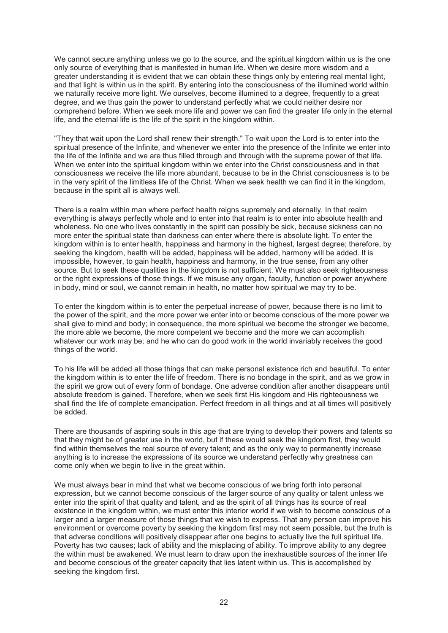We cannot secure anything unless we go to the source, and the spiritual kingdom within us is the one only source of everything that is manifested in human life. When we desire more wisdom and a greater understanding it is evident that we can obtain these things only by entering real mental light, and that light is within us in the spirit. By entering into the consciousness of the illumined world within we naturally receive more light. We ourselves, become illumined to a degree, frequently to a great degree, and we thus gain the power to understand perfectly what we could neither desire nor comprehend before. When we seek more life and power we can find the greater life only in the eternal life, and the eternal life is the life of the spirit in the kingdom within.

"They that wait upon the Lord shall renew their strength." To wait upon the Lord is to enter into the spiritual presence of the Infinite, and whenever we enter into the presence of the Infinite we enter into the life of the Infinite and we are thus filled through and through with the supreme power of that life. When we enter into the spiritual kingdom within we enter into the Christ consciousness and in that consciousness we receive the life more abundant, because to be in the Christ consciousness is to be in the very spirit of the limitless life of the Christ. When we seek health we can find it in the kingdom, because in the spirit all is always well.

There is a realm within man where perfect health reigns supremely and eternally. In that realm everything is always perfectly whole and to enter into that realm is to enter into absolute health and wholeness. No one who lives constantly in the spirit can possibly be sick, because sickness can no more enter the spiritual state than darkness can enter where there is absolute light. To enter the kingdom within is to enter health, happiness and harmony in the highest, largest degree; therefore, by seeking the kingdom, health will be added, happiness will be added, harmony will be added. It is impossible, however, to gain health, happiness and harmony, in the true sense, from any other source. But to seek these qualities in the kingdom is not sufficient. We must also seek righteousness or the right expressions of those things. If we misuse any organ, faculty, function or power anywhere in body, mind or soul, we cannot remain in health, no matter how spiritual we may try to be.

To enter the kingdom within is to enter the perpetual increase of power, because there is no limit to the power of the spirit, and the more power we enter into or become conscious of the more power we shall give to mind and body; in consequence, the more spiritual we become the stronger we become, the more able we become, the more competent we become and the more we can accomplish whatever our work may be; and he who can do good work in the world invariably receives the good things of the world.

To his life will be added all those things that can make personal existence rich and beautiful. To enter the kingdom within is to enter the life of freedom. There is no bondage in the spirit, and as we grow in the spirit we grow out of every form of bondage. One adverse condition after another disappears until absolute freedom is gained. Therefore, when we seek first His kingdom and His righteousness we shall find the life of complete emancipation. Perfect freedom in all things and at all times will positively be added.

There are thousands of aspiring souls in this age that are trying to develop their powers and talents so that they might be of greater use in the world, but if these would seek the kingdom first, they would find within themselves the real source of every talent; and as the only way to permanently increase anything is to increase the expressions of its source we understand perfectly why greatness can come only when we begin to live in the great within.

We must always bear in mind that what we become conscious of we bring forth into personal expression, but we cannot become conscious of the larger source of any quality or talent unless we enter into the spirit of that quality and talent, and as the spirit of all things has its source of real existence in the kingdom within, we must enter this interior world if we wish to become conscious of a larger and a larger measure of those things that we wish to express. That any person can improve his environment or overcome poverty by seeking the kingdom first may not seem possible, but the truth is that adverse conditions will positively disappear after one begins to actually live the full spiritual life. Poverty has two causes; lack of ability and the misplacing of ability. To improve ability to any degree the within must be awakened. We must learn to draw upon the inexhaustible sources of the inner life and become conscious of the greater capacity that lies latent within us. This is accomplished by seeking the kingdom first.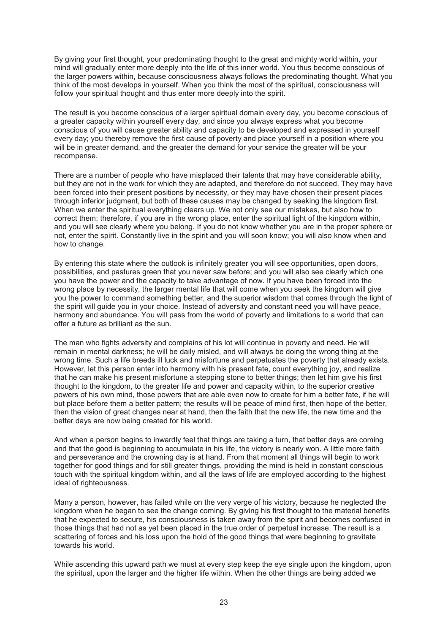By giving your first thought, your predominating thought to the great and mighty world within, your mind will gradually enter more deeply into the life of this inner world. You thus become conscious of the larger powers within, because consciousness always follows the predominating thought. What you think of the most develops in yourself. When you think the most of the spiritual, consciousness will follow your spiritual thought and thus enter more deeply into the spirit.

The result is you become conscious of a larger spiritual domain every day, you become conscious of a greater capacity within yourself every day, and since you always express what you become conscious of you will cause greater ability and capacity to be developed and expressed in yourself every day; you thereby remove the first cause of poverty and place yourself in a position where you will be in greater demand, and the greater the demand for your service the greater will be your recompense.

There are a number of people who have misplaced their talents that may have considerable ability, but they are not in the work for which they are adapted, and therefore do not succeed. They may have been forced into their present positions by necessity, or they may have chosen their present places through inferior judgment, but both of these causes may be changed by seeking the kingdom first. When we enter the spiritual everything clears up. We not only see our mistakes, but also how to correct them; therefore, if you are in the wrong place, enter the spiritual light of the kingdom within, and you will see clearly where you belong. If you do not know whether you are in the proper sphere or not, enter the spirit. Constantly live in the spirit and you will soon know; you will also know when and how to change.

By entering this state where the outlook is infinitely greater you will see opportunities, open doors, possibilities, and pastures green that you never saw before; and you will also see clearly which one you have the power and the capacity to take advantage of now. If you have been forced into the wrong place by necessity, the larger mental life that will come when you seek the kingdom will give you the power to command something better, and the superior wisdom that comes through the light of the spirit will guide you in your choice. Instead of adversity and constant need you will have peace, harmony and abundance. You will pass from the world of poverty and limitations to a world that can offer a future as brilliant as the sun.

The man who fights adversity and complains of his lot will continue in poverty and need. He will remain in mental darkness; he will be daily misled, and will always be doing the wrong thing at the wrong time. Such a life breeds ill luck and misfortune and perpetuates the poverty that already exists. However, let this person enter into harmony with his present fate, count everything joy, and realize that he can make his present misfortune a stepping stone to better things; then let him give his first thought to the kingdom, to the greater life and power and capacity within, to the superior creative powers of his own mind, those powers that are able even now to create for him a better fate, if he will but place before them a better pattern; the results will be peace of mind first, then hope of the better, then the vision of great changes near at hand, then the faith that the new life, the new time and the better days are now being created for his world.

And when a person begins to inwardly feel that things are taking a turn, that better days are coming and that the good is beginning to accumulate in his life, the victory is nearly won. A little more faith and perseverance and the crowning day is at hand. From that moment all things will begin to work together for good things and for still greater things, providing the mind is held in constant conscious touch with the spiritual kingdom within, and all the laws of life are employed according to the highest ideal of righteousness.

Many a person, however, has failed while on the very verge of his victory, because he neglected the kingdom when he began to see the change coming. By giving his first thought to the material benefits that he expected to secure, his consciousness is taken away from the spirit and becomes confused in those things that had not as yet been placed in the true order of perpetual increase. The result is a scattering of forces and his loss upon the hold of the good things that were beginning to gravitate towards his world.

While ascending this upward path we must at every step keep the eye single upon the kingdom, upon the spiritual, upon the larger and the higher life within. When the other things are being added we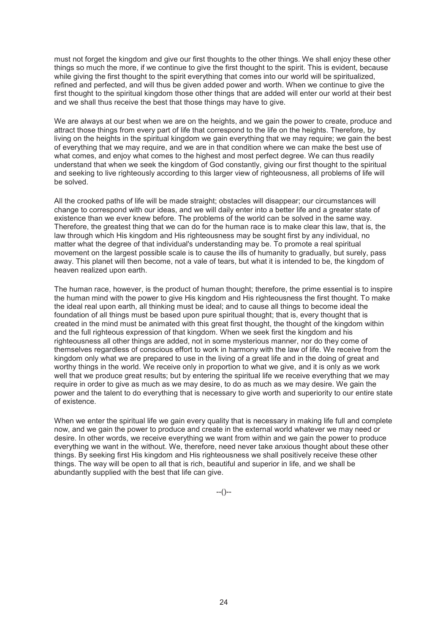must not forget the kingdom and give our first thoughts to the other things. We shall enjoy these other things so much the more, if we continue to give the first thought to the spirit. This is evident, because while giving the first thought to the spirit everything that comes into our world will be spiritualized, refined and perfected, and will thus be given added power and worth. When we continue to give the first thought to the spiritual kingdom those other things that are added will enter our world at their best and we shall thus receive the best that those things may have to give.

We are always at our best when we are on the heights, and we gain the power to create, produce and attract those things from every part of life that correspond to the life on the heights. Therefore, by living on the heights in the spiritual kingdom we gain everything that we may require; we gain the best of everything that we may require, and we are in that condition where we can make the best use of what comes, and enjoy what comes to the highest and most perfect degree. We can thus readily understand that when we seek the kingdom of God constantly, giving our first thought to the spiritual and seeking to live righteously according to this larger view of righteousness, all problems of life will be solved.

All the crooked paths of life will be made straight; obstacles will disappear; our circumstances will change to correspond with our ideas, and we will daily enter into a better life and a greater state of existence than we ever knew before. The problems of the world can be solved in the same way. Therefore, the greatest thing that we can do for the human race is to make clear this law, that is, the law through which His kingdom and His righteousness may be sought first by any individual, no matter what the degree of that individual's understanding may be. To promote a real spiritual movement on the largest possible scale is to cause the ills of humanity to gradually, but surely, pass away. This planet will then become, not a vale of tears, but what it is intended to be, the kingdom of heaven realized upon earth.

The human race, however, is the product of human thought; therefore, the prime essential is to inspire the human mind with the power to give His kingdom and His righteousness the first thought. To make the ideal real upon earth, all thinking must be ideal; and to cause all things to become ideal the foundation of all things must be based upon pure spiritual thought; that is, every thought that is created in the mind must be animated with this great first thought, the thought of the kingdom within and the full righteous expression of that kingdom. When we seek first the kingdom and his righteousness all other things are added, not in some mysterious manner, nor do they come of themselves regardless of conscious effort to work in harmony with the law of life. We receive from the kingdom only what we are prepared to use in the living of a great life and in the doing of great and worthy things in the world. We receive only in proportion to what we give, and it is only as we work well that we produce great results; but by entering the spiritual life we receive everything that we may require in order to give as much as we may desire, to do as much as we may desire. We gain the power and the talent to do everything that is necessary to give worth and superiority to our entire state of existence.

When we enter the spiritual life we gain every quality that is necessary in making life full and complete now, and we gain the power to produce and create in the external world whatever we may need or desire. In other words, we receive everything we want from within and we gain the power to produce everything we want in the without. We, therefore, need never take anxious thought about these other things. By seeking first His kingdom and His righteousness we shall positively receive these other things. The way will be open to all that is rich, beautiful and superior in life, and we shall be abundantly supplied with the best that life can give.

 $-(-)$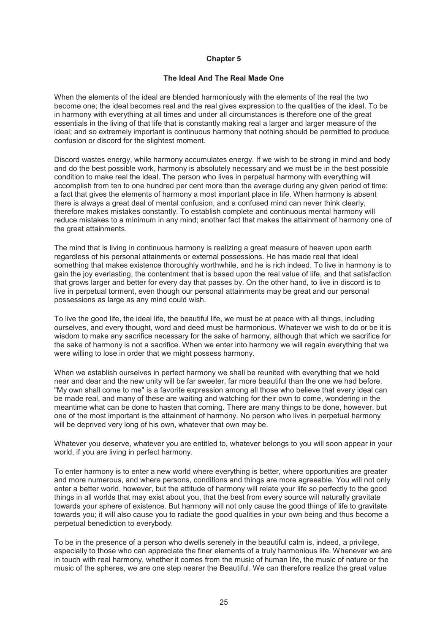## **The Ideal And The Real Made One**

When the elements of the ideal are blended harmoniously with the elements of the real the two become one; the ideal becomes real and the real gives expression to the qualities of the ideal. To be in harmony with everything at all times and under all circumstances is therefore one of the great essentials in the living of that life that is constantly making real a larger and larger measure of the ideal; and so extremely important is continuous harmony that nothing should be permitted to produce confusion or discord for the slightest moment.

Discord wastes energy, while harmony accumulates energy. If we wish to be strong in mind and body and do the best possible work, harmony is absolutely necessary and we must be in the best possible condition to make real the ideal. The person who lives in perpetual harmony with everything will accomplish from ten to one hundred per cent more than the average during any given period of time; a fact that gives the elements of harmony a most important place in life. When harmony is absent there is always a great deal of mental confusion, and a confused mind can never think clearly, therefore makes mistakes constantly. To establish complete and continuous mental harmony will reduce mistakes to a minimum in any mind; another fact that makes the attainment of harmony one of the great attainments.

The mind that is living in continuous harmony is realizing a great measure of heaven upon earth regardless of his personal attainments or external possessions. He has made real that ideal something that makes existence thoroughly worthwhile, and he is rich indeed. To live in harmony is to gain the joy everlasting, the contentment that is based upon the real value of life, and that satisfaction that grows larger and better for every day that passes by. On the other hand, to live in discord is to live in perpetual torment, even though our personal attainments may be great and our personal possessions as large as any mind could wish.

To live the good life, the ideal life, the beautiful life, we must be at peace with all things, including ourselves, and every thought, word and deed must be harmonious. Whatever we wish to do or be it is wisdom to make any sacrifice necessary for the sake of harmony, although that which we sacrifice for the sake of harmony is not a sacrifice. When we enter into harmony we will regain everything that we were willing to lose in order that we might possess harmony.

When we establish ourselves in perfect harmony we shall be reunited with everything that we hold near and dear and the new unity will be far sweeter, far more beautiful than the one we had before. "My own shall come to me" is a favorite expression among all those who believe that every ideal can be made real, and many of these are waiting and watching for their own to come, wondering in the meantime what can be done to hasten that coming. There are many things to be done, however, but one of the most important is the attainment of harmony. No person who lives in perpetual harmony will be deprived very long of his own, whatever that own may be.

Whatever you deserve, whatever you are entitled to, whatever belongs to you will soon appear in your world, if you are living in perfect harmony.

To enter harmony is to enter a new world where everything is better, where opportunities are greater and more numerous, and where persons, conditions and things are more agreeable. You will not only enter a better world, however, but the attitude of harmony will relate your life so perfectly to the good things in all worlds that may exist about you, that the best from every source will naturally gravitate towards your sphere of existence. But harmony will not only cause the good things of life to gravitate towards you; it will also cause you to radiate the good qualities in your own being and thus become a perpetual benediction to everybody.

To be in the presence of a person who dwells serenely in the beautiful calm is, indeed, a privilege, especially to those who can appreciate the finer elements of a truly harmonious life. Whenever we are in touch with real harmony, whether it comes from the music of human life, the music of nature or the music of the spheres, we are one step nearer the Beautiful. We can therefore realize the great value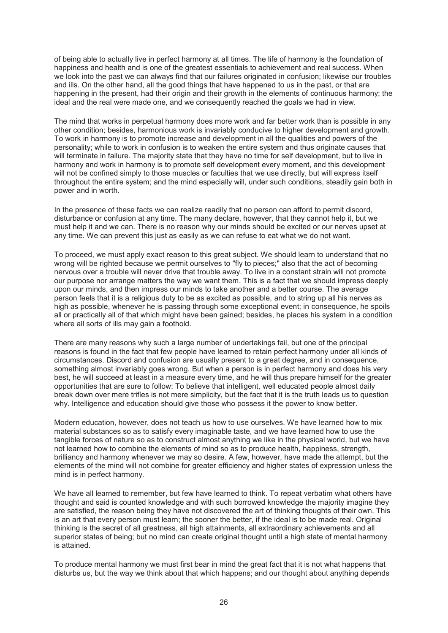of being able to actually live in perfect harmony at all times. The life of harmony is the foundation of happiness and health and is one of the greatest essentials to achievement and real success. When we look into the past we can always find that our failures originated in confusion; likewise our troubles and ills. On the other hand, all the good things that have happened to us in the past, or that are happening in the present, had their origin and their growth in the elements of continuous harmony; the ideal and the real were made one, and we consequently reached the goals we had in view.

The mind that works in perpetual harmony does more work and far better work than is possible in any other condition; besides, harmonious work is invariably conducive to higher development and growth. To work in harmony is to promote increase and development in all the qualities and powers of the personality; while to work in confusion is to weaken the entire system and thus originate causes that will terminate in failure. The majority state that they have no time for self development, but to live in harmony and work in harmony is to promote self development every moment, and this development will not be confined simply to those muscles or faculties that we use directly, but will express itself throughout the entire system; and the mind especially will, under such conditions, steadily gain both in power and in worth.

In the presence of these facts we can realize readily that no person can afford to permit discord, disturbance or confusion at any time. The many declare, however, that they cannot help it, but we must help it and we can. There is no reason why our minds should be excited or our nerves upset at any time. We can prevent this just as easily as we can refuse to eat what we do not want.

To proceed, we must apply exact reason to this great subject. We should learn to understand that no wrong will be righted because we permit ourselves to "fly to pieces;" also that the act of becoming nervous over a trouble will never drive that trouble away. To live in a constant strain will not promote our purpose nor arrange matters the way we want them. This is a fact that we should impress deeply upon our minds, and then impress our minds to take another and a better course. The average person feels that it is a religious duty to be as excited as possible, and to string up all his nerves as high as possible, whenever he is passing through some exceptional event; in consequence, he spoils all or practically all of that which might have been gained; besides, he places his system in a condition where all sorts of ills may gain a foothold.

There are many reasons why such a large number of undertakings fail, but one of the principal reasons is found in the fact that few people have learned to retain perfect harmony under all kinds of circumstances. Discord and confusion are usually present to a great degree, and in consequence, something almost invariably goes wrong. But when a person is in perfect harmony and does his very best, he will succeed at least in a measure every time, and he will thus prepare himself for the greater opportunities that are sure to follow: To believe that intelligent, well educated people almost daily break down over mere trifles is not mere simplicity, but the fact that it is the truth leads us to question why. Intelligence and education should give those who possess it the power to know better.

Modern education, however, does not teach us how to use ourselves. We have learned how to mix material substances so as to satisfy every imaginable taste, and we have learned how to use the tangible forces of nature so as to construct almost anything we like in the physical world, but we have not learned how to combine the elements of mind so as to produce health, happiness, strength, brilliancy and harmony whenever we may so desire. A few, however, have made the attempt, but the elements of the mind will not combine for greater efficiency and higher states of expression unless the mind is in perfect harmony.

We have all learned to remember, but few have learned to think. To repeat verbatim what others have thought and said is counted knowledge and with such borrowed knowledge the majority imagine they are satisfied, the reason being they have not discovered the art of thinking thoughts of their own. This is an art that every person must learn; the sooner the better, if the ideal is to be made real. Original thinking is the secret of all greatness, all high attainments, all extraordinary achievements and all superior states of being; but no mind can create original thought until a high state of mental harmony is attained.

To produce mental harmony we must first bear in mind the great fact that it is not what happens that disturbs us, but the way we think about that which happens; and our thought about anything depends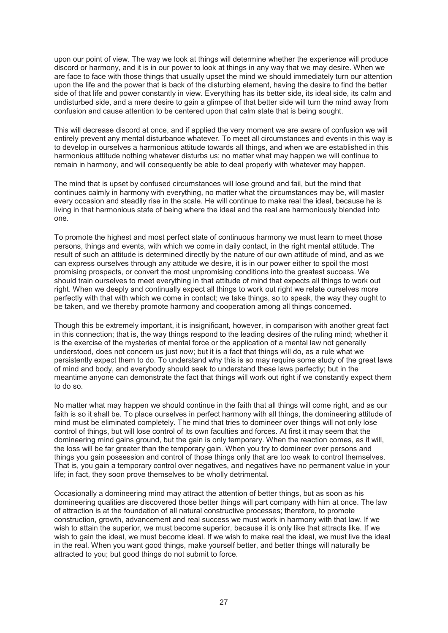upon our point of view. The way we look at things will determine whether the experience will produce discord or harmony, and it is in our power to look at things in any way that we may desire. When we are face to face with those things that usually upset the mind we should immediately turn our attention upon the life and the power that is back of the disturbing element, having the desire to find the better side of that life and power constantly in view. Everything has its better side, its ideal side, its calm and undisturbed side, and a mere desire to gain a glimpse of that better side will turn the mind away from confusion and cause attention to be centered upon that calm state that is being sought.

This will decrease discord at once, and if applied the very moment we are aware of confusion we will entirely prevent any mental disturbance whatever. To meet all circumstances and events in this way is to develop in ourselves a harmonious attitude towards all things, and when we are established in this harmonious attitude nothing whatever disturbs us; no matter what may happen we will continue to remain in harmony, and will consequently be able to deal properly with whatever may happen.

The mind that is upset by confused circumstances will lose ground and fail, but the mind that continues calmly in harmony with everything, no matter what the circumstances may be, will master every occasion and steadily rise in the scale. He will continue to make real the ideal, because he is living in that harmonious state of being where the ideal and the real are harmoniously blended into one.

To promote the highest and most perfect state of continuous harmony we must learn to meet those persons, things and events, with which we come in daily contact, in the right mental attitude. The result of such an attitude is determined directly by the nature of our own attitude of mind, and as we can express ourselves through any attitude we desire, it is in our power either to spoil the most promising prospects, or convert the most unpromising conditions into the greatest success. We should train ourselves to meet everything in that attitude of mind that expects all things to work out right. When we deeply and continually expect all things to work out right we relate ourselves more perfectly with that with which we come in contact; we take things, so to speak, the way they ought to be taken, and we thereby promote harmony and cooperation among all things concerned.

Though this be extremely important, it is insignificant, however, in comparison with another great fact in this connection; that is, the way things respond to the leading desires of the ruling mind; whether it is the exercise of the mysteries of mental force or the application of a mental law not generally understood, does not concern us just now; but it is a fact that things will do, as a rule what we persistently expect them to do. To understand why this is so may require some study of the great laws of mind and body, and everybody should seek to understand these laws perfectly; but in the meantime anyone can demonstrate the fact that things will work out right if we constantly expect them to do so.

No matter what may happen we should continue in the faith that all things will come right, and as our faith is so it shall be. To place ourselves in perfect harmony with all things, the domineering attitude of mind must be eliminated completely. The mind that tries to domineer over things will not only lose control of things, but will lose control of its own faculties and forces. At first it may seem that the domineering mind gains ground, but the gain is only temporary. When the reaction comes, as it will, the loss will be far greater than the temporary gain. When you try to domineer over persons and things you gain possession and control of those things only that are too weak to control themselves. That is, you gain a temporary control over negatives, and negatives have no permanent value in your life; in fact, they soon prove themselves to be wholly detrimental.

Occasionally a domineering mind may attract the attention of better things, but as soon as his domineering qualities are discovered those better things will part company with him at once. The law of attraction is at the foundation of all natural constructive processes; therefore, to promote construction, growth, advancement and real success we must work in harmony with that law. If we wish to attain the superior, we must become superior, because it is only like that attracts like. If we wish to gain the ideal, we must become ideal. If we wish to make real the ideal, we must live the ideal in the real. When you want good things, make yourself better, and better things will naturally be attracted to you; but good things do not submit to force.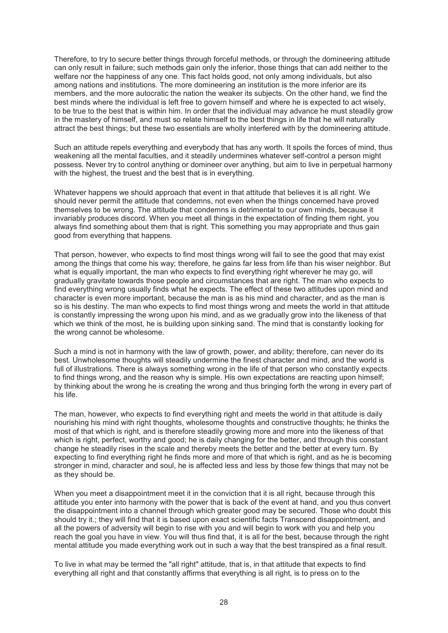Therefore, to try to secure better things through forceful methods, or through the domineering attitude can only result in failure; such methods gain only the inferior, those things that can add neither to the welfare nor the happiness of any one. This fact holds good, not only among individuals, but also among nations and institutions. The more domineering an institution is the more inferior are its members, and the more autocratic the nation the weaker its subjects. On the other hand, we find the best minds where the individual is left free to govern himself and where he is expected to act wisely, to be true to the best that is within him. In order that the individual may advance he must steadily grow in the mastery of himself, and must so relate himself to the best things in life that he will naturally attract the best things; but these two essentials are wholly interfered with by the domineering attitude.

Such an attitude repels everything and everybody that has any worth. It spoils the forces of mind, thus weakening all the mental faculties, and it steadily undermines whatever self-control a person might possess. Never try to control anything or domineer over anything, but aim to live in perpetual harmony with the highest, the truest and the best that is in everything.

Whatever happens we should approach that event in that attitude that believes it is all right. We should never permit the attitude that condemns, not even when the things concerned have proved themselves to be wrong. The attitude that condemns is detrimental to our own minds, because it invariably produces discord. When you meet all things in the expectation of finding them right, you always find something about them that is right. This something you may appropriate and thus gain good from everything that happens.

That person, however, who expects to find most things wrong will fail to see the good that may exist among the things that come his way; therefore, he gains far less from life than his wiser neighbor. But what is equally important, the man who expects to find everything right wherever he may go, will gradually gravitate towards those people and circumstances that are right. The man who expects to find everything wrong usually finds what he expects. The effect of these two attitudes upon mind and character is even more important, because the man is as his mind and character, and as the man is so is his destiny. The man who expects to find most things wrong and meets the world in that attitude is constantly impressing the wrong upon his mind, and as we gradually grow into the likeness of that which we think of the most, he is building upon sinking sand. The mind that is constantly looking for the wrong cannot be wholesome.

Such a mind is not in harmony with the law of growth, power, and ability; therefore, can never do its best. Unwholesome thoughts will steadily undermine the finest character and mind, and the world is full of illustrations. There is always something wrong in the life of that person who constantly expects to find things wrong, and the reason why is simple. His own expectations are reacting upon himself; by thinking about the wrong he is creating the wrong and thus bringing forth the wrong in every part of his life.

The man, however, who expects to find everything right and meets the world in that attitude is daily nourishing his mind with right thoughts, wholesome thoughts and constructive thoughts; he thinks the most of that which is right, and is therefore steadily growing more and more into the likeness of that which is right, perfect, worthy and good; he is daily changing for the better, and through this constant change he steadily rises in the scale and thereby meets the better and the better at every turn. By expecting to find everything right he finds more and more of that which is right, and as he is becoming stronger in mind, character and soul, he is affected less and less by those few things that may not be as they should be.

When you meet a disappointment meet it in the conviction that it is all right, because through this attitude you enter into harmony with the power that is back of the event at hand, and you thus convert the disappointment into a channel through which greater good may be secured. Those who doubt this should try it.; they will find that it is based upon exact scientific facts Transcend disappointment, and all the powers of adversity will begin to rise with you and will begin to work with you and help you reach the goal you have in view. You will thus find that, it is all for the best, because through the right mental attitude you made everything work out in such a way that the best transpired as a final result.

To live in what may be termed the "all right" attitude, that is, in that attitude that expects to find everything all right and that constantly affirms that everything is all right, is to press on to the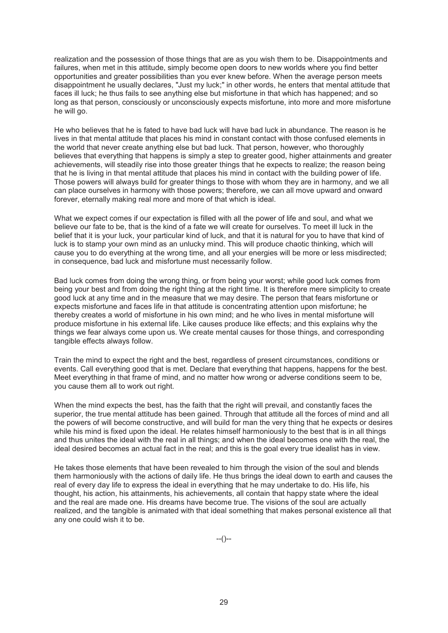realization and the possession of those things that are as you wish them to be. Disappointments and failures, when met in this attitude, simply become open doors to new worlds where you find better opportunities and greater possibilities than you ever knew before. When the average person meets disappointment he usually declares, "Just my luck;" in other words, he enters that mental attitude that faces ill luck; he thus fails to see anything else but misfortune in that which has happened; and so long as that person, consciously or unconsciously expects misfortune, into more and more misfortune he will go.

He who believes that he is fated to have bad luck will have bad luck in abundance. The reason is he lives in that mental attitude that places his mind in constant contact with those confused elements in the world that never create anything else but bad luck. That person, however, who thoroughly believes that everything that happens is simply a step to greater good, higher attainments and greater achievements, will steadily rise into those greater things that he expects to realize; the reason being that he is living in that mental attitude that places his mind in contact with the building power of life. Those powers will always build for greater things to those with whom they are in harmony, and we all can place ourselves in harmony with those powers; therefore, we can all move upward and onward forever, eternally making real more and more of that which is ideal.

What we expect comes if our expectation is filled with all the power of life and soul, and what we believe our fate to be, that is the kind of a fate we will create for ourselves. To meet ill luck in the belief that it is your luck, your particular kind of luck, and that it is natural for you to have that kind of luck is to stamp your own mind as an unlucky mind. This will produce chaotic thinking, which will cause you to do everything at the wrong time, and all your energies will be more or less misdirected; in consequence, bad luck and misfortune must necessarily follow.

Bad luck comes from doing the wrong thing, or from being your worst; while good luck comes from being your best and from doing the right thing at the right time. It is therefore mere simplicity to create good luck at any time and in the measure that we may desire. The person that fears misfortune or expects misfortune and faces life in that attitude is concentrating attention upon misfortune; he thereby creates a world of misfortune in his own mind; and he who lives in mental misfortune will produce misfortune in his external life. Like causes produce like effects; and this explains why the things we fear always come upon us. We create mental causes for those things, and corresponding tangible effects always follow.

Train the mind to expect the right and the best, regardless of present circumstances, conditions or events. Call everything good that is met. Declare that everything that happens, happens for the best. Meet everything in that frame of mind, and no matter how wrong or adverse conditions seem to be, you cause them all to work out right.

When the mind expects the best, has the faith that the right will prevail, and constantly faces the superior, the true mental attitude has been gained. Through that attitude all the forces of mind and all the powers of will become constructive, and will build for man the very thing that he expects or desires while his mind is fixed upon the ideal. He relates himself harmoniously to the best that is in all things and thus unites the ideal with the real in all things; and when the ideal becomes one with the real, the ideal desired becomes an actual fact in the real; and this is the goal every true idealist has in view.

He takes those elements that have been revealed to him through the vision of the soul and blends them harmoniously with the actions of daily life. He thus brings the ideal down to earth and causes the real of every day life to express the ideal in everything that he may undertake to do. His life, his thought, his action, his attainments, his achievements, all contain that happy state where the ideal and the real are made one. His dreams have become true. The visions of the soul are actually realized, and the tangible is animated with that ideal something that makes personal existence all that any one could wish it to be.

--()--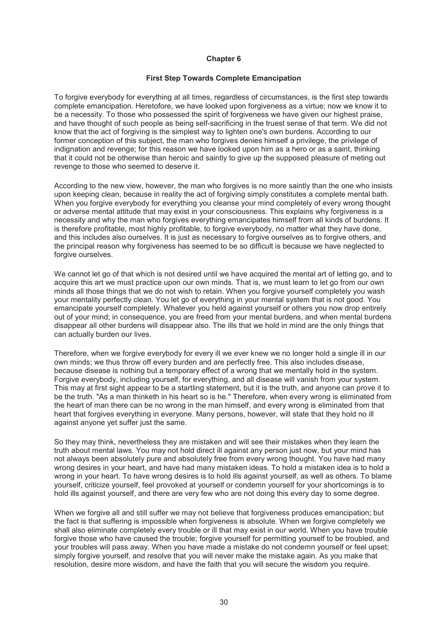### **First Step Towards Complete Emancipation**

To forgive everybody for everything at all times, regardless of circumstances, is the first step towards complete emancipation. Heretofore, we have looked upon forgiveness as a virtue; now we know it to be a necessity. To those who possessed the spirit of forgiveness we have given our highest praise, and have thought of such people as being self-sacrificing in the truest sense of that term. We did not know that the act of forgiving is the simplest way to lighten one's own burdens. According to our former conception of this subject, the man who forgives denies himself a privilege, the privilege of indignation and revenge; for this reason we have looked upon him as a hero or as a saint, thinking that it could not be otherwise than heroic and saintly to give up the supposed pleasure of meting out revenge to those who seemed to deserve it.

According to the new view, however, the man who forgives is no more saintly than the one who insists upon keeping clean, because in reality the act of forgiving simply constitutes a complete mental bath. When you forgive everybody for everything you cleanse your mind completely of every wrong thought or adverse mental attitude that may exist in your consciousness. This explains why forgiveness is a necessity and why the man who forgives everything emancipates himself from all kinds of burdens. It is therefore profitable, most highly profitable, to forgive everybody, no matter what they have done, and this includes also ourselves. It is just as necessary to forgive ourselves as to forgive others, and the principal reason why forgiveness has seemed to be so difficult is because we have neglected to forgive ourselves.

We cannot let go of that which is not desired until we have acquired the mental art of letting go, and to acquire this art we must practice upon our own minds. That is, we must learn to let go from our own minds all those things that we do not wish to retain. When you forgive yourself completely you wash your mentality perfectly clean. You let go of everything in your mental system that is not good. You emancipate yourself completely. Whatever you held against yourself or others you now drop entirely out of your mind; in consequence, you are freed from your mental burdens, and when mental burdens disappear all other burdens will disappear also. The ills that we hold in mind are the only things that can actually burden our lives.

Therefore, when we forgive everybody for every ill we ever knew we no longer hold a single ill in our own minds; we thus throw off every burden and are perfectly free. This also includes disease, because disease is nothing but a temporary effect of a wrong that we mentally hold in the system. Forgive everybody, including yourself, for everything, and all disease will vanish from your system. This may at first sight appear to be a startling statement, but it is the truth, and anyone can prove it to be the truth. "As a man thinketh in his heart so is he." Therefore, when every wrong is eliminated from the heart of man there can be no wrong in the man himself, and every wrong is eliminated from that heart that forgives everything in everyone. Many persons, however, will state that they hold no ill against anyone yet suffer just the same.

So they may think, nevertheless they are mistaken and will see their mistakes when they learn the truth about mental laws. You may not hold direct ill against any person just now, but your mind has not always been absolutely pure and absolutely free from every wrong thought. You have had many wrong desires in your heart, and have had many mistaken ideas. To hold a mistaken idea is to hold a wrong in your heart. To have wrong desires is to hold ills against yourself, as well as others. To blame yourself, criticize yourself, feel provoked at yourself or condemn yourself for your shortcomings is to hold ills against yourself, and there are very few who are not doing this every day to some degree.

When we forgive all and still suffer we may not believe that forgiveness produces emancipation; but the fact is that suffering is impossible when forgiveness is absolute. When we forgive completely we shall also eliminate completely every trouble or ill that may exist in our world. When you have trouble forgive those who have caused the trouble; forgive yourself for permitting yourself to be troubled, and your troubles will pass away. When you have made a mistake do not condemn yourself or feel upset; simply forgive yourself, and resolve that you will never make the mistake again. As you make that resolution, desire more wisdom, and have the faith that you will secure the wisdom you require.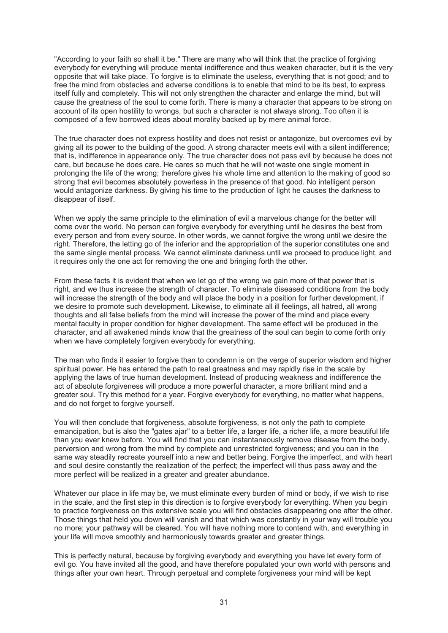"According to your faith so shall it be." There are many who will think that the practice of forgiving everybody for everything will produce mental indifference and thus weaken character, but it is the very opposite that will take place. To forgive is to eliminate the useless, everything that is not good; and to free the mind from obstacles and adverse conditions is to enable that mind to be its best, to express itself fully and completely. This will not only strengthen the character and enlarge the mind, but will cause the greatness of the soul to come forth. There is many a character that appears to be strong on account of its open hostility to wrongs, but such a character is not always strong. Too often it is composed of a few borrowed ideas about morality backed up by mere animal force.

The true character does not express hostility and does not resist or antagonize, but overcomes evil by giving all its power to the building of the good. A strong character meets evil with a silent indifference; that is, indifference in appearance only. The true character does not pass evil by because he does not care, but because he does care. He cares so much that he will not waste one single moment in prolonging the life of the wrong; therefore gives his whole time and attention to the making of good so strong that evil becomes absolutely powerless in the presence of that good. No intelligent person would antagonize darkness. By giving his time to the production of light he causes the darkness to disappear of itself.

When we apply the same principle to the elimination of evil a marvelous change for the better will come over the world. No person can forgive everybody for everything until he desires the best from every person and from every source. In other words, we cannot forgive the wrong until we desire the right. Therefore, the letting go of the inferior and the appropriation of the superior constitutes one and the same single mental process. We cannot eliminate darkness until we proceed to produce light, and it requires only the one act for removing the one and bringing forth the other.

From these facts it is evident that when we let go of the wrong we gain more of that power that is right, and we thus increase the strength of character. To eliminate diseased conditions from the body will increase the strength of the body and will place the body in a position for further development, if we desire to promote such development. Likewise, to eliminate all ill feelings, all hatred, all wrong thoughts and all false beliefs from the mind will increase the power of the mind and place every mental faculty in proper condition for higher development. The same effect will be produced in the character, and all awakened minds know that the greatness of the soul can begin to come forth only when we have completely forgiven everybody for everything.

The man who finds it easier to forgive than to condemn is on the verge of superior wisdom and higher spiritual power. He has entered the path to real greatness and may rapidly rise in the scale by applying the laws of true human development. Instead of producing weakness and indifference the act of absolute forgiveness will produce a more powerful character, a more brilliant mind and a greater soul. Try this method for a year. Forgive everybody for everything, no matter what happens, and do not forget to forgive yourself.

You will then conclude that forgiveness, absolute forgiveness, is not only the path to complete emancipation, but is also the "gates ajar" to a better life, a larger life, a richer life, a more beautiful life than you ever knew before. You will find that you can instantaneously remove disease from the body, perversion and wrong from the mind by complete and unrestricted forgiveness; and you can in the same way steadily recreate yourself into a new and better being. Forgive the imperfect, and with heart and soul desire constantly the realization of the perfect; the imperfect will thus pass away and the more perfect will be realized in a greater and greater abundance.

Whatever our place in life may be, we must eliminate every burden of mind or body, if we wish to rise in the scale, and the first step in this direction is to forgive everybody for everything. When you begin to practice forgiveness on this extensive scale you will find obstacles disappearing one after the other. Those things that held you down will vanish and that which was constantly in your way will trouble you no more; your pathway will be cleared. You will have nothing more to contend with, and everything in your life will move smoothly and harmoniously towards greater and greater things.

This is perfectly natural, because by forgiving everybody and everything you have let every form of evil go. You have invited all the good, and have therefore populated your own world with persons and things after your own heart. Through perpetual and complete forgiveness your mind will be kept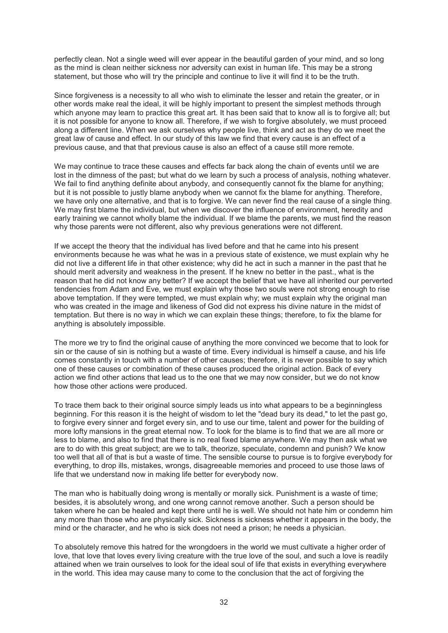perfectly clean. Not a single weed will ever appear in the beautiful garden of your mind, and so long as the mind is clean neither sickness nor adversity can exist in human life. This may be a strong statement, but those who will try the principle and continue to live it will find it to be the truth.

Since forgiveness is a necessity to all who wish to eliminate the lesser and retain the greater, or in other words make real the ideal, it will be highly important to present the simplest methods through which anyone may learn to practice this great art. It has been said that to know all is to forgive all; but it is not possible for anyone to know all. Therefore, if we wish to forgive absolutely, we must proceed along a different line. When we ask ourselves why people live, think and act as they do we meet the great law of cause and effect. In our study of this law we find that every cause is an effect of a previous cause, and that that previous cause is also an effect of a cause still more remote.

We may continue to trace these causes and effects far back along the chain of events until we are lost in the dimness of the past; but what do we learn by such a process of analysis, nothing whatever. We fail to find anything definite about anybody, and consequently cannot fix the blame for anything; but it is not possible to justly blame anybody when we cannot fix the blame for anything. Therefore, we have only one alternative, and that is to forgive. We can never find the real cause of a single thing. We may first blame the individual, but when we discover the influence of environment, heredity and early training we cannot wholly blame the individual. If we blame the parents, we must find the reason why those parents were not different, also why previous generations were not different.

If we accept the theory that the individual has lived before and that he came into his present environments because he was what he was in a previous state of existence, we must explain why he did not live a different life in that other existence; why did he act in such a manner in the past that he should merit adversity and weakness in the present. If he knew no better in the past., what is the reason that he did not know any better? If we accept the belief that we have all inherited our perverted tendencies from Adam and Eve, we must explain why those two souls were not strong enough to rise above temptation. If they were tempted, we must explain why; we must explain why the original man who was created in the image and likeness of God did not express his divine nature in the midst of temptation. But there is no way in which we can explain these things; therefore, to fix the blame for anything is absolutely impossible.

The more we try to find the original cause of anything the more convinced we become that to look for sin or the cause of sin is nothing but a waste of time. Every individual is himself a cause, and his life comes constantly in touch with a number of other causes; therefore, it is never possible to say which one of these causes or combination of these causes produced the original action. Back of every action we find other actions that lead us to the one that we may now consider, but we do not know how those other actions were produced.

To trace them back to their original source simply leads us into what appears to be a beginningless beginning. For this reason it is the height of wisdom to let the "dead bury its dead," to let the past go, to forgive every sinner and forget every sin, and to use our time, talent and power for the building of more lofty mansions in the great eternal now. To look for the blame is to find that we are all more or less to blame, and also to find that there is no real fixed blame anywhere. We may then ask what we are to do with this great subject; are we to talk, theorize, speculate, condemn and punish? We know too well that all of that is but a waste of time. The sensible course to pursue is to forgive everybody for everything, to drop ills, mistakes, wrongs, disagreeable memories and proceed to use those laws of life that we understand now in making life better for everybody now.

The man who is habitually doing wrong is mentally or morally sick. Punishment is a waste of time; besides, it is absolutely wrong, and one wrong cannot remove another. Such a person should be taken where he can be healed and kept there until he is well. We should not hate him or condemn him any more than those who are physically sick. Sickness is sickness whether it appears in the body, the mind or the character, and he who is sick does not need a prison; he needs a physician.

To absolutely remove this hatred for the wrongdoers in the world we must cultivate a higher order of love, that love that loves every living creature with the true love of the soul, and such a love is readily attained when we train ourselves to look for the ideal soul of life that exists in everything everywhere in the world. This idea may cause many to come to the conclusion that the act of forgiving the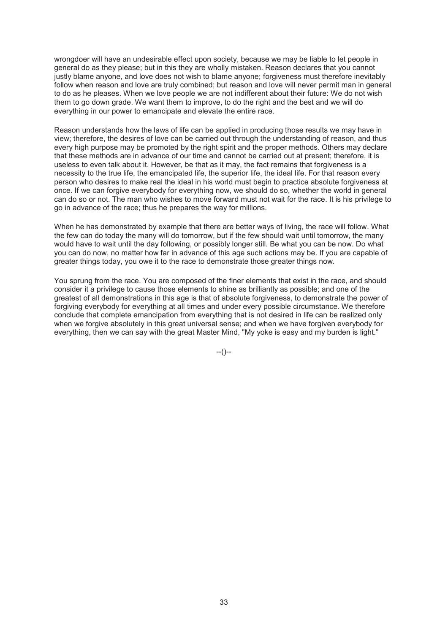wrongdoer will have an undesirable effect upon society, because we may be liable to let people in general do as they please; but in this they are wholly mistaken. Reason declares that you cannot justly blame anyone, and love does not wish to blame anyone; forgiveness must therefore inevitably follow when reason and love are truly combined; but reason and love will never permit man in general to do as he pleases. When we love people we are not indifferent about their future: We do not wish them to go down grade. We want them to improve, to do the right and the best and we will do everything in our power to emancipate and elevate the entire race.

Reason understands how the laws of life can be applied in producing those results we may have in view; therefore, the desires of love can be carried out through the understanding of reason, and thus every high purpose may be promoted by the right spirit and the proper methods. Others may declare that these methods are in advance of our time and cannot be carried out at present; therefore, it is useless to even talk about it. However, be that as it may, the fact remains that forgiveness is a necessity to the true life, the emancipated life, the superior life, the ideal life. For that reason every person who desires to make real the ideal in his world must begin to practice absolute forgiveness at once. If we can forgive everybody for everything now, we should do so, whether the world in general can do so or not. The man who wishes to move forward must not wait for the race. It is his privilege to go in advance of the race; thus he prepares the way for millions.

When he has demonstrated by example that there are better ways of living, the race will follow. What the few can do today the many will do tomorrow, but if the few should wait until tomorrow, the many would have to wait until the day following, or possibly longer still. Be what you can be now. Do what you can do now, no matter how far in advance of this age such actions may be. If you are capable of greater things today, you owe it to the race to demonstrate those greater things now.

You sprung from the race. You are composed of the finer elements that exist in the race, and should consider it a privilege to cause those elements to shine as brilliantly as possible; and one of the greatest of all demonstrations in this age is that of absolute forgiveness, to demonstrate the power of forgiving everybody for everything at all times and under every possible circumstance. We therefore conclude that complete emancipation from everything that is not desired in life can be realized only when we forgive absolutely in this great universal sense; and when we have forgiven everybody for everything, then we can say with the great Master Mind, "My yoke is easy and my burden is light."

 $-(-)$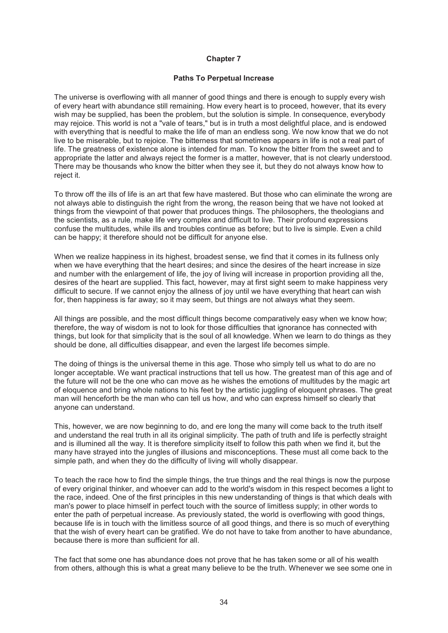#### **Paths To Perpetual Increase**

The universe is overflowing with all manner of good things and there is enough to supply every wish of every heart with abundance still remaining. How every heart is to proceed, however, that its every wish may be supplied, has been the problem, but the solution is simple. In consequence, everybody may rejoice. This world is not a "vale of tears," but is in truth a most delightful place, and is endowed with everything that is needful to make the life of man an endless song. We now know that we do not live to be miserable, but to rejoice. The bitterness that sometimes appears in life is not a real part of life. The greatness of existence alone is intended for man. To know the bitter from the sweet and to appropriate the latter and always reject the former is a matter, however, that is not clearly understood. There may be thousands who know the bitter when they see it, but they do not always know how to reject it.

To throw off the ills of life is an art that few have mastered. But those who can eliminate the wrong are not always able to distinguish the right from the wrong, the reason being that we have not looked at things from the viewpoint of that power that produces things. The philosophers, the theologians and the scientists, as a rule, make life very complex and difficult to live. Their profound expressions confuse the multitudes, while ills and troubles continue as before; but to live is simple. Even a child can be happy; it therefore should not be difficult for anyone else.

When we realize happiness in its highest, broadest sense, we find that it comes in its fullness only when we have everything that the heart desires; and since the desires of the heart increase in size and number with the enlargement of life, the joy of living will increase in proportion providing all the, desires of the heart are supplied. This fact, however, may at first sight seem to make happiness very difficult to secure. If we cannot enjoy the allness of joy until we have everything that heart can wish for, then happiness is far away; so it may seem, but things are not always what they seem.

All things are possible, and the most difficult things become comparatively easy when we know how; therefore, the way of wisdom is not to look for those difficulties that ignorance has connected with things, but look for that simplicity that is the soul of all knowledge. When we learn to do things as they should be done, all difficulties disappear, and even the largest life becomes simple.

The doing of things is the universal theme in this age. Those who simply tell us what to do are no longer acceptable. We want practical instructions that tell us how. The greatest man of this age and of the future will not be the one who can move as he wishes the emotions of multitudes by the magic art of eloquence and bring whole nations to his feet by the artistic juggling of eloquent phrases. The great man will henceforth be the man who can tell us how, and who can express himself so clearly that anyone can understand.

This, however, we are now beginning to do, and ere long the many will come back to the truth itself and understand the real truth in all its original simplicity. The path of truth and life is perfectly straight and is illumined all the way. It is therefore simplicity itself to follow this path when we find it, but the many have strayed into the jungles of illusions and misconceptions. These must all come back to the simple path, and when they do the difficulty of living will wholly disappear.

To teach the race how to find the simple things, the true things and the real things is now the purpose of every original thinker, and whoever can add to the world's wisdom in this respect becomes a light to the race, indeed. One of the first principles in this new understanding of things is that which deals with man's power to place himself in perfect touch with the source of limitless supply; in other words to enter the path of perpetual increase. As previously stated, the world is overflowing with good things, because life is in touch with the limitless source of all good things, and there is so much of everything that the wish of every heart can be gratified. We do not have to take from another to have abundance, because there is more than sufficient for all.

The fact that some one has abundance does not prove that he has taken some or all of his wealth from others, although this is what a great many believe to be the truth. Whenever we see some one in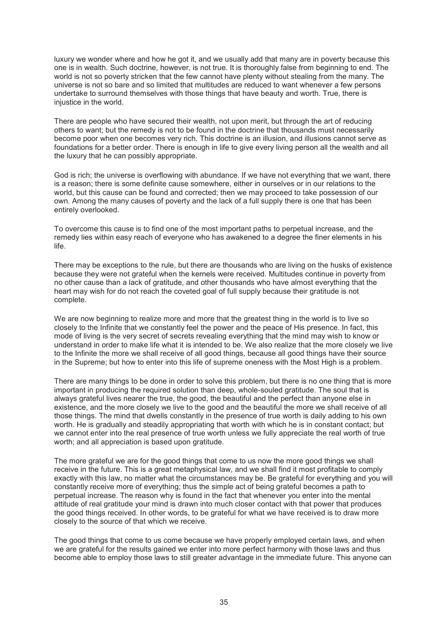luxury we wonder where and how he got it, and we usually add that many are in poverty because this one is in wealth. Such doctrine, however, is not true. It is thoroughly false from beginning to end. The world is not so poverty stricken that the few cannot have plenty without stealing from the many. The universe is not so bare and so limited that multitudes are reduced to want whenever a few persons undertake to surround themselves with those things that have beauty and worth. True, there is injustice in the world.

There are people who have secured their wealth, not upon merit, but through the art of reducing others to want; but the remedy is not to be found in the doctrine that thousands must necessarily become poor when one becomes very rich. This doctrine is an illusion, and illusions cannot serve as foundations for a better order. There is enough in life to give every living person all the wealth and all the luxury that he can possibly appropriate.

God is rich; the universe is overflowing with abundance. If we have not everything that we want, there is a reason; there is some definite cause somewhere, either in ourselves or in our relations to the world, but this cause can be found and corrected; then we may proceed to take possession of our own. Among the many causes of poverty and the lack of a full supply there is one that has been entirely overlooked.

To overcome this cause is to find one of the most important paths to perpetual increase, and the remedy lies within easy reach of everyone who has awakened to a degree the finer elements in his life.

There may be exceptions to the rule, but there are thousands who are living on the husks of existence because they were not grateful when the kernels were received. Multitudes continue in poverty from no other cause than a lack of gratitude, and other thousands who have almost everything that the heart may wish for do not reach the coveted goal of full supply because their gratitude is not complete.

We are now beginning to realize more and more that the greatest thing in the world is to live so closely to the Infinite that we constantly feel the power and the peace of His presence. In fact, this mode of living is the very secret of secrets revealing everything that the mind may wish to know or understand in order to make life what it is intended to be. We also realize that the more closely we live to the Infinite the more we shall receive of all good things, because all good things have their source in the Supreme; but how to enter into this life of supreme oneness with the Most High is a problem.

There are many things to be done in order to solve this problem, but there is no one thing that is more important in producing the required solution than deep, whole-souled gratitude. The soul that is always grateful lives nearer the true, the good, the beautiful and the perfect than anyone else in existence, and the more closely we live to the good and the beautiful the more we shall receive of all those things. The mind that dwells constantly in the presence of true worth is daily adding to his own worth. He is gradually and steadily appropriating that worth with which he is in constant contact; but we cannot enter into the real presence of true worth unless we fully appreciate the real worth of true worth; and all appreciation is based upon gratitude.

The more grateful we are for the good things that come to us now the more good things we shall receive in the future. This is a great metaphysical law, and we shall find it most profitable to comply exactly with this law, no matter what the circumstances may be. Be grateful for everything and you will constantly receive more of everything; thus the simple act of being grateful becomes a path to perpetual increase. The reason why is found in the fact that whenever you enter into the mental attitude of real gratitude your mind is drawn into much closer contact with that power that produces the good things received. In other words, to be grateful for what we have received is to draw more closely to the source of that which we receive.

The good things that come to us come because we have properly employed certain laws, and when we are grateful for the results gained we enter into more perfect harmony with those laws and thus become able to employ those laws to still greater advantage in the immediate future. This anyone can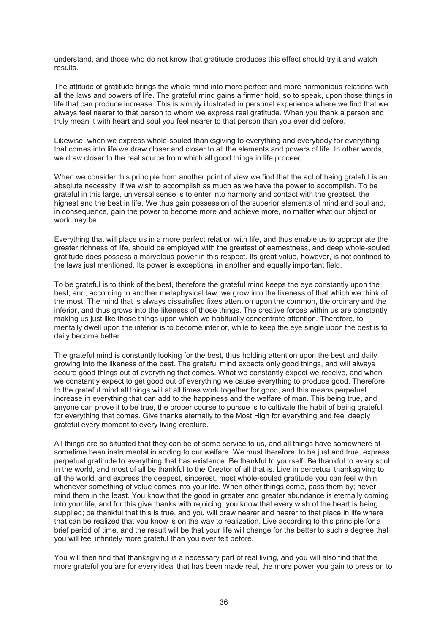understand, and those who do not know that gratitude produces this effect should try it and watch results.

The attitude of gratitude brings the whole mind into more perfect and more harmonious relations with all the laws and powers of life. The grateful mind gains a firmer hold, so to speak, upon those things in life that can produce increase. This is simply illustrated in personal experience where we find that we always feel nearer to that person to whom we express real gratitude. When you thank a person and truly mean it with heart and soul you feel nearer to that person than you ever did before.

Likewise, when we express whole-souled thanksgiving to everything and everybody for everything that comes into life we draw closer and closer to all the elements and powers of life. In other words, we draw closer to the real source from which all good things in life proceed.

When we consider this principle from another point of view we find that the act of being grateful is an absolute necessity, if we wish to accomplish as much as we have the power to accomplish. To be grateful in this large, universal sense is to enter into harmony and contact with the greatest, the highest and the best in life. We thus gain possession of the superior elements of mind and soul and, in consequence, gain the power to become more and achieve more, no matter what our object or work may be.

Everything that will place us in a more perfect relation with life, and thus enable us to appropriate the greater richness of life, should be employed with the greatest of earnestness, and deep whole-souled gratitude does possess a marvelous power in this respect. Its great value, however, is not confined to the laws just mentioned. Its power is exceptional in another and equally important field.

To be grateful is to think of the best, therefore the grateful mind keeps the eye constantly upon the best; and, according to another metaphysical law, we grow into the likeness of that which we think of the most. The mind that is always dissatisfied fixes attention upon the common, the ordinary and the inferior, and thus grows into the likeness of those things. The creative forces within us are constantly making us just like those things upon which we habitually concentrate attention. Therefore, to mentally dwell upon the inferior is to become inferior, while to keep the eye single upon the best is to daily become better.

The grateful mind is constantly looking for the best, thus holding attention upon the best and daily growing into the likeness of the best. The grateful mind expects only good things, and will always secure good things out of everything that comes. What we constantly expect we receive, and when we constantly expect to get good out of everything we cause everything to produce good. Therefore, to the grateful mind all things will at all times work together for good, and this means perpetual increase in everything that can add to the happiness and the welfare of man. This being true, and anyone can prove it to be true, the proper course to pursue is to cultivate the habit of being grateful for everything that comes. Give thanks eternally to the Most High for everything and feel deeply grateful every moment to every living creature.

All things are so situated that they can be of some service to us, and all things have somewhere at sometime been instrumental in adding to our welfare. We must therefore, to be just and true, express perpetual gratitude to everything that has existence. Be thankful to yourself. Be thankful to every soul in the world, and most of all be thankful to the Creator of all that is. Live in perpetual thanksgiving to all the world, and express the deepest, sincerest, most whole-souled gratitude you can feel within whenever something of value comes into your life. When other things come, pass them by; never mind them in the least. You know that the good in greater and greater abundance is eternally coming into your life, and for this give thanks with rejoicing; you know that every wish of the heart is being supplied; be thankful that this is true, and you will draw nearer and nearer to that place in life where that can be realized that you know is on the way to realization. Live according to this principle for a brief period of time, and the result will be that your life will change for the better to such a degree that you will feel infinitely more grateful than you ever felt before.

You will then find that thanksgiving is a necessary part of real living, and you will also find that the more grateful you are for every ideal that has been made real, the more power you gain to press on to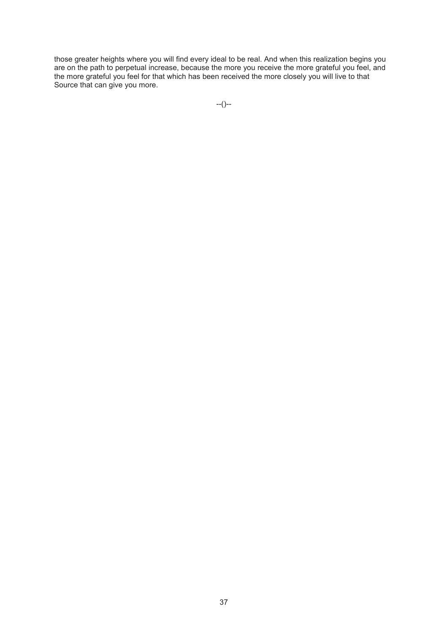those greater heights where you will find every ideal to be real. And when this realization begins you are on the path to perpetual increase, because the more you receive the more grateful you feel, and the more grateful you feel for that which has been received the more closely you will live to that Source that can give you more.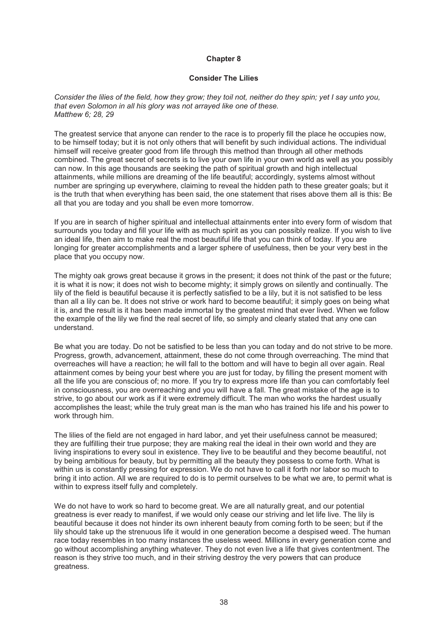### **Consider The Lilies**

*Consider the lilies of the field, how they grow; they toil not, neither do they spin; yet I say unto you, that even Solomon in all his glory was not arrayed like one of these. Matthew 6; 28, 29* 

The greatest service that anyone can render to the race is to properly fill the place he occupies now, to be himself today; but it is not only others that will benefit by such individual actions. The individual himself will receive greater good from life through this method than through all other methods combined. The great secret of secrets is to live your own life in your own world as well as you possibly can now. In this age thousands are seeking the path of spiritual growth and high intellectual attainments, while millions are dreaming of the life beautiful; accordingly, systems almost without number are springing up everywhere, claiming to reveal the hidden path to these greater goals; but it is the truth that when everything has been said, the one statement that rises above them all is this: Be all that you are today and you shall be even more tomorrow.

If you are in search of higher spiritual and intellectual attainments enter into every form of wisdom that surrounds you today and fill your life with as much spirit as you can possibly realize. If you wish to live an ideal life, then aim to make real the most beautiful life that you can think of today. If you are longing for greater accomplishments and a larger sphere of usefulness, then be your very best in the place that you occupy now.

The mighty oak grows great because it grows in the present; it does not think of the past or the future; it is what it is now; it does not wish to become mighty; it simply grows on silently and continually. The lily of the field is beautiful because it is perfectly satisfied to be a lily, but it is not satisfied to be less than all a lily can be. It does not strive or work hard to become beautiful; it simply goes on being what it is, and the result is it has been made immortal by the greatest mind that ever lived. When we follow the example of the lily we find the real secret of life, so simply and clearly stated that any one can understand.

Be what you are today. Do not be satisfied to be less than you can today and do not strive to be more. Progress, growth, advancement, attainment, these do not come through overreaching. The mind that overreaches will have a reaction; he will fall to the bottom and will have to begin all over again. Real attainment comes by being your best where you are just for today, by filling the present moment with all the life you are conscious of; no more. If you try to express more life than you can comfortably feel in consciousness, you are overreaching and you will have a fall. The great mistake of the age is to strive, to go about our work as if it were extremely difficult. The man who works the hardest usually accomplishes the least; while the truly great man is the man who has trained his life and his power to work through him.

The lilies of the field are not engaged in hard labor, and yet their usefulness cannot be measured; they are fulfilling their true purpose; they are making real the ideal in their own world and they are living inspirations to every soul in existence. They live to be beautiful and they become beautiful, not by being ambitious for beauty, but by permitting all the beauty they possess to come forth. What is within us is constantly pressing for expression. We do not have to call it forth nor labor so much to bring it into action. All we are required to do is to permit ourselves to be what we are, to permit what is within to express itself fully and completely.

We do not have to work so hard to become great. We are all naturally great, and our potential greatness is ever ready to manifest, if we would only cease our striving and let life live. The lily is beautiful because it does not hinder its own inherent beauty from coming forth to be seen; but if the lily should take up the strenuous life it would in one generation become a despised weed. The human race today resembles in too many instances the useless weed. Millions in every generation come and go without accomplishing anything whatever. They do not even live a life that gives contentment. The reason is they strive too much, and in their striving destroy the very powers that can produce greatness.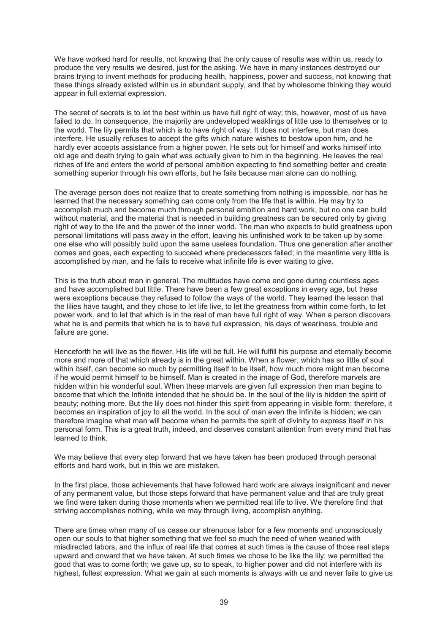We have worked hard for results, not knowing that the only cause of results was within us, ready to produce the very results we desired, just for the asking. We have in many instances destroyed our brains trying to invent methods for producing health, happiness, power and success, not knowing that these things already existed within us in abundant supply, and that by wholesome thinking they would appear in full external expression.

The secret of secrets is to let the best within us have full right of way; this, however, most of us have failed to do. In consequence, the majority are undeveloped weaklings of little use to themselves or to the world. The lily permits that which is to have right of way. It does not interfere, but man does interfere. He usually refuses to accept the gifts which nature wishes to bestow upon him, and he hardly ever accepts assistance from a higher power. He sets out for himself and works himself into old age and death trying to gain what was actually given to him in the beginning. He leaves the real riches of life and enters the world of personal ambition expecting to find something better and create something superior through his own efforts, but he fails because man alone can do nothing.

The average person does not realize that to create something from nothing is impossible, nor has he learned that the necessary something can come only from the life that is within. He may try to accomplish much and become much through personal ambition and hard work, but no one can build without material, and the material that is needed in building greatness can be secured only by giving right of way to the life and the power of the inner world. The man who expects to build greatness upon personal limitations will pass away in the effort, leaving his unfinished work to be taken up by some one else who will possibly build upon the same useless foundation. Thus one generation after another comes and goes, each expecting to succeed where predecessors failed; in the meantime very little is accomplished by man, and he fails to receive what infinite life is ever waiting to give.

This is the truth about man in general. The multitudes have come and gone during countless ages and have accomplished but little. There have been a few great exceptions in every age, but these were exceptions because they refused to follow the ways of the world. They learned the lesson that the lilies have taught, and they chose to let life live, to let the greatness from within come forth, to let power work, and to let that which is in the real of man have full right of way. When a person discovers what he is and permits that which he is to have full expression, his days of weariness, trouble and failure are gone.

Henceforth he will live as the flower. His life will be full. He will fulfill his purpose and eternally become more and more of that which already is in the great within. When a flower, which has so little of soul within itself, can become so much by permitting itself to be itself, how much more might man become if he would permit himself to be himself. Man is created in the image of God, therefore marvels are hidden within his wonderful soul. When these marvels are given full expression then man begins to become that which the Infinite intended that he should be. In the soul of the lily is hidden the spirit of beauty; nothing more. But the lily does not hinder this spirit from appearing in visible form; therefore, it becomes an inspiration of joy to all the world. In the soul of man even the Infinite is hidden; we can therefore imagine what man will become when he permits the spirit of divinity to express itself in his personal form. This is a great truth, indeed, and deserves constant attention from every mind that has learned to think.

We may believe that every step forward that we have taken has been produced through personal efforts and hard work, but in this we are mistaken.

In the first place, those achievements that have followed hard work are always insignificant and never of any permanent value, but those steps forward that have permanent value and that are truly great we find were taken during those moments when we permitted real life to live. We therefore find that striving accomplishes nothing, while we may through living, accomplish anything.

There are times when many of us cease our strenuous labor for a few moments and unconsciously open our souls to that higher something that we feel so much the need of when wearied with misdirected labors, and the influx of real life that comes at such times is the cause of those real steps upward and onward that we have taken. At such times we chose to be like the lily; we permitted the good that was to come forth; we gave up, so to speak, to higher power and did not interfere with its highest, fullest expression. What we gain at such moments is always with us and never fails to give us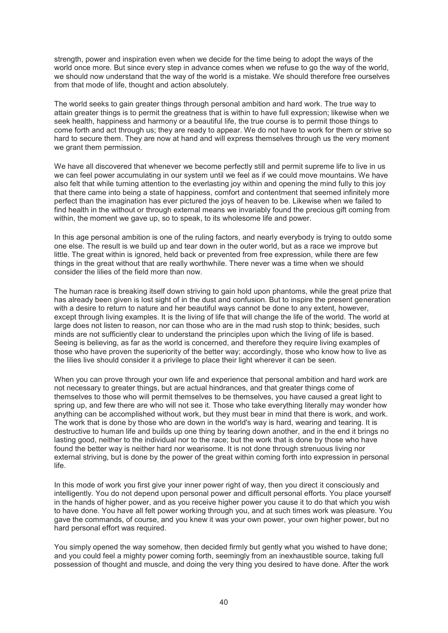strength, power and inspiration even when we decide for the time being to adopt the ways of the world once more. But since every step in advance comes when we refuse to go the way of the world, we should now understand that the way of the world is a mistake. We should therefore free ourselves from that mode of life, thought and action absolutely.

The world seeks to gain greater things through personal ambition and hard work. The true way to attain greater things is to permit the greatness that is within to have full expression; likewise when we seek health, happiness and harmony or a beautiful life, the true course is to permit those things to come forth and act through us; they are ready to appear. We do not have to work for them or strive so hard to secure them. They are now at hand and will express themselves through us the very moment we grant them permission.

We have all discovered that whenever we become perfectly still and permit supreme life to live in us we can feel power accumulating in our system until we feel as if we could move mountains. We have also felt that while turning attention to the everlasting joy within and opening the mind fully to this joy that there came into being a state of happiness, comfort and contentment that seemed infinitely more perfect than the imagination has ever pictured the joys of heaven to be. Likewise when we failed to find health in the without or through external means we invariably found the precious gift coming from within, the moment we gave up, so to speak, to its wholesome life and power.

In this age personal ambition is one of the ruling factors, and nearly everybody is trying to outdo some one else. The result is we build up and tear down in the outer world, but as a race we improve but little. The great within is ignored, held back or prevented from free expression, while there are few things in the great without that are really worthwhile. There never was a time when we should consider the lilies of the field more than now.

The human race is breaking itself down striving to gain hold upon phantoms, while the great prize that has already been given is lost sight of in the dust and confusion. But to inspire the present generation with a desire to return to nature and her beautiful ways cannot be done to any extent, however, except through living examples. It is the living of life that will change the life of the world. The world at large does not listen to reason, nor can those who are in the mad rush stop to think; besides, such minds are not sufficiently clear to understand the principles upon which the living of life is based. Seeing is believing, as far as the world is concerned, and therefore they require living examples of those who have proven the superiority of the better way; accordingly, those who know how to live as the lilies live should consider it a privilege to place their light wherever it can be seen.

When you can prove through your own life and experience that personal ambition and hard work are not necessary to greater things, but are actual hindrances, and that greater things come of themselves to those who will permit themselves to be themselves, you have caused a great light to spring up, and few there are who will not see it. Those who take everything literally may wonder how anything can be accomplished without work, but they must bear in mind that there is work, and work. The work that is done by those who are down in the world's way is hard, wearing and tearing. It is destructive to human life and builds up one thing by tearing down another, and in the end it brings no lasting good, neither to the individual nor to the race; but the work that is done by those who have found the better way is neither hard nor wearisome. It is not done through strenuous living nor external striving, but is done by the power of the great within coming forth into expression in personal life.

In this mode of work you first give your inner power right of way, then you direct it consciously and intelligently. You do not depend upon personal power and difficult personal efforts. You place yourself in the hands of higher power, and as you receive higher power you cause it to do that which you wish to have done. You have all felt power working through you, and at such times work was pleasure. You gave the commands, of course, and you knew it was your own power, your own higher power, but no hard personal effort was required.

You simply opened the way somehow, then decided firmly but gently what you wished to have done; and you could feel a mighty power coming forth, seemingly from an inexhaustible source, taking full possession of thought and muscle, and doing the very thing you desired to have done. After the work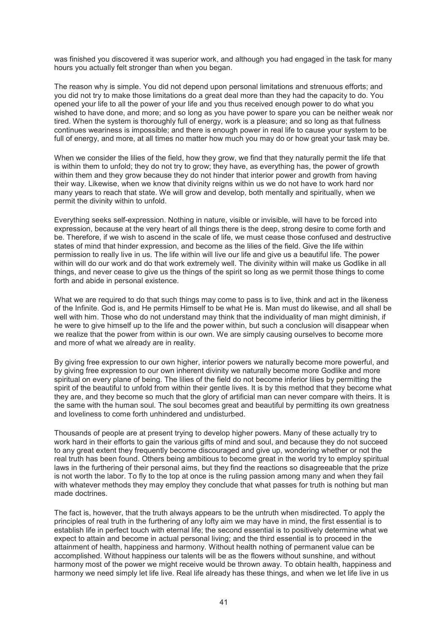was finished you discovered it was superior work, and although you had engaged in the task for many hours you actually felt stronger than when you began.

The reason why is simple. You did not depend upon personal limitations and strenuous efforts; and you did not try to make those limitations do a great deal more than they had the capacity to do. You opened your life to all the power of your life and you thus received enough power to do what you wished to have done, and more; and so long as you have power to spare you can be neither weak nor tired. When the system is thoroughly full of energy, work is a pleasure; and so long as that fullness continues weariness is impossible; and there is enough power in real life to cause your system to be full of energy, and more, at all times no matter how much you may do or how great your task may be.

When we consider the lilies of the field, how they grow, we find that they naturally permit the life that is within them to unfold; they do not try to grow; they have, as everything has, the power of growth within them and they grow because they do not hinder that interior power and growth from having their way. Likewise, when we know that divinity reigns within us we do not have to work hard nor many years to reach that state. We will grow and develop, both mentally and spiritually, when we permit the divinity within to unfold.

Everything seeks self-expression. Nothing in nature, visible or invisible, will have to be forced into expression, because at the very heart of all things there is the deep, strong desire to come forth and be. Therefore, if we wish to ascend in the scale of life, we must cease those confused and destructive states of mind that hinder expression, and become as the lilies of the field. Give the life within permission to really live in us. The life within will live our life and give us a beautiful life. The power within will do our work and do that work extremely well. The divinity within will make us Godlike in all things, and never cease to give us the things of the spirit so long as we permit those things to come forth and abide in personal existence.

What we are required to do that such things may come to pass is to live, think and act in the likeness of the Infinite. God is, and He permits Himself to be what He is. Man must do likewise, and all shall be well with him. Those who do not understand may think that the individuality of man might diminish, if he were to give himself up to the life and the power within, but such a conclusion will disappear when we realize that the power from within is our own. We are simply causing ourselves to become more and more of what we already are in reality.

By giving free expression to our own higher, interior powers we naturally become more powerful, and by giving free expression to our own inherent divinity we naturally become more Godlike and more spiritual on every plane of being. The lilies of the field do not become inferior lilies by permitting the spirit of the beautiful to unfold from within their gentle lives. It is by this method that they become what they are, and they become so much that the glory of artificial man can never compare with theirs. It is the same with the human soul. The soul becomes great and beautiful by permitting its own greatness and loveliness to come forth unhindered and undisturbed.

Thousands of people are at present trying to develop higher powers. Many of these actually try to work hard in their efforts to gain the various gifts of mind and soul, and because they do not succeed to any great extent they frequently become discouraged and give up, wondering whether or not the real truth has been found. Others being ambitious to become great in the world try to employ spiritual laws in the furthering of their personal aims, but they find the reactions so disagreeable that the prize is not worth the labor. To fly to the top at once is the ruling passion among many and when they fail with whatever methods they may employ they conclude that what passes for truth is nothing but man made doctrines.

The fact is, however, that the truth always appears to be the untruth when misdirected. To apply the principles of real truth in the furthering of any lofty aim we may have in mind, the first essential is to establish life in perfect touch with eternal life; the second essential is to positively determine what we expect to attain and become in actual personal living; and the third essential is to proceed in the attainment of health, happiness and harmony. Without health nothing of permanent value can be accomplished. Without happiness our talents will be as the flowers without sunshine, and without harmony most of the power we might receive would be thrown away. To obtain health, happiness and harmony we need simply let life live. Real life already has these things, and when we let life live in us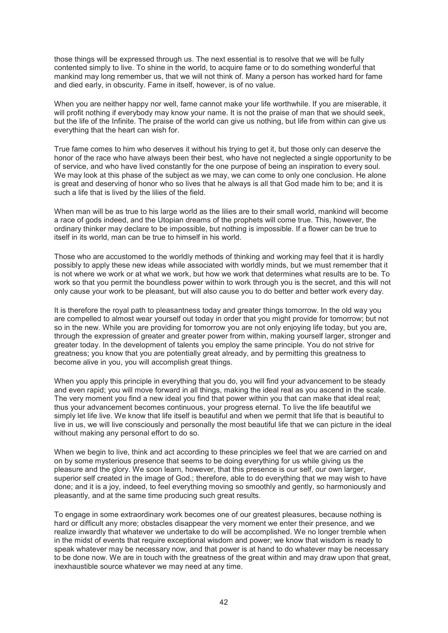those things will be expressed through us. The next essential is to resolve that we will be fully contented simply to live. To shine in the world, to acquire fame or to do something wonderful that mankind may long remember us, that we will not think of. Many a person has worked hard for fame and died early, in obscurity. Fame in itself, however, is of no value.

When you are neither happy nor well, fame cannot make your life worthwhile. If you are miserable, it will profit nothing if everybody may know your name. It is not the praise of man that we should seek, but the life of the Infinite. The praise of the world can give us nothing, but life from within can give us everything that the heart can wish for.

True fame comes to him who deserves it without his trying to get it, but those only can deserve the honor of the race who have always been their best, who have not neglected a single opportunity to be of service, and who have lived constantly for the one purpose of being an inspiration to every soul. We may look at this phase of the subject as we may, we can come to only one conclusion. He alone is great and deserving of honor who so lives that he always is all that God made him to be; and it is such a life that is lived by the lilies of the field.

When man will be as true to his large world as the lilies are to their small world, mankind will become a race of gods indeed, and the Utopian dreams of the prophets will come true. This, however, the ordinary thinker may declare to be impossible, but nothing is impossible. If a flower can be true to itself in its world, man can be true to himself in his world.

Those who are accustomed to the worldly methods of thinking and working may feel that it is hardly possibly to apply these new ideas while associated with worldly minds, but we must remember that it is not where we work or at what we work, but how we work that determines what results are to be. To work so that you permit the boundless power within to work through you is the secret, and this will not only cause your work to be pleasant, but will also cause you to do better and better work every day.

It is therefore the royal path to pleasantness today and greater things tomorrow. In the old way you are compelled to almost wear yourself out today in order that you might provide for tomorrow; but not so in the new. While you are providing for tomorrow you are not only enjoying life today, but you are, through the expression of greater and greater power from within, making yourself larger, stronger and greater today. In the development of talents you employ the same principle. You do not strive for greatness; you know that you are potentially great already, and by permitting this greatness to become alive in you, you will accomplish great things.

When you apply this principle in everything that you do, you will find your advancement to be steady and even rapid; you will move forward in all things, making the ideal real as you ascend in the scale. The very moment you find a new ideal you find that power within you that can make that ideal real; thus your advancement becomes continuous, your progress eternal. To live the life beautiful we simply let life live. We know that life itself is beautiful and when we permit that life that is beautiful to live in us, we will live consciously and personally the most beautiful life that we can picture in the ideal without making any personal effort to do so.

When we begin to live, think and act according to these principles we feel that we are carried on and on by some mysterious presence that seems to be doing everything for us while giving us the pleasure and the glory. We soon learn, however, that this presence is our self, our own larger, superior self created in the image of God.; therefore, able to do everything that we may wish to have done; and it is a joy, indeed, to feel everything moving so smoothly and gently, so harmoniously and pleasantly, and at the same time producing such great results.

To engage in some extraordinary work becomes one of our greatest pleasures, because nothing is hard or difficult any more; obstacles disappear the very moment we enter their presence, and we realize inwardly that whatever we undertake to do will be accomplished. We no longer tremble when in the midst of events that require exceptional wisdom and power; we know that wisdom is ready to speak whatever may be necessary now, and that power is at hand to do whatever may be necessary to be done now. We are in touch with the greatness of the great within and may draw upon that great, inexhaustible source whatever we may need at any time.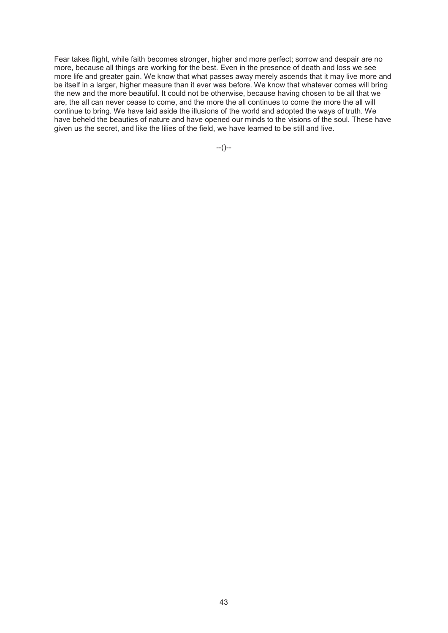Fear takes flight, while faith becomes stronger, higher and more perfect; sorrow and despair are no more, because all things are working for the best. Even in the presence of death and loss we see more life and greater gain. We know that what passes away merely ascends that it may live more and be itself in a larger, higher measure than it ever was before. We know that whatever comes will bring the new and the more beautiful. It could not be otherwise, because having chosen to be all that we are, the all can never cease to come, and the more the all continues to come the more the all will continue to bring. We have laid aside the illusions of the world and adopted the ways of truth. We have beheld the beauties of nature and have opened our minds to the visions of the soul. These have given us the secret, and like the lilies of the field, we have learned to be still and live.

--()--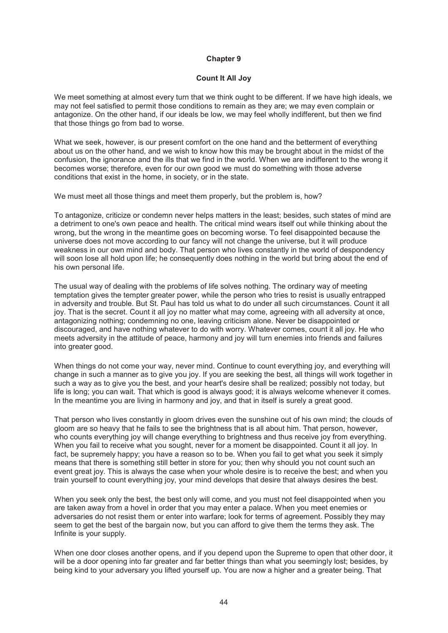#### **Count It All Joy**

We meet something at almost every turn that we think ought to be different. If we have high ideals, we may not feel satisfied to permit those conditions to remain as they are; we may even complain or antagonize. On the other hand, if our ideals be low, we may feel wholly indifferent, but then we find that those things go from bad to worse.

What we seek, however, is our present comfort on the one hand and the betterment of everything about us on the other hand, and we wish to know how this may be brought about in the midst of the confusion, the ignorance and the ills that we find in the world. When we are indifferent to the wrong it becomes worse; therefore, even for our own good we must do something with those adverse conditions that exist in the home, in society, or in the state.

We must meet all those things and meet them properly, but the problem is, how?

To antagonize, criticize or condemn never helps matters in the least; besides, such states of mind are a detriment to one's own peace and health. The critical mind wears itself out while thinking about the wrong, but the wrong in the meantime goes on becoming worse. To feel disappointed because the universe does not move according to our fancy will not change the universe, but it will produce weakness in our own mind and body. That person who lives constantly in the world of despondency will soon lose all hold upon life; he consequently does nothing in the world but bring about the end of his own personal life.

The usual way of dealing with the problems of life solves nothing. The ordinary way of meeting temptation gives the tempter greater power, while the person who tries to resist is usually entrapped in adversity and trouble. But St. Paul has told us what to do under all such circumstances. Count it all joy. That is the secret. Count it all joy no matter what may come, agreeing with all adversity at once, antagonizing nothing; condemning no one, leaving criticism alone. Never be disappointed or discouraged, and have nothing whatever to do with worry. Whatever comes, count it all joy. He who meets adversity in the attitude of peace, harmony and joy will turn enemies into friends and failures into greater good.

When things do not come your way, never mind. Continue to count everything joy, and everything will change in such a manner as to give you joy. If you are seeking the best, all things will work together in such a way as to give you the best, and your heart's desire shall be realized; possibly not today, but life is long; you can wait. That which is good is always good; it is always welcome whenever it comes. In the meantime you are living in harmony and joy, and that in itself is surely a great good.

That person who lives constantly in gloom drives even the sunshine out of his own mind; the clouds of gloom are so heavy that he fails to see the brightness that is all about him. That person, however, who counts everything joy will change everything to brightness and thus receive joy from everything. When you fail to receive what you sought, never for a moment be disappointed. Count it all joy. In fact, be supremely happy; you have a reason so to be. When you fail to get what you seek it simply means that there is something still better in store for you; then why should you not count such an event great joy. This is always the case when your whole desire is to receive the best; and when you train yourself to count everything joy, your mind develops that desire that always desires the best.

When you seek only the best, the best only will come, and you must not feel disappointed when you are taken away from a hovel in order that you may enter a palace. When you meet enemies or adversaries do not resist them or enter into warfare; look for terms of agreement. Possibly they may seem to get the best of the bargain now, but you can afford to give them the terms they ask. The Infinite is your supply.

When one door closes another opens, and if you depend upon the Supreme to open that other door, it will be a door opening into far greater and far better things than what you seemingly lost; besides, by being kind to your adversary you lifted yourself up. You are now a higher and a greater being. That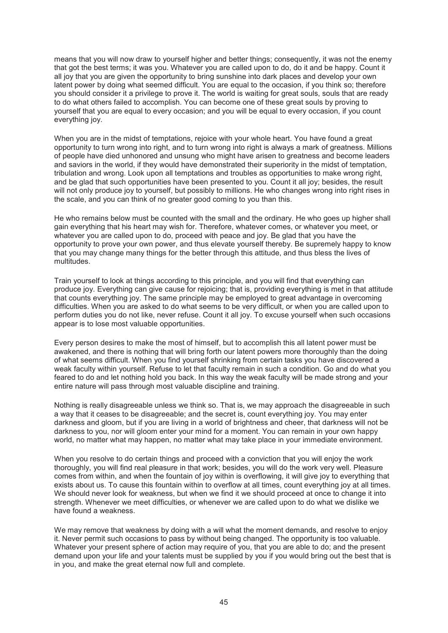means that you will now draw to yourself higher and better things; consequently, it was not the enemy that got the best terms; it was you. Whatever you are called upon to do, do it and be happy. Count it all joy that you are given the opportunity to bring sunshine into dark places and develop your own latent power by doing what seemed difficult. You are equal to the occasion, if you think so; therefore you should consider it a privilege to prove it. The world is waiting for great souls, souls that are ready to do what others failed to accomplish. You can become one of these great souls by proving to yourself that you are equal to every occasion; and you will be equal to every occasion, if you count everything joy.

When you are in the midst of temptations, rejoice with your whole heart. You have found a great opportunity to turn wrong into right, and to turn wrong into right is always a mark of greatness. Millions of people have died unhonored and unsung who might have arisen to greatness and become leaders and saviors in the world, if they would have demonstrated their superiority in the midst of temptation, tribulation and wrong. Look upon all temptations and troubles as opportunities to make wrong right, and be glad that such opportunities have been presented to you. Count it all joy; besides, the result will not only produce joy to yourself, but possibly to millions. He who changes wrong into right rises in the scale, and you can think of no greater good coming to you than this.

He who remains below must be counted with the small and the ordinary. He who goes up higher shall gain everything that his heart may wish for. Therefore, whatever comes, or whatever you meet, or whatever you are called upon to do, proceed with peace and joy. Be glad that you have the opportunity to prove your own power, and thus elevate yourself thereby. Be supremely happy to know that you may change many things for the better through this attitude, and thus bless the lives of multitudes.

Train yourself to look at things according to this principle, and you will find that everything can produce joy. Everything can give cause for rejoicing; that is, providing everything is met in that attitude that counts everything joy. The same principle may be employed to great advantage in overcoming difficulties. When you are asked to do what seems to be very difficult, or when you are called upon to perform duties you do not like, never refuse. Count it all joy. To excuse yourself when such occasions appear is to lose most valuable opportunities.

Every person desires to make the most of himself, but to accomplish this all latent power must be awakened, and there is nothing that will bring forth our latent powers more thoroughly than the doing of what seems difficult. When you find yourself shrinking from certain tasks you have discovered a weak faculty within yourself. Refuse to let that faculty remain in such a condition. Go and do what you feared to do and let nothing hold you back. In this way the weak faculty will be made strong and your entire nature will pass through most valuable discipline and training.

Nothing is really disagreeable unless we think so. That is, we may approach the disagreeable in such a way that it ceases to be disagreeable; and the secret is, count everything joy. You may enter darkness and gloom, but if you are living in a world of brightness and cheer, that darkness will not be darkness to you, nor will gloom enter your mind for a moment. You can remain in your own happy world, no matter what may happen, no matter what may take place in your immediate environment.

When you resolve to do certain things and proceed with a conviction that you will enjoy the work thoroughly, you will find real pleasure in that work; besides, you will do the work very well. Pleasure comes from within, and when the fountain of joy within is overflowing, it will give joy to everything that exists about us. To cause this fountain within to overflow at all times, count everything joy at all times. We should never look for weakness, but when we find it we should proceed at once to change it into strength. Whenever we meet difficulties, or whenever we are called upon to do what we dislike we have found a weakness.

We may remove that weakness by doing with a will what the moment demands, and resolve to enjoy it. Never permit such occasions to pass by without being changed. The opportunity is too valuable. Whatever your present sphere of action may require of you, that you are able to do; and the present demand upon your life and your talents must be supplied by you if you would bring out the best that is in you, and make the great eternal now full and complete.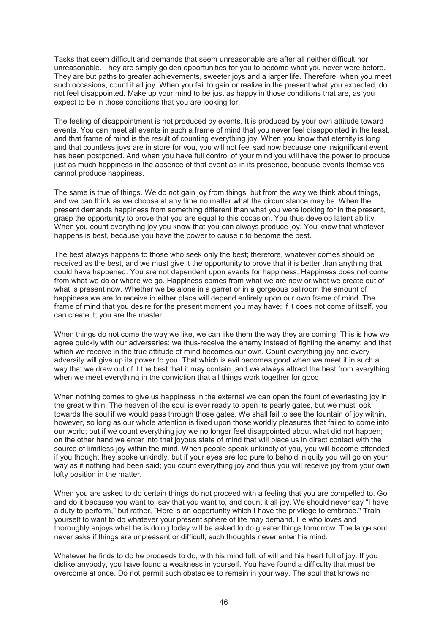Tasks that seem difficult and demands that seem unreasonable are after all neither difficult nor unreasonable. They are simply golden opportunities for you to become what you never were before. They are but paths to greater achievements, sweeter joys and a larger life. Therefore, when you meet such occasions, count it all joy. When you fail to gain or realize in the present what you expected, do not feel disappointed. Make up your mind to be just as happy in those conditions that are, as you expect to be in those conditions that you are looking for.

The feeling of disappointment is not produced by events. It is produced by your own attitude toward events. You can meet all events in such a frame of mind that you never feel disappointed in the least, and that frame of mind is the result of counting everything joy. When you know that eternity is long and that countless joys are in store for you, you will not feel sad now because one insignificant event has been postponed. And when you have full control of your mind you will have the power to produce just as much happiness in the absence of that event as in its presence, because events themselves cannot produce happiness.

The same is true of things. We do not gain joy from things, but from the way we think about things, and we can think as we choose at any time no matter what the circumstance may be. When the present demands happiness from something different than what you were looking for in the present, grasp the opportunity to prove that you are equal to this occasion. You thus develop latent ability. When you count everything joy you know that you can always produce joy. You know that whatever happens is best, because you have the power to cause it to become the best.

The best always happens to those who seek only the best; therefore, whatever comes should be received as the best, and we must give it the opportunity to prove that it is better than anything that could have happened. You are not dependent upon events for happiness. Happiness does not come from what we do or where we go. Happiness comes from what we are now or what we create out of what is present now. Whether we be alone in a garret or in a gorgeous ballroom the amount of happiness we are to receive in either place will depend entirely upon our own frame of mind. The frame of mind that you desire for the present moment you may have; if it does not come of itself, you can create it; you are the master.

When things do not come the way we like, we can like them the way they are coming. This is how we agree quickly with our adversaries; we thus-receive the enemy instead of fighting the enemy; and that which we receive in the true attitude of mind becomes our own. Count everything joy and every adversity will give up its power to you. That which is evil becomes good when we meet it in such a way that we draw out of it the best that it may contain, and we always attract the best from everything when we meet everything in the conviction that all things work together for good.

When nothing comes to give us happiness in the external we can open the fount of everlasting joy in the great within. The heaven of the soul is ever ready to open its pearly gates, but we must look towards the soul if we would pass through those gates. We shall fail to see the fountain of joy within, however, so long as our whole attention is fixed upon those worldly pleasures that failed to come into our world; but if we count everything joy we no longer feel disappointed about what did not happen; on the other hand we enter into that joyous state of mind that will place us in direct contact with the source of limitless joy within the mind. When people speak unkindly of you, you will become offended if you thought they spoke unkindly, but if your eyes are too pure to behold iniquity you will go on your way as if nothing had been said; you count everything joy and thus you will receive joy from your own lofty position in the matter.

When you are asked to do certain things do not proceed with a feeling that you are compelled to. Go and do it because you want to; say that you want to, and count it all joy. We should never say "I have a duty to perform," but rather, "Here is an opportunity which I have the privilege to embrace." Train yourself to want to do whatever your present sphere of life may demand. He who loves and thoroughly enjoys what he is doing today will be asked to do greater things tomorrow. The large soul never asks if things are unpleasant or difficult; such thoughts never enter his mind.

Whatever he finds to do he proceeds to do, with his mind full. of will and his heart full of joy. If you dislike anybody, you have found a weakness in yourself. You have found a difficulty that must be overcome at once. Do not permit such obstacles to remain in your way. The soul that knows no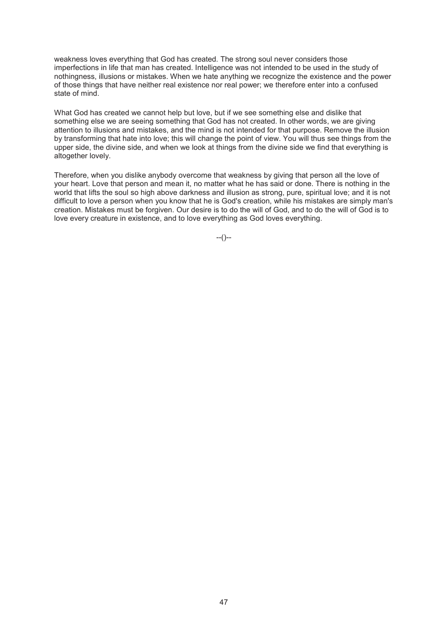weakness loves everything that God has created. The strong soul never considers those imperfections in life that man has created. Intelligence was not intended to be used in the study of nothingness, illusions or mistakes. When we hate anything we recognize the existence and the power of those things that have neither real existence nor real power; we therefore enter into a confused state of mind.

What God has created we cannot help but love, but if we see something else and dislike that something else we are seeing something that God has not created. In other words, we are giving attention to illusions and mistakes, and the mind is not intended for that purpose. Remove the illusion by transforming that hate into love; this will change the point of view. You will thus see things from the upper side, the divine side, and when we look at things from the divine side we find that everything is altogether lovely.

Therefore, when you dislike anybody overcome that weakness by giving that person all the love of your heart. Love that person and mean it, no matter what he has said or done. There is nothing in the world that lifts the soul so high above darkness and illusion as strong, pure, spiritual love; and it is not difficult to love a person when you know that he is God's creation, while his mistakes are simply man's creation. Mistakes must be forgiven. Our desire is to do the will of God, and to do the will of God is to love every creature in existence, and to love everything as God loves everything.

 $-(-)$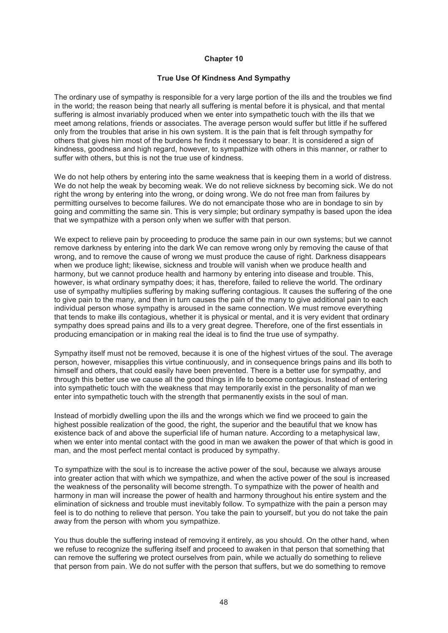# **True Use Of Kindness And Sympathy**

The ordinary use of sympathy is responsible for a very large portion of the ills and the troubles we find in the world; the reason being that nearly all suffering is mental before it is physical, and that mental suffering is almost invariably produced when we enter into sympathetic touch with the ills that we meet among relations, friends or associates. The average person would suffer but little if he suffered only from the troubles that arise in his own system. It is the pain that is felt through sympathy for others that gives him most of the burdens he finds it necessary to bear. It is considered a sign of kindness, goodness and high regard, however, to sympathize with others in this manner, or rather to suffer with others, but this is not the true use of kindness.

We do not help others by entering into the same weakness that is keeping them in a world of distress. We do not help the weak by becoming weak. We do not relieve sickness by becoming sick. We do not right the wrong by entering into the wrong, or doing wrong. We do not free man from failures by permitting ourselves to become failures. We do not emancipate those who are in bondage to sin by going and committing the same sin. This is very simple; but ordinary sympathy is based upon the idea that we sympathize with a person only when we suffer with that person.

We expect to relieve pain by proceeding to produce the same pain in our own systems; but we cannot remove darkness by entering into the dark We can remove wrong only by removing the cause of that wrong, and to remove the cause of wrong we must produce the cause of right. Darkness disappears when we produce light; likewise, sickness and trouble will vanish when we produce health and harmony, but we cannot produce health and harmony by entering into disease and trouble. This, however, is what ordinary sympathy does; it has, therefore, failed to relieve the world. The ordinary use of sympathy multiplies suffering by making suffering contagious. It causes the suffering of the one to give pain to the many, and then in turn causes the pain of the many to give additional pain to each individual person whose sympathy is aroused in the same connection. We must remove everything that tends to make ills contagious, whether it is physical or mental, and it is very evident that ordinary sympathy does spread pains and ills to a very great degree. Therefore, one of the first essentials in producing emancipation or in making real the ideal is to find the true use of sympathy.

Sympathy itself must not be removed, because it is one of the highest virtues of the soul. The average person, however, misapplies this virtue continuously, and in consequence brings pains and ills both to himself and others, that could easily have been prevented. There is a better use for sympathy, and through this better use we cause all the good things in life to become contagious. Instead of entering into sympathetic touch with the weakness that may temporarily exist in the personality of man we enter into sympathetic touch with the strength that permanently exists in the soul of man.

Instead of morbidly dwelling upon the ills and the wrongs which we find we proceed to gain the highest possible realization of the good, the right, the superior and the beautiful that we know has existence back of and above the superficial life of human nature. According to a metaphysical law, when we enter into mental contact with the good in man we awaken the power of that which is good in man, and the most perfect mental contact is produced by sympathy.

To sympathize with the soul is to increase the active power of the soul, because we always arouse into greater action that with which we sympathize, and when the active power of the soul is increased the weakness of the personality will become strength. To sympathize with the power of health and harmony in man will increase the power of health and harmony throughout his entire system and the elimination of sickness and trouble must inevitably follow. To sympathize with the pain a person may feel is to do nothing to relieve that person. You take the pain to yourself, but you do not take the pain away from the person with whom you sympathize.

You thus double the suffering instead of removing it entirely, as you should. On the other hand, when we refuse to recognize the suffering itself and proceed to awaken in that person that something that can remove the suffering we protect ourselves from pain, while we actually do something to relieve that person from pain. We do not suffer with the person that suffers, but we do something to remove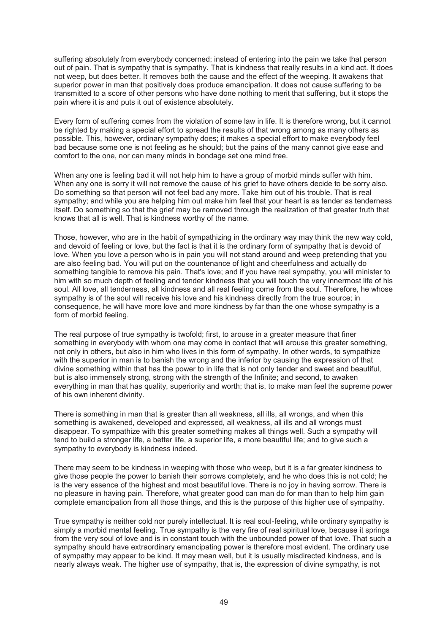suffering absolutely from everybody concerned; instead of entering into the pain we take that person out of pain. That is sympathy that is sympathy. That is kindness that really results in a kind act. It does not weep, but does better. It removes both the cause and the effect of the weeping. It awakens that superior power in man that positively does produce emancipation. It does not cause suffering to be transmitted to a score of other persons who have done nothing to merit that suffering, but it stops the pain where it is and puts it out of existence absolutely.

Every form of suffering comes from the violation of some law in life. It is therefore wrong, but it cannot be righted by making a special effort to spread the results of that wrong among as many others as possible. This, however, ordinary sympathy does; it makes a special effort to make everybody feel bad because some one is not feeling as he should; but the pains of the many cannot give ease and comfort to the one, nor can many minds in bondage set one mind free.

When any one is feeling bad it will not help him to have a group of morbid minds suffer with him. When any one is sorry it will not remove the cause of his grief to have others decide to be sorry also. Do something so that person will not feel bad any more. Take him out of his trouble. That is real sympathy; and while you are helping him out make him feel that your heart is as tender as tenderness itself. Do something so that the grief may be removed through the realization of that greater truth that knows that all is well. That is kindness worthy of the name.

Those, however, who are in the habit of sympathizing in the ordinary way may think the new way cold, and devoid of feeling or love, but the fact is that it is the ordinary form of sympathy that is devoid of love. When you love a person who is in pain you will not stand around and weep pretending that you are also feeling bad. You will put on the countenance of light and cheerfulness and actually do something tangible to remove his pain. That's love; and if you have real sympathy, you will minister to him with so much depth of feeling and tender kindness that you will touch the very innermost life of his soul. All love, all tenderness, all kindness and all real feeling come from the soul. Therefore, he whose sympathy is of the soul will receive his love and his kindness directly from the true source; in consequence, he will have more love and more kindness by far than the one whose sympathy is a form of morbid feeling.

The real purpose of true sympathy is twofold; first, to arouse in a greater measure that finer something in everybody with whom one may come in contact that will arouse this greater something, not only in others, but also in him who lives in this form of sympathy. In other words, to sympathize with the superior in man is to banish the wrong and the inferior by causing the expression of that divine something within that has the power to in life that is not only tender and sweet and beautiful, but is also immensely strong, strong with the strength of the Infinite; and second, to awaken everything in man that has quality, superiority and worth; that is, to make man feel the supreme power of his own inherent divinity.

There is something in man that is greater than all weakness, all ills, all wrongs, and when this something is awakened, developed and expressed, all weakness, all ills and all wrongs must disappear. To sympathize with this greater something makes all things well. Such a sympathy will tend to build a stronger life, a better life, a superior life, a more beautiful life; and to give such a sympathy to everybody is kindness indeed.

There may seem to be kindness in weeping with those who weep, but it is a far greater kindness to give those people the power to banish their sorrows completely, and he who does this is not cold; he is the very essence of the highest and most beautiful love. There is no joy in having sorrow. There is no pleasure in having pain. Therefore, what greater good can man do for man than to help him gain complete emancipation from all those things, and this is the purpose of this higher use of sympathy.

True sympathy is neither cold nor purely intellectual. It is real soul-feeling, while ordinary sympathy is simply a morbid mental feeling. True sympathy is the very fire of real spiritual love, because it springs from the very soul of love and is in constant touch with the unbounded power of that love. That such a sympathy should have extraordinary emancipating power is therefore most evident. The ordinary use of sympathy may appear to be kind. It may mean well, but it is usually misdirected kindness, and is nearly always weak. The higher use of sympathy, that is, the expression of divine sympathy, is not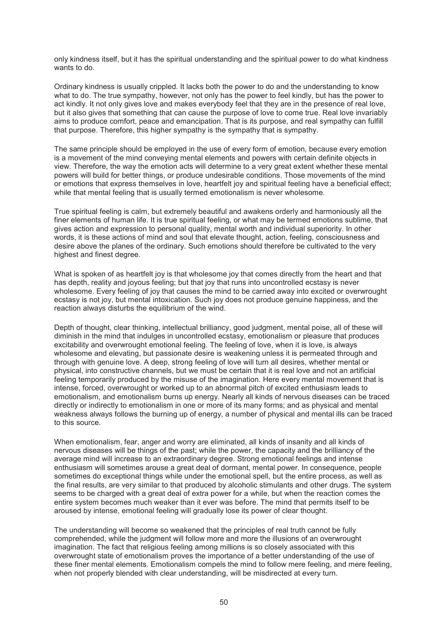only kindness itself, but it has the spiritual understanding and the spiritual power to do what kindness wants to do.

Ordinary kindness is usually crippled. It lacks both the power to do and the understanding to know what to do. The true sympathy, however, not only has the power to feel kindly, but has the power to act kindly. It not only gives love and makes everybody feel that they are in the presence of real love, but it also gives that something that can cause the purpose of love to come true. Real love invariably aims to produce comfort, peace and emancipation. That is its purpose, and real sympathy can fulfill that purpose. Therefore, this higher sympathy is the sympathy that is sympathy.

The same principle should be employed in the use of every form of emotion, because every emotion is a movement of the mind conveying mental elements and powers with certain definite objects in view. Therefore, the way the emotion acts will determine to a very great extent whether these mental powers will build for better things, or produce undesirable conditions. Those movements of the mind or emotions that express themselves in love, heartfelt joy and spiritual feeling have a beneficial effect; while that mental feeling that is usually termed emotionalism is never wholesome.

True spiritual feeling is calm, but extremely beautiful and awakens orderly and harmoniously all the finer elements of human life. It is true spiritual feeling, or what may be termed emotions sublime, that gives action and expression to personal quality, mental worth and individual superiority. In other words, it is these actions of mind and soul that elevate thought, action, feeling, consciousness and desire above the planes of the ordinary. Such emotions should therefore be cultivated to the very highest and finest degree.

What is spoken of as heartfelt joy is that wholesome joy that comes directly from the heart and that has depth, reality and joyous feeling; but that joy that runs into uncontrolled ecstasy is never wholesome. Every feeling of joy that causes the mind to be carried away into excited or overwrought ecstasy is not joy, but mental intoxication. Such joy does not produce genuine happiness, and the reaction always disturbs the equilibrium of the wind.

Depth of thought, clear thinking, intellectual brilliancy, good judgment, mental poise, all of these will diminish in the mind that indulges in uncontrolled ecstasy, emotionalism or pleasure that produces excitability and overwrought emotional feeling. The feeling of love, when it is love, is always wholesome and elevating, but passionate desire is weakening unless it is permeated through and through with genuine love. A deep, strong feeling of love will turn all desires, whether mental or physical, into constructive channels, but we must be certain that it is real love and not an artificial feeling temporarily produced by the misuse of the imagination. Here every mental movement that is intense, forced, overwrought or worked up to an abnormal pitch of excited enthusiasm leads to emotionalism, and emotionalism burns up energy. Nearly all kinds of nervous diseases can be traced directly or indirectly to emotionalism in one or more of its many forms; and as physical and mental weakness always follows the burning up of energy, a number of physical and mental ills can be traced to this source.

When emotionalism, fear, anger and worry are eliminated, all kinds of insanity and all kinds of nervous diseases will be things of the past; while the power, the capacity and the brilliancy of the average mind will increase to an extraordinary degree. Strong emotional feelings and intense enthusiasm will sometimes arouse a great deal of dormant, mental power. In consequence, people sometimes do exceptional things while under the emotional spell, but the entire process, as well as the final results, are very similar to that produced by alcoholic stimulants and other drugs. The system seems to be charged with a great deal of extra power for a while, but when the reaction comes the entire system becomes much weaker than it ever was before. The mind that permits itself to be aroused by intense, emotional feeling will gradually lose its power of clear thought.

The understanding will become so weakened that the principles of real truth cannot be fully comprehended, while the judgment will follow more and more the illusions of an overwrought imagination. The fact that religious feeling among millions is so closely associated with this overwrought state of emotionalism proves the importance of a better understanding of the use of these finer mental elements. Emotionalism compels the mind to follow mere feeling, and mere feeling, when not properly blended with clear understanding, will be misdirected at every turn.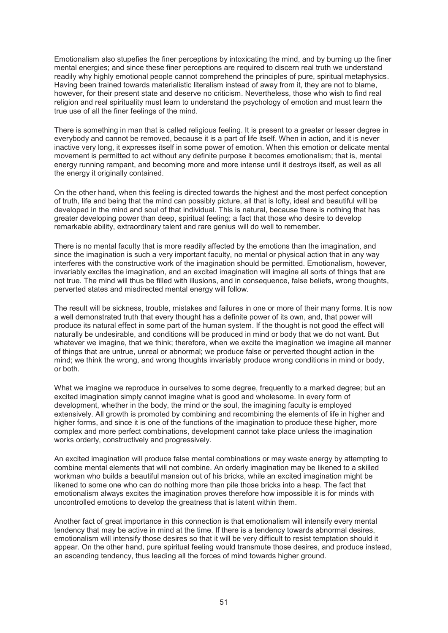Emotionalism also stupefies the finer perceptions by intoxicating the mind, and by burning up the finer mental energies; and since these finer perceptions are required to discern real truth we understand readily why highly emotional people cannot comprehend the principles of pure, spiritual metaphysics. Having been trained towards materialistic literalism instead of away from it, they are not to blame, however, for their present state and deserve no criticism. Nevertheless, those who wish to find real religion and real spirituality must learn to understand the psychology of emotion and must learn the true use of all the finer feelings of the mind.

There is something in man that is called religious feeling. It is present to a greater or lesser degree in everybody and cannot be removed, because it is a part of life itself. When in action, and it is never inactive very long, it expresses itself in some power of emotion. When this emotion or delicate mental movement is permitted to act without any definite purpose it becomes emotionalism; that is, mental energy running rampant, and becoming more and more intense until it destroys itself, as well as all the energy it originally contained.

On the other hand, when this feeling is directed towards the highest and the most perfect conception of truth, life and being that the mind can possibly picture, all that is lofty, ideal and beautiful will be developed in the mind and soul of that individual. This is natural, because there is nothing that has greater developing power than deep, spiritual feeling; a fact that those who desire to develop remarkable ability, extraordinary talent and rare genius will do well to remember.

There is no mental faculty that is more readily affected by the emotions than the imagination, and since the imagination is such a very important faculty, no mental or physical action that in any way interferes with the constructive work of the imagination should be permitted. Emotionalism, however, invariably excites the imagination, and an excited imagination will imagine all sorts of things that are not true. The mind will thus be filled with illusions, and in consequence, false beliefs, wrong thoughts, perverted states and misdirected mental energy will follow.

The result will be sickness, trouble, mistakes and failures in one or more of their many forms. It is now a well demonstrated truth that every thought has a definite power of its own, and, that power will produce its natural effect in some part of the human system. If the thought is not good the effect will naturally be undesirable, and conditions will be produced in mind or body that we do not want. But whatever we imagine, that we think; therefore, when we excite the imagination we imagine all manner of things that are untrue, unreal or abnormal; we produce false or perverted thought action in the mind; we think the wrong, and wrong thoughts invariably produce wrong conditions in mind or body, or both.

What we imagine we reproduce in ourselves to some degree, frequently to a marked degree; but an excited imagination simply cannot imagine what is good and wholesome. In every form of development, whether in the body, the mind or the soul, the imagining faculty is employed extensively. All growth is promoted by combining and recombining the elements of life in higher and higher forms, and since it is one of the functions of the imagination to produce these higher, more complex and more perfect combinations, development cannot take place unless the imagination works orderly, constructively and progressively.

An excited imagination will produce false mental combinations or may waste energy by attempting to combine mental elements that will not combine. An orderly imagination may be likened to a skilled workman who builds a beautiful mansion out of his bricks, while an excited imagination might be likened to some one who can do nothing more than pile those bricks into a heap. The fact that emotionalism always excites the imagination proves therefore how impossible it is for minds with uncontrolled emotions to develop the greatness that is latent within them.

Another fact of great importance in this connection is that emotionalism will intensify every mental tendency that may be active in mind at the time. If there is a tendency towards abnormal desires, emotionalism will intensify those desires so that it will be very difficult to resist temptation should it appear. On the other hand, pure spiritual feeling would transmute those desires, and produce instead, an ascending tendency, thus leading all the forces of mind towards higher ground.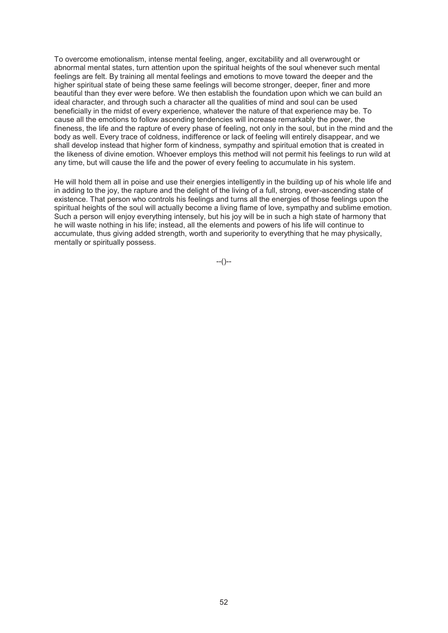To overcome emotionalism, intense mental feeling, anger, excitability and all overwrought or abnormal mental states, turn attention upon the spiritual heights of the soul whenever such mental feelings are felt. By training all mental feelings and emotions to move toward the deeper and the higher spiritual state of being these same feelings will become stronger, deeper, finer and more beautiful than they ever were before. We then establish the foundation upon which we can build an ideal character, and through such a character all the qualities of mind and soul can be used beneficially in the midst of every experience, whatever the nature of that experience may be. To cause all the emotions to follow ascending tendencies will increase remarkably the power, the fineness, the life and the rapture of every phase of feeling, not only in the soul, but in the mind and the body as well. Every trace of coldness, indifference or lack of feeling will entirely disappear, and we shall develop instead that higher form of kindness, sympathy and spiritual emotion that is created in the likeness of divine emotion. Whoever employs this method will not permit his feelings to run wild at any time, but will cause the life and the power of every feeling to accumulate in his system.

He will hold them all in poise and use their energies intelligently in the building up of his whole life and in adding to the joy, the rapture and the delight of the living of a full, strong, ever-ascending state of existence. That person who controls his feelings and turns all the energies of those feelings upon the spiritual heights of the soul will actually become a living flame of love, sympathy and sublime emotion. Such a person will enjoy everything intensely, but his joy will be in such a high state of harmony that he will waste nothing in his life; instead, all the elements and powers of his life will continue to accumulate, thus giving added strength, worth and superiority to everything that he may physically, mentally or spiritually possess.

 $-(-)$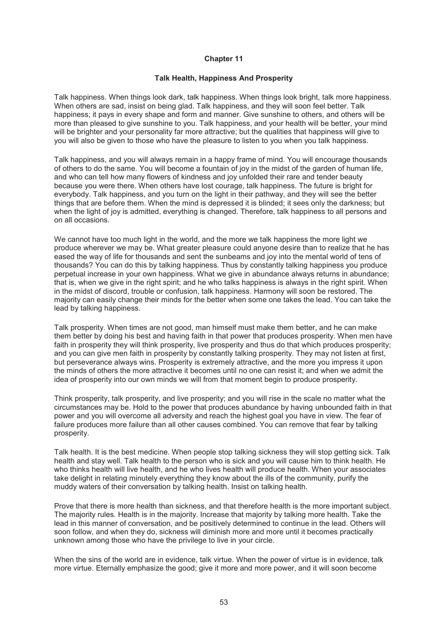### **Talk Health, Happiness And Prosperity**

Talk happiness. When things look dark, talk happiness. When things look bright, talk more happiness. When others are sad, insist on being glad. Talk happiness, and they will soon feel better. Talk happiness; it pays in every shape and form and manner. Give sunshine to others, and others will be more than pleased to give sunshine to you. Talk happiness, and your health will be better, your mind will be brighter and your personality far more attractive; but the qualities that happiness will give to you will also be given to those who have the pleasure to listen to you when you talk happiness.

Talk happiness, and you will always remain in a happy frame of mind. You will encourage thousands of others to do the same. You will become a fountain of joy in the midst of the garden of human life, and who can tell how many flowers of kindness and joy unfolded their rare and tender beauty because you were there. When others have lost courage, talk happiness. The future is bright for everybody. Talk happiness, and you turn on the light in their pathway, and they will see the better things that are before them. When the mind is depressed it is blinded; it sees only the darkness; but when the light of joy is admitted, everything is changed. Therefore, talk happiness to all persons and on all occasions.

We cannot have too much light in the world, and the more we talk happiness the more light we produce wherever we may be. What greater pleasure could anyone desire than to realize that he has eased the way of life for thousands and sent the sunbeams and joy into the mental world of tens of thousands? You can do this by talking happiness. Thus by constantly talking happiness you produce perpetual increase in your own happiness. What we give in abundance always returns in abundance; that is, when we give in the right spirit; and he who talks happiness is always in the right spirit. When in the midst of discord, trouble or confusion, talk happiness. Harmony will soon be restored. The majority can easily change their minds for the better when some one takes the lead. You can take the lead by talking happiness.

Talk prosperity. When times are not good, man himself must make them better, and he can make them better by doing his best and having faith in that power that produces prosperity. When men have faith in prosperity they will think prosperity, live prosperity and thus do that which produces prosperity; and you can give men faith in prosperity by constantly talking prosperity. They may not listen at first, but perseverance always wins. Prosperity is extremely attractive, and the more you impress it upon the minds of others the more attractive it becomes until no one can resist it; and when we admit the idea of prosperity into our own minds we will from that moment begin to produce prosperity.

Think prosperity, talk prosperity, and live prosperity; and you will rise in the scale no matter what the circumstances may be. Hold to the power that produces abundance by having unbounded faith in that power and you will overcome all adversity and reach the highest goal you have in view. The fear of failure produces more failure than all other causes combined. You can remove that fear by talking prosperity.

Talk health. It is the best medicine. When people stop talking sickness they will stop getting sick. Talk health and stay well. Talk health to the person who is sick and you will cause him to think health. He who thinks health will live health, and he who lives health will produce health. When your associates take delight in relating minutely everything they know about the ills of the community, purify the muddy waters of their conversation by talking health. Insist on talking health.

Prove that there is more health than sickness, and that therefore health is the more important subject. The majority rules. Health is in the majority. Increase that majority by talking more health. Take the lead in this manner of conversation, and be positively determined to continue in the lead. Others will soon follow, and when they do, sickness will diminish more and more until it becomes practically unknown among those who have the privilege to live in your circle.

When the sins of the world are in evidence, talk virtue. When the power of virtue is in evidence, talk more virtue. Eternally emphasize the good; give it more and more power, and it will soon become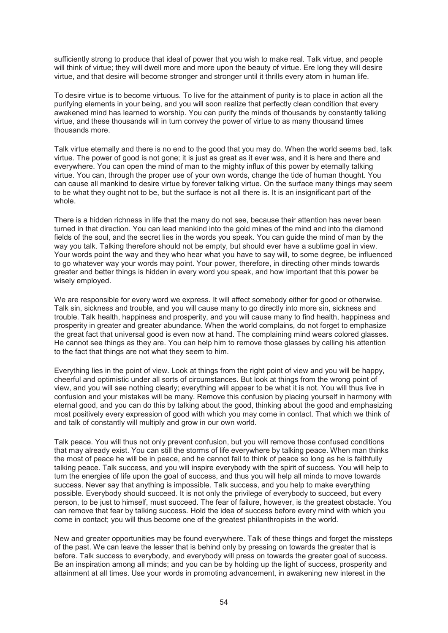sufficiently strong to produce that ideal of power that you wish to make real. Talk virtue, and people will think of virtue; they will dwell more and more upon the beauty of virtue. Ere long they will desire virtue, and that desire will become stronger and stronger until it thrills every atom in human life.

To desire virtue is to become virtuous. To live for the attainment of purity is to place in action all the purifying elements in your being, and you will soon realize that perfectly clean condition that every awakened mind has learned to worship. You can purify the minds of thousands by constantly talking virtue, and these thousands will in turn convey the power of virtue to as many thousand times thousands more.

Talk virtue eternally and there is no end to the good that you may do. When the world seems bad, talk virtue. The power of good is not gone; it is just as great as it ever was, and it is here and there and everywhere. You can open the mind of man to the mighty influx of this power by eternally talking virtue. You can, through the proper use of your own words, change the tide of human thought. You can cause all mankind to desire virtue by forever talking virtue. On the surface many things may seem to be what they ought not to be, but the surface is not all there is. It is an insignificant part of the whole.

There is a hidden richness in life that the many do not see, because their attention has never been turned in that direction. You can lead mankind into the gold mines of the mind and into the diamond fields of the soul, and the secret lies in the words you speak. You can guide the mind of man by the way you talk. Talking therefore should not be empty, but should ever have a sublime goal in view. Your words point the way and they who hear what you have to say will, to some degree, be influenced to go whatever way your words may point. Your power, therefore, in directing other minds towards greater and better things is hidden in every word you speak, and how important that this power be wisely employed.

We are responsible for every word we express. It will affect somebody either for good or otherwise. Talk sin, sickness and trouble, and you will cause many to go directly into more sin, sickness and trouble. Talk health, happiness and prosperity, and you will cause many to find health, happiness and prosperity in greater and greater abundance. When the world complains, do not forget to emphasize the great fact that universal good is even now at hand. The complaining mind wears colored glasses. He cannot see things as they are. You can help him to remove those glasses by calling his attention to the fact that things are not what they seem to him.

Everything lies in the point of view. Look at things from the right point of view and you will be happy, cheerful and optimistic under all sorts of circumstances. But look at things from the wrong point of view, and you will see nothing clearly; everything will appear to be what it is not. You will thus live in confusion and your mistakes will be many. Remove this confusion by placing yourself in harmony with eternal good, and you can do this by talking about the good, thinking about the good and emphasizing most positively every expression of good with which you may come in contact. That which we think of and talk of constantly will multiply and grow in our own world.

Talk peace. You will thus not only prevent confusion, but you will remove those confused conditions that may already exist. You can still the storms of life everywhere by talking peace. When man thinks the most of peace he will be in peace, and he cannot fail to think of peace so long as he is faithfully talking peace. Talk success, and you will inspire everybody with the spirit of success. You will help to turn the energies of life upon the goal of success, and thus you will help all minds to move towards success. Never say that anything is impossible. Talk success, and you help to make everything possible. Everybody should succeed. It is not only the privilege of everybody to succeed, but every person, to be just to himself, must succeed. The fear of failure, however, is the greatest obstacle. You can remove that fear by talking success. Hold the idea of success before every mind with which you come in contact; you will thus become one of the greatest philanthropists in the world.

New and greater opportunities may be found everywhere. Talk of these things and forget the missteps of the past. We can leave the lesser that is behind only by pressing on towards the greater that is before. Talk success to everybody, and everybody will press on towards the greater goal of success. Be an inspiration among all minds; and you can be by holding up the light of success, prosperity and attainment at all times. Use your words in promoting advancement, in awakening new interest in the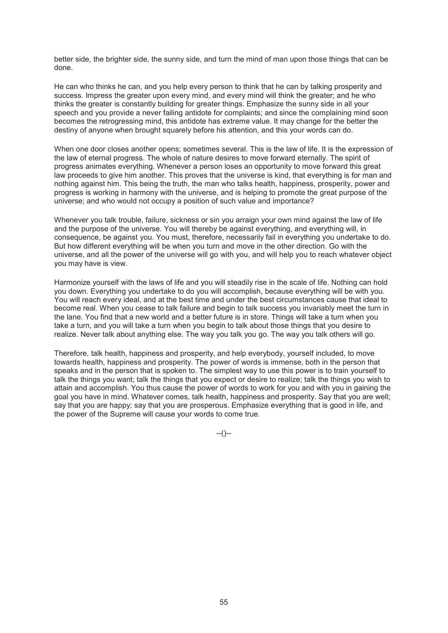better side, the brighter side, the sunny side, and turn the mind of man upon those things that can be done.

He can who thinks he can, and you help every person to think that he can by talking prosperity and success. Impress the greater upon every mind, and every mind will think the greater; and he who thinks the greater is constantly building for greater things. Emphasize the sunny side in all your speech and you provide a never failing antidote for complaints; and since the complaining mind soon becomes the retrogressing mind, this antidote has extreme value. It may change for the better the destiny of anyone when brought squarely before his attention, and this your words can do.

When one door closes another opens; sometimes several. This is the law of life. It is the expression of the law of eternal progress. The whole of nature desires to move forward eternally. The spirit of progress animates everything. Whenever a person loses an opportunity to move forward this great law proceeds to give him another. This proves that the universe is kind, that everything is for man and nothing against him. This being the truth, the man who talks health, happiness, prosperity, power and progress is working in harmony with the universe, and is helping to promote the great purpose of the universe; and who would not occupy a position of such value and importance?

Whenever you talk trouble, failure, sickness or sin you arraign your own mind against the law of life and the purpose of the universe. You will thereby be against everything, and everything will, in consequence, be against you. You must, therefore, necessarily fail in everything you undertake to do. But how different everything will be when you turn and move in the other direction. Go with the universe, and all the power of the universe will go with you, and will help you to reach whatever object you may have is view.

Harmonize yourself with the laws of life and you will steadily rise in the scale of life. Nothing can hold you down. Everything you undertake to do you will accomplish, because everything will be with you. You will reach every ideal, and at the best time and under the best circumstances cause that ideal to become real. When you cease to talk failure and begin to talk success you invariably meet the turn in the lane. You find that a new world and a better future is in store. Things will take a turn when you take a turn, and you will take a turn when you begin to talk about those things that you desire to realize. Never talk about anything else. The way you talk you go. The way you talk others will go.

Therefore, talk health, happiness and prosperity, and help everybody, yourself included, to move towards health, happiness and prosperity. The power of words is immense, both in the person that speaks and in the person that is spoken to. The simplest way to use this power is to train yourself to talk the things you want; talk the things that you expect or desire to realize; talk the things you wish to attain and accomplish. You thus cause the power of words to work for you and with you in gaining the goal you have in mind. Whatever comes, talk health, happiness and prosperity. Say that you are well; say that you are happy; say that you are prosperous. Emphasize everything that is good in life, and the power of the Supreme will cause your words to come true.

 $-(-)$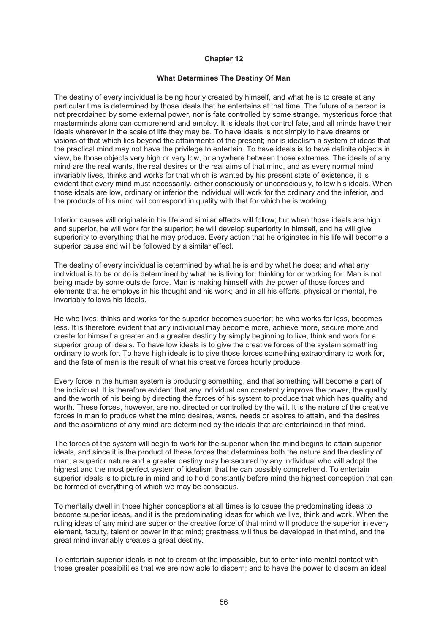## **What Determines The Destiny Of Man**

The destiny of every individual is being hourly created by himself, and what he is to create at any particular time is determined by those ideals that he entertains at that time. The future of a person is not preordained by some external power, nor is fate controlled by some strange, mysterious force that masterminds alone can comprehend and employ. It is ideals that control fate, and all minds have their ideals wherever in the scale of life they may be. To have ideals is not simply to have dreams or visions of that which lies beyond the attainments of the present; nor is idealism a system of ideas that the practical mind may not have the privilege to entertain. To have ideals is to have definite objects in view, be those objects very high or very low, or anywhere between those extremes. The ideals of any mind are the real wants, the real desires or the real aims of that mind, and as every normal mind invariably lives, thinks and works for that which is wanted by his present state of existence, it is evident that every mind must necessarily, either consciously or unconsciously, follow his ideals. When those ideals are low, ordinary or inferior the individual will work for the ordinary and the inferior, and the products of his mind will correspond in quality with that for which he is working.

Inferior causes will originate in his life and similar effects will follow; but when those ideals are high and superior, he will work for the superior; he will develop superiority in himself, and he will give superiority to everything that he may produce. Every action that he originates in his life will become a superior cause and will be followed by a similar effect.

The destiny of every individual is determined by what he is and by what he does; and what any individual is to be or do is determined by what he is living for, thinking for or working for. Man is not being made by some outside force. Man is making himself with the power of those forces and elements that he employs in his thought and his work; and in all his efforts, physical or mental, he invariably follows his ideals.

He who lives, thinks and works for the superior becomes superior; he who works for less, becomes less. It is therefore evident that any individual may become more, achieve more, secure more and create for himself a greater and a greater destiny by simply beginning to live, think and work for a superior group of ideals. To have low ideals is to give the creative forces of the system something ordinary to work for. To have high ideals is to give those forces something extraordinary to work for, and the fate of man is the result of what his creative forces hourly produce.

Every force in the human system is producing something, and that something will become a part of the individual. It is therefore evident that any individual can constantly improve the power, the quality and the worth of his being by directing the forces of his system to produce that which has quality and worth. These forces, however, are not directed or controlled by the will. It is the nature of the creative forces in man to produce what the mind desires, wants, needs or aspires to attain, and the desires and the aspirations of any mind are determined by the ideals that are entertained in that mind.

The forces of the system will begin to work for the superior when the mind begins to attain superior ideals, and since it is the product of these forces that determines both the nature and the destiny of man, a superior nature and a greater destiny may be secured by any individual who will adopt the highest and the most perfect system of idealism that he can possibly comprehend. To entertain superior ideals is to picture in mind and to hold constantly before mind the highest conception that can be formed of everything of which we may be conscious.

To mentally dwell in those higher conceptions at all times is to cause the predominating ideas to become superior ideas, and it is the predominating ideas for which we live, think and work. When the ruling ideas of any mind are superior the creative force of that mind will produce the superior in every element, faculty, talent or power in that mind; greatness will thus be developed in that mind, and the great mind invariably creates a great destiny.

To entertain superior ideals is not to dream of the impossible, but to enter into mental contact with those greater possibilities that we are now able to discern; and to have the power to discern an ideal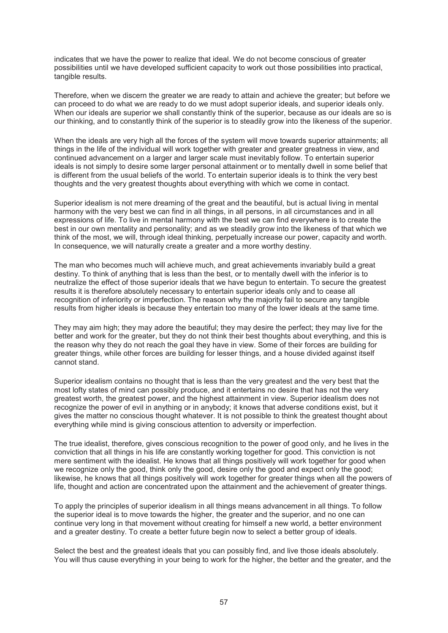indicates that we have the power to realize that ideal. We do not become conscious of greater possibilities until we have developed sufficient capacity to work out those possibilities into practical, tangible results.

Therefore, when we discern the greater we are ready to attain and achieve the greater; but before we can proceed to do what we are ready to do we must adopt superior ideals, and superior ideals only. When our ideals are superior we shall constantly think of the superior, because as our ideals are so is our thinking, and to constantly think of the superior is to steadily grow into the likeness of the superior.

When the ideals are very high all the forces of the system will move towards superior attainments; all things in the life of the individual will work together with greater and greater greatness in view, and continued advancement on a larger and larger scale must inevitably follow. To entertain superior ideals is not simply to desire some larger personal attainment or to mentally dwell in some belief that is different from the usual beliefs of the world. To entertain superior ideals is to think the very best thoughts and the very greatest thoughts about everything with which we come in contact.

Superior idealism is not mere dreaming of the great and the beautiful, but is actual living in mental harmony with the very best we can find in all things, in all persons, in all circumstances and in all expressions of life. To live in mental harmony with the best we can find everywhere is to create the best in our own mentality and personality; and as we steadily grow into the likeness of that which we think of the most, we will, through ideal thinking, perpetually increase our power, capacity and worth. In consequence, we will naturally create a greater and a more worthy destiny.

The man who becomes much will achieve much, and great achievements invariably build a great destiny. To think of anything that is less than the best, or to mentally dwell with the inferior is to neutralize the effect of those superior ideals that we have begun to entertain. To secure the greatest results it is therefore absolutely necessary to entertain superior ideals only and to cease all recognition of inferiority or imperfection. The reason why the majority fail to secure any tangible results from higher ideals is because they entertain too many of the lower ideals at the same time.

They may aim high; they may adore the beautiful; they may desire the perfect; they may live for the better and work for the greater, but they do not think their best thoughts about everything, and this is the reason why they do not reach the goal they have in view. Some of their forces are building for greater things, while other forces are building for lesser things, and a house divided against itself cannot stand.

Superior idealism contains no thought that is less than the very greatest and the very best that the most lofty states of mind can possibly produce, and it entertains no desire that has not the very greatest worth, the greatest power, and the highest attainment in view. Superior idealism does not recognize the power of evil in anything or in anybody; it knows that adverse conditions exist, but it gives the matter no conscious thought whatever. It is not possible to think the greatest thought about everything while mind is giving conscious attention to adversity or imperfection.

The true idealist, therefore, gives conscious recognition to the power of good only, and he lives in the conviction that all things in his life are constantly working together for good. This conviction is not mere sentiment with the idealist. He knows that all things positively will work together for good when we recognize only the good, think only the good, desire only the good and expect only the good; likewise, he knows that all things positively will work together for greater things when all the powers of life, thought and action are concentrated upon the attainment and the achievement of greater things.

To apply the principles of superior idealism in all things means advancement in all things. To follow the superior ideal is to move towards the higher, the greater and the superior, and no one can continue very long in that movement without creating for himself a new world, a better environment and a greater destiny. To create a better future begin now to select a better group of ideals.

Select the best and the greatest ideals that you can possibly find, and live those ideals absolutely. You will thus cause everything in your being to work for the higher, the better and the greater, and the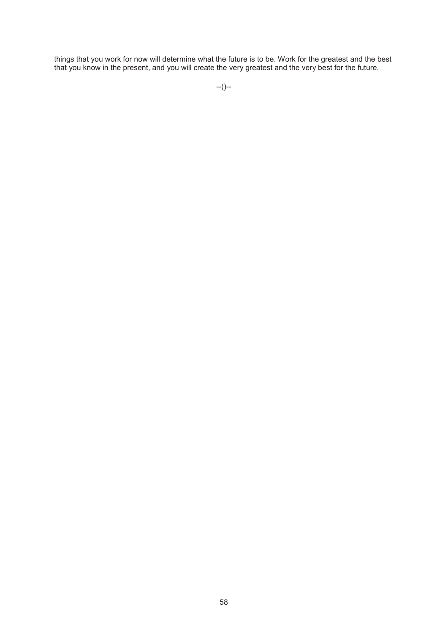things that you work for now will determine what the future is to be. Work for the greatest and the best that you know in the present, and you will create the very greatest and the very best for the future.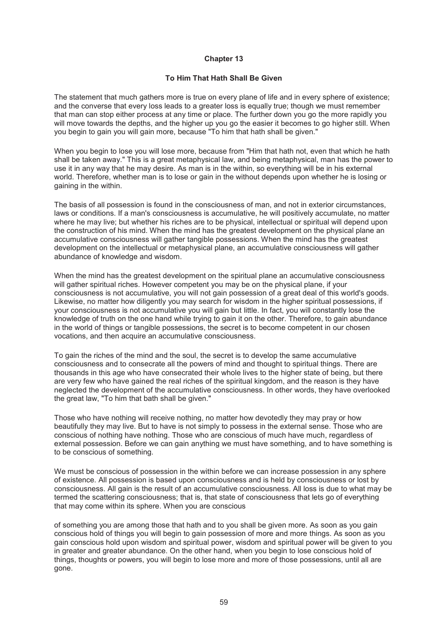# **To Him That Hath Shall Be Given**

The statement that much gathers more is true on every plane of life and in every sphere of existence; and the converse that every loss leads to a greater loss is equally true; though we must remember that man can stop either process at any time or place. The further down you go the more rapidly you will move towards the depths, and the higher up you go the easier it becomes to go higher still. When you begin to gain you will gain more, because "To him that hath shall be given."

When you begin to lose you will lose more, because from "Him that hath not, even that which he hath shall be taken away." This is a great metaphysical law, and being metaphysical, man has the power to use it in any way that he may desire. As man is in the within, so everything will be in his external world. Therefore, whether man is to lose or gain in the without depends upon whether he is losing or gaining in the within.

The basis of all possession is found in the consciousness of man, and not in exterior circumstances, laws or conditions. If a man's consciousness is accumulative, he will positively accumulate, no matter where he may live; but whether his riches are to be physical, intellectual or spiritual will depend upon the construction of his mind. When the mind has the greatest development on the physical plane an accumulative consciousness will gather tangible possessions. When the mind has the greatest development on the intellectual or metaphysical plane, an accumulative consciousness will gather abundance of knowledge and wisdom.

When the mind has the greatest development on the spiritual plane an accumulative consciousness will gather spiritual riches. However competent you may be on the physical plane, if your consciousness is not accumulative, you will not gain possession of a great deal of this world's goods. Likewise, no matter how diligently you may search for wisdom in the higher spiritual possessions, if your consciousness is not accumulative you will gain but little. In fact, you will constantly lose the knowledge of truth on the one hand while trying to gain it on the other. Therefore, to gain abundance in the world of things or tangible possessions, the secret is to become competent in our chosen vocations, and then acquire an accumulative consciousness.

To gain the riches of the mind and the soul, the secret is to develop the same accumulative consciousness and to consecrate all the powers of mind and thought to spiritual things. There are thousands in this age who have consecrated their whole lives to the higher state of being, but there are very few who have gained the real riches of the spiritual kingdom, and the reason is they have neglected the development of the accumulative consciousness. In other words, they have overlooked the great law, "To him that bath shall be given."

Those who have nothing will receive nothing, no matter how devotedly they may pray or how beautifully they may live. But to have is not simply to possess in the external sense. Those who are conscious of nothing have nothing. Those who are conscious of much have much, regardless of external possession. Before we can gain anything we must have something, and to have something is to be conscious of something.

We must be conscious of possession in the within before we can increase possession in any sphere of existence. All possession is based upon consciousness and is held by consciousness or lost by consciousness. All gain is the result of an accumulative consciousness. All loss is due to what may be termed the scattering consciousness; that is, that state of consciousness that lets go of everything that may come within its sphere. When you are conscious

of something you are among those that hath and to you shall be given more. As soon as you gain conscious hold of things you will begin to gain possession of more and more things. As soon as you gain conscious hold upon wisdom and spiritual power, wisdom and spiritual power will be given to you in greater and greater abundance. On the other hand, when you begin to lose conscious hold of things, thoughts or powers, you will begin to lose more and more of those possessions, until all are gone.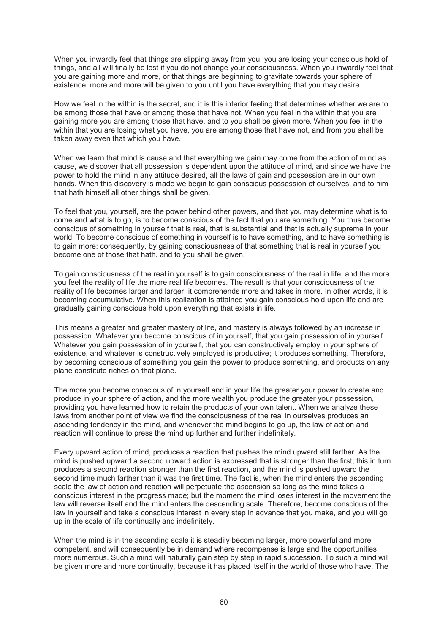When you inwardly feel that things are slipping away from you, you are losing your conscious hold of things, and all will finally be lost if you do not change your consciousness. When you inwardly feel that you are gaining more and more, or that things are beginning to gravitate towards your sphere of existence, more and more will be given to you until you have everything that you may desire.

How we feel in the within is the secret, and it is this interior feeling that determines whether we are to be among those that have or among those that have not. When you feel in the within that you are gaining more you are among those that have, and to you shall be given more. When you feel in the within that you are losing what you have, you are among those that have not, and from you shall be taken away even that which you have.

When we learn that mind is cause and that everything we gain may come from the action of mind as cause, we discover that all possession is dependent upon the attitude of mind, and since we have the power to hold the mind in any attitude desired, all the laws of gain and possession are in our own hands. When this discovery is made we begin to gain conscious possession of ourselves, and to him that hath himself all other things shall be given.

To feel that you, yourself, are the power behind other powers, and that you may determine what is to come and what is to go, is to become conscious of the fact that you are something. You thus become conscious of something in yourself that is real, that is substantial and that is actually supreme in your world. To become conscious of something in yourself is to have something, and to have something is to gain more; consequently, by gaining consciousness of that something that is real in yourself you become one of those that hath. and to you shall be given.

To gain consciousness of the real in yourself is to gain consciousness of the real in life, and the more you feel the reality of life the more real life becomes. The result is that your consciousness of the reality of life becomes larger and larger; it comprehends more and takes in more. In other words, it is becoming accumulative. When this realization is attained you gain conscious hold upon life and are gradually gaining conscious hold upon everything that exists in life.

This means a greater and greater mastery of life, and mastery is always followed by an increase in possession. Whatever you become conscious of in yourself, that you gain possession of in yourself. Whatever you gain possession of in yourself, that you can constructively employ in your sphere of existence, and whatever is constructively employed is productive; it produces something. Therefore, by becoming conscious of something you gain the power to produce something, and products on any plane constitute riches on that plane.

The more you become conscious of in yourself and in your life the greater your power to create and produce in your sphere of action, and the more wealth you produce the greater your possession, providing you have learned how to retain the products of your own talent. When we analyze these laws from another point of view we find the consciousness of the real in ourselves produces an ascending tendency in the mind, and whenever the mind begins to go up, the law of action and reaction will continue to press the mind up further and further indefinitely.

Every upward action of mind, produces a reaction that pushes the mind upward still farther. As the mind is pushed upward a second upward action is expressed that is stronger than the first; this in turn produces a second reaction stronger than the first reaction, and the mind is pushed upward the second time much farther than it was the first time. The fact is, when the mind enters the ascending scale the law of action and reaction will perpetuate the ascension so long as the mind takes a conscious interest in the progress made; but the moment the mind loses interest in the movement the law will reverse itself and the mind enters the descending scale. Therefore, become conscious of the law in yourself and take a conscious interest in every step in advance that you make, and you will go up in the scale of life continually and indefinitely.

When the mind is in the ascending scale it is steadily becoming larger, more powerful and more competent, and will consequently be in demand where recompense is large and the opportunities more numerous. Such a mind will naturally gain step by step in rapid succession. To such a mind will be given more and more continually, because it has placed itself in the world of those who have. The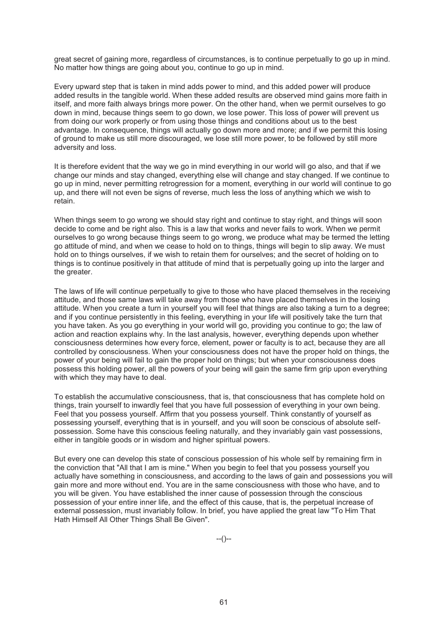great secret of gaining more, regardless of circumstances, is to continue perpetually to go up in mind. No matter how things are going about you, continue to go up in mind.

Every upward step that is taken in mind adds power to mind, and this added power will produce added results in the tangible world. When these added results are observed mind gains more faith in itself, and more faith always brings more power. On the other hand, when we permit ourselves to go down in mind, because things seem to go down, we lose power. This loss of power will prevent us from doing our work properly or from using those things and conditions about us to the best advantage. In consequence, things will actually go down more and more; and if we permit this losing of ground to make us still more discouraged, we lose still more power, to be followed by still more adversity and loss.

It is therefore evident that the way we go in mind everything in our world will go also, and that if we change our minds and stay changed, everything else will change and stay changed. If we continue to go up in mind, never permitting retrogression for a moment, everything in our world will continue to go up, and there will not even be signs of reverse, much less the loss of anything which we wish to retain.

When things seem to go wrong we should stay right and continue to stay right, and things will soon decide to come and be right also. This is a law that works and never fails to work. When we permit ourselves to go wrong because things seem to go wrong, we produce what may be termed the letting go attitude of mind, and when we cease to hold on to things, things will begin to slip away. We must hold on to things ourselves, if we wish to retain them for ourselves; and the secret of holding on to things is to continue positively in that attitude of mind that is perpetually going up into the larger and the greater.

The laws of life will continue perpetually to give to those who have placed themselves in the receiving attitude, and those same laws will take away from those who have placed themselves in the losing attitude. When you create a turn in yourself you will feel that things are also taking a turn to a degree; and if you continue persistently in this feeling, everything in your life will positively take the turn that you have taken. As you go everything in your world will go, providing you continue to go; the law of action and reaction explains why. In the last analysis, however, everything depends upon whether consciousness determines how every force, element, power or faculty is to act, because they are all controlled by consciousness. When your consciousness does not have the proper hold on things, the power of your being will fail to gain the proper hold on things; but when your consciousness does possess this holding power, all the powers of your being will gain the same firm grip upon everything with which they may have to deal.

To establish the accumulative consciousness, that is, that consciousness that has complete hold on things, train yourself to inwardly feel that you have full possession of everything in your own being. Feel that you possess yourself. Affirm that you possess yourself. Think constantly of yourself as possessing yourself, everything that is in yourself, and you will soon be conscious of absolute selfpossession. Some have this conscious feeling naturally, and they invariably gain vast possessions, either in tangible goods or in wisdom and higher spiritual powers.

But every one can develop this state of conscious possession of his whole self by remaining firm in the conviction that "All that I am is mine." When you begin to feel that you possess yourself you actually have something in consciousness, and according to the laws of gain and possessions you will gain more and more without end. You are in the same consciousness with those who have, and to you will be given. You have established the inner cause of possession through the conscious possession of your entire inner life, and the effect of this cause, that is, the perpetual increase of external possession, must invariably follow. In brief, you have applied the great law "To Him That Hath Himself All Other Things Shall Be Given".

--()--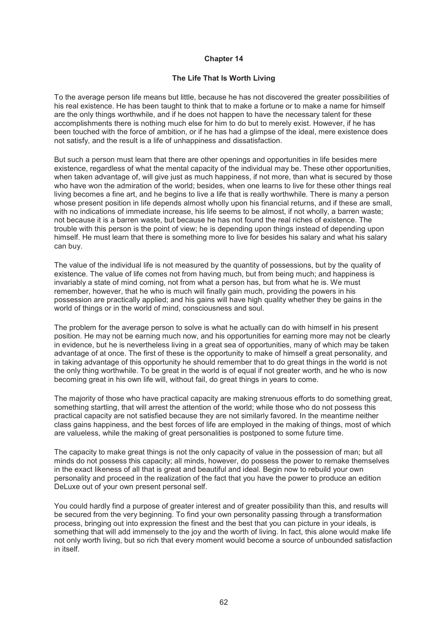# **The Life That Is Worth Living**

To the average person life means but little, because he has not discovered the greater possibilities of his real existence. He has been taught to think that to make a fortune or to make a name for himself are the only things worthwhile, and if he does not happen to have the necessary talent for these accomplishments there is nothing much else for him to do but to merely exist. However, if he has been touched with the force of ambition, or if he has had a glimpse of the ideal, mere existence does not satisfy, and the result is a life of unhappiness and dissatisfaction.

But such a person must learn that there are other openings and opportunities in life besides mere existence, regardless of what the mental capacity of the individual may be. These other opportunities, when taken advantage of, will give just as much happiness, if not more, than what is secured by those who have won the admiration of the world; besides, when one learns to live for these other things real living becomes a fine art, and he begins to live a life that is really worthwhile. There is many a person whose present position in life depends almost wholly upon his financial returns, and if these are small, with no indications of immediate increase, his life seems to be almost, if not wholly, a barren waste; not because it is a barren waste, but because he has not found the real riches of existence. The trouble with this person is the point of view; he is depending upon things instead of depending upon himself. He must learn that there is something more to live for besides his salary and what his salary can buy.

The value of the individual life is not measured by the quantity of possessions, but by the quality of existence. The value of life comes not from having much, but from being much; and happiness is invariably a state of mind coming, not from what a person has, but from what he is. We must remember, however, that he who is much will finally gain much, providing the powers in his possession are practically applied; and his gains will have high quality whether they be gains in the world of things or in the world of mind, consciousness and soul.

The problem for the average person to solve is what he actually can do with himself in his present position. He may not be earning much now, and his opportunities for earning more may not be clearly in evidence, but he is nevertheless living in a great sea of opportunities, many of which may be taken advantage of at once. The first of these is the opportunity to make of himself a great personality, and in taking advantage of this opportunity he should remember that to do great things in the world is not the only thing worthwhile. To be great in the world is of equal if not greater worth, and he who is now becoming great in his own life will, without fail, do great things in years to come.

The majority of those who have practical capacity are making strenuous efforts to do something great, something startling, that will arrest the attention of the world; while those who do not possess this practical capacity are not satisfied because they are not similarly favored. In the meantime neither class gains happiness, and the best forces of life are employed in the making of things, most of which are valueless, while the making of great personalities is postponed to some future time.

The capacity to make great things is not the only capacity of value in the possession of man; but all minds do not possess this capacity; all minds, however, do possess the power to remake themselves in the exact likeness of all that is great and beautiful and ideal. Begin now to rebuild your own personality and proceed in the realization of the fact that you have the power to produce an edition DeLuxe out of your own present personal self.

You could hardly find a purpose of greater interest and of greater possibility than this, and results will be secured from the very beginning. To find your own personality passing through a transformation process, bringing out into expression the finest and the best that you can picture in your ideals, is something that will add immensely to the joy and the worth of living. In fact, this alone would make life not only worth living, but so rich that every moment would become a source of unbounded satisfaction in itself.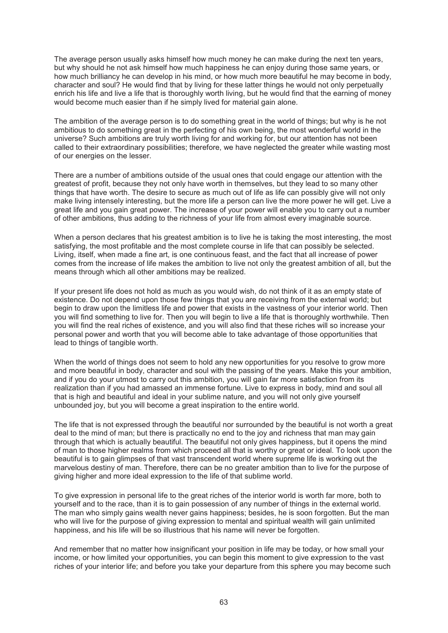The average person usually asks himself how much money he can make during the next ten years, but why should he not ask himself how much happiness he can enjoy during those same years, or how much brilliancy he can develop in his mind, or how much more beautiful he may become in body, character and soul? He would find that by living for these latter things he would not only perpetually enrich his life and live a life that is thoroughly worth living, but he would find that the earning of money would become much easier than if he simply lived for material gain alone.

The ambition of the average person is to do something great in the world of things; but why is he not ambitious to do something great in the perfecting of his own being, the most wonderful world in the universe? Such ambitions are truly worth living for and working for, but our attention has not been called to their extraordinary possibilities; therefore, we have neglected the greater while wasting most of our energies on the lesser.

There are a number of ambitions outside of the usual ones that could engage our attention with the greatest of profit, because they not only have worth in themselves, but they lead to so many other things that have worth. The desire to secure as much out of life as life can possibly give will not only make living intensely interesting, but the more life a person can live the more power he will get. Live a great life and you gain great power. The increase of your power will enable you to carry out a number of other ambitions, thus adding to the richness of your life from almost every imaginable source.

When a person declares that his greatest ambition is to live he is taking the most interesting, the most satisfying, the most profitable and the most complete course in life that can possibly be selected. Living, itself, when made a fine art, is one continuous feast, and the fact that all increase of power comes from the increase of life makes the ambition to live not only the greatest ambition of all, but the means through which all other ambitions may be realized.

If your present life does not hold as much as you would wish, do not think of it as an empty state of existence. Do not depend upon those few things that you are receiving from the external world; but begin to draw upon the limitless life and power that exists in the vastness of your interior world. Then you will find something to live for. Then you will begin to live a life that is thoroughly worthwhile. Then you will find the real riches of existence, and you will also find that these riches will so increase your personal power and worth that you will become able to take advantage of those opportunities that lead to things of tangible worth.

When the world of things does not seem to hold any new opportunities for you resolve to grow more and more beautiful in body, character and soul with the passing of the years. Make this your ambition, and if you do your utmost to carry out this ambition, you will gain far more satisfaction from its realization than if you had amassed an immense fortune. Live to express in body, mind and soul all that is high and beautiful and ideal in your sublime nature, and you will not only give yourself unbounded joy, but you will become a great inspiration to the entire world.

The life that is not expressed through the beautiful nor surrounded by the beautiful is not worth a great deal to the mind of man; but there is practically no end to the joy and richness that man may gain through that which is actually beautiful. The beautiful not only gives happiness, but it opens the mind of man to those higher realms from which proceed all that is worthy or great or ideal. To look upon the beautiful is to gain glimpses of that vast transcendent world where supreme life is working out the marvelous destiny of man. Therefore, there can be no greater ambition than to live for the purpose of giving higher and more ideal expression to the life of that sublime world.

To give expression in personal life to the great riches of the interior world is worth far more, both to yourself and to the race, than it is to gain possession of any number of things in the external world. The man who simply gains wealth never gains happiness; besides, he is soon forgotten. But the man who will live for the purpose of giving expression to mental and spiritual wealth will gain unlimited happiness, and his life will be so illustrious that his name will never be forgotten.

And remember that no matter how insignificant your position in life may be today, or how small your income, or how limited your opportunities, you can begin this moment to give expression to the vast riches of your interior life; and before you take your departure from this sphere you may become such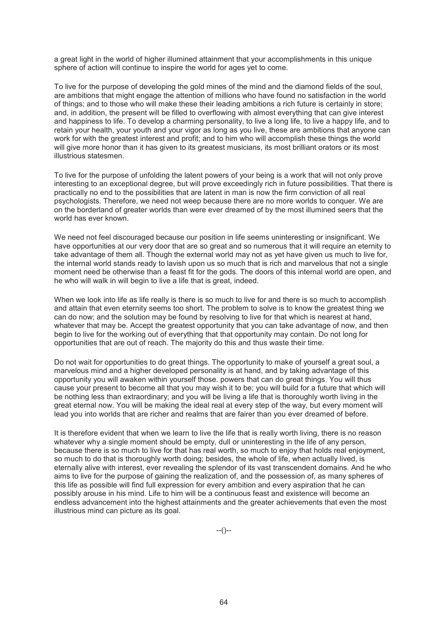a great light in the world of higher illumined attainment that your accomplishments in this unique sphere of action will continue to inspire the world for ages yet to come.

To live for the purpose of developing the gold mines of the mind and the diamond fields of the soul, are ambitions that might engage the attention of millions who have found no satisfaction in the world of things; and to those who will make these their leading ambitions a rich future is certainly in store; and, in addition, the present will be filled to overflowing with almost everything that can give interest and happiness to life. To develop a charming personality, to live a long life, to live a happy life, and to retain your health, your youth and your vigor as long as you live, these are ambitions that anyone can work for with the greatest interest and profit; and to him who will accomplish these things the world will give more honor than it has given to its greatest musicians, its most brilliant orators or its most illustrious statesmen.

To live for the purpose of unfolding the latent powers of your being is a work that will not only prove interesting to an exceptional degree, but will prove exceedingly rich in future possibilities. That there is practically no end to the possibilities that are latent in man is now the firm conviction of all real psychologists. Therefore, we need not weep because there are no more worlds to conquer. We are on the borderland of greater worlds than were ever dreamed of by the most illumined seers that the world has ever known.

We need not feel discouraged because our position in life seems uninteresting or insignificant. We have opportunities at our very door that are so great and so numerous that it will require an eternity to take advantage of them all. Though the external world may not as yet have given us much to live for, the internal world stands ready to lavish upon us so much that is rich and marvelous that not a single moment need be otherwise than a feast fit for the gods. The doors of this internal world are open, and he who will walk in will begin to live a life that is great, indeed.

When we look into life as life really is there is so much to live for and there is so much to accomplish and attain that even eternity seems too short. The problem to solve is to know the greatest thing we can do now; and the solution may be found by resolving to live for that which is nearest at hand, whatever that may be. Accept the greatest opportunity that you can take advantage of now, and then begin to live for the working out of everything that that opportunity may contain. Do not long for opportunities that are out of reach. The majority do this and thus waste their time.

Do not wait for opportunities to do great things. The opportunity to make of yourself a great soul, a marvelous mind and a higher developed personality is at hand, and by taking advantage of this opportunity you will awaken within yourself those. powers that can do great things. You will thus cause your present to become all that you may wish it to be; you will build for a future that which will be nothing less than extraordinary; and you will be living a life that is thoroughly worth living in the great eternal now. You will be making the ideal real at every step of the way, but every moment will lead you into worlds that are richer and realms that are fairer than you ever dreamed of before.

It is therefore evident that when we learn to live the life that is really worth living, there is no reason whatever why a single moment should be empty, dull or uninteresting in the life of any person, because there is so much to live for that has real worth, so much to enjoy that holds real enjoyment, so much to do that is thoroughly worth doing; besides, the whole of life, when actually lived, is eternally alive with interest, ever revealing the splendor of its vast transcendent domains. And he who aims to live for the purpose of gaining the realization of, and the possession of, as many spheres of this life as possible will find full expression for every ambition and every aspiration that he can possibly arouse in his mind. Life to him will be a continuous feast and existence will become an endless advancement into the highest attainments and the greater achievements that even the most illustrious mind can picture as its goal.

--()--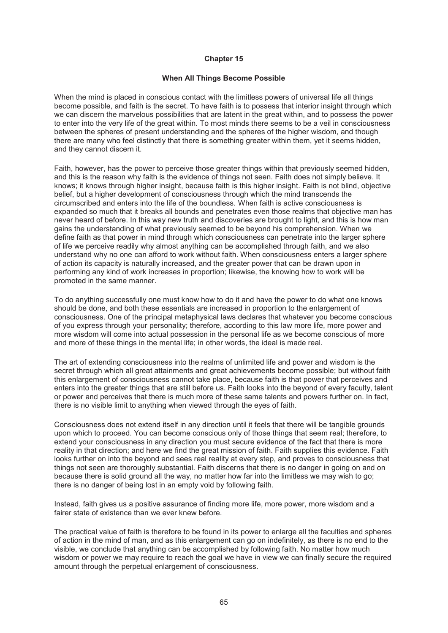#### **When All Things Become Possible**

When the mind is placed in conscious contact with the limitless powers of universal life all things become possible, and faith is the secret. To have faith is to possess that interior insight through which we can discern the marvelous possibilities that are latent in the great within, and to possess the power to enter into the very life of the great within. To most minds there seems to be a veil in consciousness between the spheres of present understanding and the spheres of the higher wisdom, and though there are many who feel distinctly that there is something greater within them, yet it seems hidden, and they cannot discern it.

Faith, however, has the power to perceive those greater things within that previously seemed hidden, and this is the reason why faith is the evidence of things not seen. Faith does not simply believe. It knows; it knows through higher insight, because faith is this higher insight. Faith is not blind, objective belief, but a higher development of consciousness through which the mind transcends the circumscribed and enters into the life of the boundless. When faith is active consciousness is expanded so much that it breaks all bounds and penetrates even those realms that objective man has never heard of before. In this way new truth and discoveries are brought to light, and this is how man gains the understanding of what previously seemed to be beyond his comprehension. When we define faith as that power in mind through which consciousness can penetrate into the larger sphere of life we perceive readily why almost anything can be accomplished through faith, and we also understand why no one can afford to work without faith. When consciousness enters a larger sphere of action its capacity is naturally increased, and the greater power that can be drawn upon in performing any kind of work increases in proportion; likewise, the knowing how to work will be promoted in the same manner.

To do anything successfully one must know how to do it and have the power to do what one knows should be done, and both these essentials are increased in proportion to the enlargement of consciousness. One of the principal metaphysical laws declares that whatever you become conscious of you express through your personality; therefore, according to this law more life, more power and more wisdom will come into actual possession in the personal life as we become conscious of more and more of these things in the mental life; in other words, the ideal is made real.

The art of extending consciousness into the realms of unlimited life and power and wisdom is the secret through which all great attainments and great achievements become possible; but without faith this enlargement of consciousness cannot take place, because faith is that power that perceives and enters into the greater things that are still before us. Faith looks into the beyond of every faculty, talent or power and perceives that there is much more of these same talents and powers further on. In fact, there is no visible limit to anything when viewed through the eyes of faith.

Consciousness does not extend itself in any direction until it feels that there will be tangible grounds upon which to proceed. You can become conscious only of those things that seem real; therefore, to extend your consciousness in any direction you must secure evidence of the fact that there is more reality in that direction; and here we find the great mission of faith. Faith supplies this evidence. Faith looks further on into the beyond and sees real reality at every step, and proves to consciousness that things not seen are thoroughly substantial. Faith discerns that there is no danger in going on and on because there is solid ground all the way, no matter how far into the limitless we may wish to go; there is no danger of being lost in an empty void by following faith.

Instead, faith gives us a positive assurance of finding more life, more power, more wisdom and a fairer state of existence than we ever knew before.

The practical value of faith is therefore to be found in its power to enlarge all the faculties and spheres of action in the mind of man, and as this enlargement can go on indefinitely, as there is no end to the visible, we conclude that anything can be accomplished by following faith. No matter how much wisdom or power we may require to reach the goal we have in view we can finally secure the required amount through the perpetual enlargement of consciousness.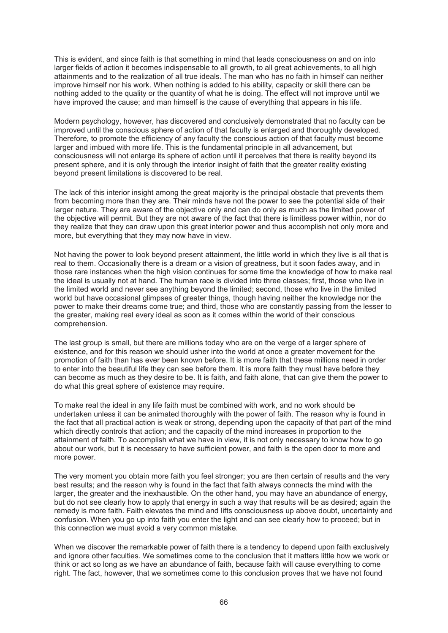This is evident, and since faith is that something in mind that leads consciousness on and on into larger fields of action it becomes indispensable to all growth, to all great achievements, to all high attainments and to the realization of all true ideals. The man who has no faith in himself can neither improve himself nor his work. When nothing is added to his ability, capacity or skill there can be nothing added to the quality or the quantity of what he is doing. The effect will not improve until we have improved the cause; and man himself is the cause of everything that appears in his life.

Modern psychology, however, has discovered and conclusively demonstrated that no faculty can be improved until the conscious sphere of action of that faculty is enlarged and thoroughly developed. Therefore, to promote the efficiency of any faculty the conscious action of that faculty must become larger and imbued with more life. This is the fundamental principle in all advancement, but consciousness will not enlarge its sphere of action until it perceives that there is reality beyond its present sphere, and it is only through the interior insight of faith that the greater reality existing beyond present limitations is discovered to be real.

The lack of this interior insight among the great majority is the principal obstacle that prevents them from becoming more than they are. Their minds have not the power to see the potential side of their larger nature. They are aware of the objective only and can do only as much as the limited power of the objective will permit. But they are not aware of the fact that there is limitless power within, nor do they realize that they can draw upon this great interior power and thus accomplish not only more and more, but everything that they may now have in view.

Not having the power to look beyond present attainment, the little world in which they live is all that is real to them. Occasionally there is a dream or a vision of greatness, but it soon fades away, and in those rare instances when the high vision continues for some time the knowledge of how to make real the ideal is usually not at hand. The human race is divided into three classes; first, those who live in the limited world and never see anything beyond the limited; second, those who live in the limited world but have occasional glimpses of greater things, though having neither the knowledge nor the power to make their dreams come true; and third, those who are constantly passing from the lesser to the greater, making real every ideal as soon as it comes within the world of their conscious comprehension.

The last group is small, but there are millions today who are on the verge of a larger sphere of existence, and for this reason we should usher into the world at once a greater movement for the promotion of faith than has ever been known before. It is more faith that these millions need in order to enter into the beautiful life they can see before them. It is more faith they must have before they can become as much as they desire to be. It is faith, and faith alone, that can give them the power to do what this great sphere of existence may require.

To make real the ideal in any life faith must be combined with work, and no work should be undertaken unless it can be animated thoroughly with the power of faith. The reason why is found in the fact that all practical action is weak or strong, depending upon the capacity of that part of the mind which directly controls that action; and the capacity of the mind increases in proportion to the attainment of faith. To accomplish what we have in view, it is not only necessary to know how to go about our work, but it is necessary to have sufficient power, and faith is the open door to more and more power.

The very moment you obtain more faith you feel stronger; you are then certain of results and the very best results; and the reason why is found in the fact that faith always connects the mind with the larger, the greater and the inexhaustible. On the other hand, you may have an abundance of energy, but do not see clearly how to apply that energy in such a way that results will be as desired; again the remedy is more faith. Faith elevates the mind and lifts consciousness up above doubt, uncertainty and confusion. When you go up into faith you enter the light and can see clearly how to proceed; but in this connection we must avoid a very common mistake.

When we discover the remarkable power of faith there is a tendency to depend upon faith exclusively and ignore other faculties. We sometimes come to the conclusion that it matters little how we work or think or act so long as we have an abundance of faith, because faith will cause everything to come right. The fact, however, that we sometimes come to this conclusion proves that we have not found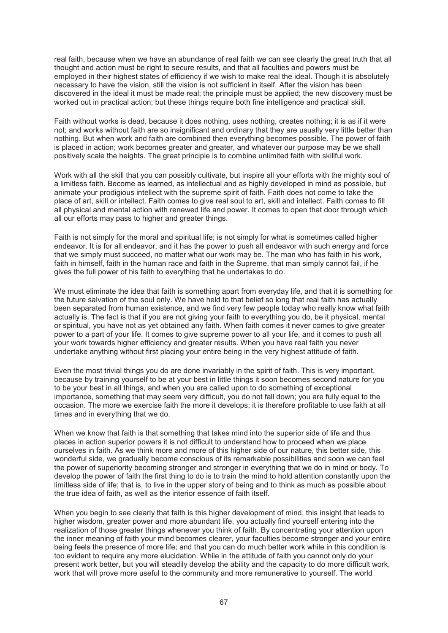real faith, because when we have an abundance of real faith we can see clearly the great truth that all thought and action must be right to secure results, and that all faculties and powers must be employed in their highest states of efficiency if we wish to make real the ideal. Though it is absolutely necessary to have the vision, still the vision is not sufficient in itself. After the vision has been discovered in the ideal it must be made real; the principle must be applied; the new discovery must be worked out in practical action; but these things require both fine intelligence and practical skill.

Faith without works is dead, because it does nothing, uses nothing, creates nothing; it is as if it were not; and works without faith are so insignificant and ordinary that they are usually very little better than nothing. But when work and faith are combined then everything becomes possible. The power of faith is placed in action; work becomes greater and greater, and whatever our purpose may be we shall positively scale the heights. The great principle is to combine unlimited faith with skillful work.

Work with all the skill that you can possibly cultivate, but inspire all your efforts with the mighty soul of a limitless faith. Become as learned, as intellectual and as highly developed in mind as possible, but animate your prodigious intellect with the supreme spirit of faith. Faith does not come to take the place of art, skill or intellect. Faith comes to give real soul to art, skill and intellect. Faith comes to fill all physical and mental action with renewed life and power. It comes to open that door through which all our efforts may pass to higher and greater things.

Faith is not simply for the moral and spiritual life; is not simply for what is sometimes called higher endeavor. It is for all endeavor, and it has the power to push all endeavor with such energy and force that we simply must succeed, no matter what our work may be. The man who has faith in his work, faith in himself, faith in the human race and faith in the Supreme, that man simply cannot fail, if he gives the full power of his faith to everything that he undertakes to do.

We must eliminate the idea that faith is something apart from everyday life, and that it is something for the future salvation of the soul only. We have held to that belief so long that real faith has actually been separated from human existence, and we find very few people today who really know what faith actually is. The fact is that if you are not giving your faith to everything you do, be it physical, mental or spiritual, you have not as yet obtained any faith. When faith comes it never comes to give greater power to a part of your life. It comes to give supreme power to all your life, and it comes to push all your work towards higher efficiency and greater results. When you have real faith you never undertake anything without first placing your entire being in the very highest attitude of faith.

Even the most trivial things you do are done invariably in the spirit of faith. This is very important, because by training yourself to be at your best in little things it soon becomes second nature for you to be your best in all things, and when you are called upon to do something of exceptional importance, something that may seem very difficult, you do not fall down; you are fully equal to the occasion. The more we exercise faith the more it develops; it is therefore profitable to use faith at all times and in everything that we do.

When we know that faith is that something that takes mind into the superior side of life and thus places in action superior powers it is not difficult to understand how to proceed when we place ourselves in faith. As we think more and more of this higher side of our nature, this better side, this wonderful side, we gradually become conscious of its remarkable possibilities and soon we can feel the power of superiority becoming stronger and stronger in everything that we do in mind or body. To develop the power of faith the first thing to do is to train the mind to hold attention constantly upon the limitless side of life; that is, to live in the upper story of being and to think as much as possible about the true idea of faith, as well as the interior essence of faith itself.

When you begin to see clearly that faith is this higher development of mind, this insight that leads to higher wisdom, greater power and more abundant life, you actually find yourself entering into the realization of those greater things whenever you think of faith. By concentrating your attention upon the inner meaning of faith your mind becomes clearer, your faculties become stronger and your entire being feels the presence of more life; and that you can do much better work while in this condition is too evident to require any more elucidation. While in the attitude of faith you cannot only do your present work better, but you will steadily develop the ability and the capacity to do more difficult work, work that will prove more useful to the community and more remunerative to yourself. The world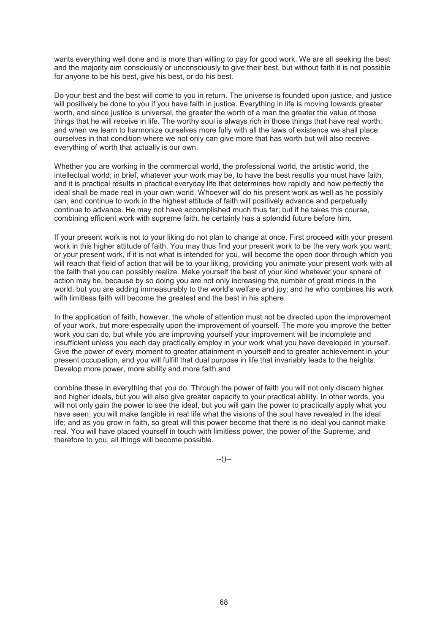wants everything well done and is more than willing to pay for good work. We are all seeking the best and the majority aim consciously or unconsciously to give their best, but without faith it is not possible for anyone to be his best, give his best, or do his best.

Do your best and the best will come to you in return. The universe is founded upon justice, and justice will positively be done to you if you have faith in justice. Everything in life is moving towards greater worth, and since justice is universal, the greater the worth of a man the greater the value of those things that he will receive in life. The worthy soul is always rich in those things that have real worth; and when we learn to harmonize ourselves more fully with all the laws of existence we shall place ourselves in that condition where we not only can give more that has worth but will also receive everything of worth that actually is our own.

Whether you are working in the commercial world, the professional world, the artistic world, the intellectual world; in brief, whatever your work may be, to have the best results you must have faith, and it is practical results in practical everyday life that determines how rapidly and how perfectly the ideal shall be made real in your own world. Whoever will do his present work as well as he possibly can, and continue to work in the highest attitude of faith will positively advance and perpetually continue to advance. He may not have accomplished much thus far; but if he takes this course, combining efficient work with supreme faith, he certainly has a splendid future before him.

If your present work is not to your liking do not plan to change at once. First proceed with your present work in this higher attitude of faith. You may thus find your present work to be the very work you want; or your present work, if it is not what is intended for you, will become the open door through which you will reach that field of action that will be to your liking, providing you animate your present work with all the faith that you can possibly realize. Make yourself the best of your kind whatever your sphere of action may be, because by so doing you are not only increasing the number of great minds in the world, but you are adding immeasurably to the world's welfare and joy; and he who combines his work with limitless faith will become the greatest and the best in his sphere.

In the application of faith, however, the whole of attention must not be directed upon the improvement of your work, but more especially upon the improvement of yourself. The more you improve the better work you can do, but while you are improving yourself your improvement will be incomplete and insufficient unless you each day practically employ in your work what you have developed in yourself. Give the power of every moment to greater attainment in yourself and to greater achievement in your present occupation, and you will fulfill that dual purpose in life that invariably leads to the heights. Develop more power, more ability and more faith and

combine these in everything that you do. Through the power of faith you will not only discern higher and higher ideals, but you will also give greater capacity to your practical ability. In other words, you will not only gain the power to see the ideal, but you will gain the power to practically apply what you have seen; you will make tangible in real life what the visions of the soul have revealed in the ideal life; and as you grow in faith, so great will this power become that there is no ideal you cannot make real. You will have placed yourself in touch with limitless power, the power of the Supreme, and therefore to you, all things will become possible.

 $-(-)$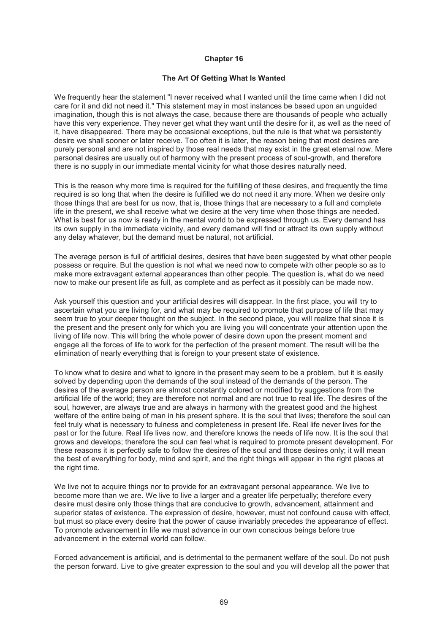# **The Art Of Getting What Is Wanted**

We frequently hear the statement "I never received what I wanted until the time came when I did not care for it and did not need it." This statement may in most instances be based upon an unguided imagination, though this is not always the case, because there are thousands of people who actually have this very experience. They never get what they want until the desire for it, as well as the need of it, have disappeared. There may be occasional exceptions, but the rule is that what we persistently desire we shall sooner or later receive. Too often it is later, the reason being that most desires are purely personal and are not inspired by those real needs that may exist in the great eternal now. Mere personal desires are usually out of harmony with the present process of soul-growth, and therefore there is no supply in our immediate mental vicinity for what those desires naturally need.

This is the reason why more time is required for the fulfilling of these desires, and frequently the time required is so long that when the desire is fulfilled we do not need it any more. When we desire only those things that are best for us now, that is, those things that are necessary to a full and complete life in the present, we shall receive what we desire at the very time when those things are needed. What is best for us now is ready in the mental world to be expressed through us. Every demand has its own supply in the immediate vicinity, and every demand will find or attract its own supply without any delay whatever, but the demand must be natural, not artificial.

The average person is full of artificial desires, desires that have been suggested by what other people possess or require. But the question is not what we need now to compete with other people so as to make more extravagant external appearances than other people. The question is, what do we need now to make our present life as full, as complete and as perfect as it possibly can be made now.

Ask yourself this question and your artificial desires will disappear. In the first place, you will try to ascertain what you are living for, and what may be required to promote that purpose of life that may seem true to your deeper thought on the subject. In the second place, you will realize that since it is the present and the present only for which you are living you will concentrate your attention upon the living of life now. This will bring the whole power of desire down upon the present moment and engage all the forces of life to work for the perfection of the present moment. The result will be the elimination of nearly everything that is foreign to your present state of existence.

To know what to desire and what to ignore in the present may seem to be a problem, but it is easily solved by depending upon the demands of the soul instead of the demands of the person. The desires of the average person are almost constantly colored or modified by suggestions from the artificial life of the world; they are therefore not normal and are not true to real life. The desires of the soul, however, are always true and are always in harmony with the greatest good and the highest welfare of the entire being of man in his present sphere. It is the soul that lives; therefore the soul can feel truly what is necessary to fulness and completeness in present life. Real life never lives for the past or for the future. Real life lives now, and therefore knows the needs of life now. It is the soul that grows and develops; therefore the soul can feel what is required to promote present development. For these reasons it is perfectly safe to follow the desires of the soul and those desires only; it will mean the best of everything for body, mind and spirit, and the right things will appear in the right places at the right time.

We live not to acquire things nor to provide for an extravagant personal appearance. We live to become more than we are. We live to live a larger and a greater life perpetually; therefore every desire must desire only those things that are conducive to growth, advancement, attainment and superior states of existence. The expression of desire, however, must not confound cause with effect, but must so place every desire that the power of cause invariably precedes the appearance of effect. To promote advancement in life we must advance in our own conscious beings before true advancement in the external world can follow.

Forced advancement is artificial, and is detrimental to the permanent welfare of the soul. Do not push the person forward. Live to give greater expression to the soul and you will develop all the power that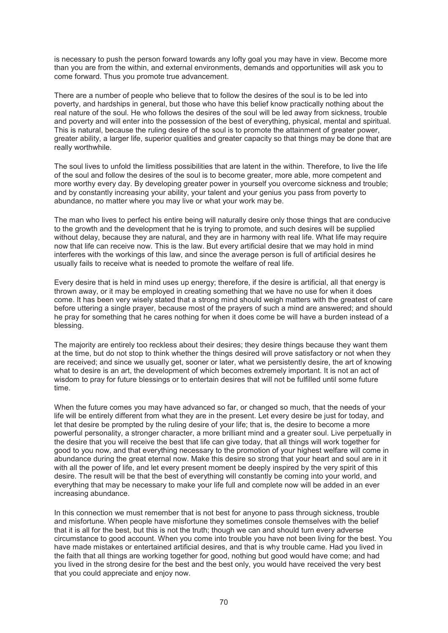is necessary to push the person forward towards any lofty goal you may have in view. Become more than you are from the within, and external environments, demands and opportunities will ask you to come forward. Thus you promote true advancement.

There are a number of people who believe that to follow the desires of the soul is to be led into poverty, and hardships in general, but those who have this belief know practically nothing about the real nature of the soul. He who follows the desires of the soul will be led away from sickness, trouble and poverty and will enter into the possession of the best of everything, physical, mental and spiritual. This is natural, because the ruling desire of the soul is to promote the attainment of greater power, greater ability, a larger life, superior qualities and greater capacity so that things may be done that are really worthwhile.

The soul lives to unfold the limitless possibilities that are latent in the within. Therefore, to live the life of the soul and follow the desires of the soul is to become greater, more able, more competent and more worthy every day. By developing greater power in yourself you overcome sickness and trouble; and by constantly increasing your ability, your talent and your genius you pass from poverty to abundance, no matter where you may live or what your work may be.

The man who lives to perfect his entire being will naturally desire only those things that are conducive to the growth and the development that he is trying to promote, and such desires will be supplied without delay, because they are natural, and they are in harmony with real life. What life may require now that life can receive now. This is the law. But every artificial desire that we may hold in mind interferes with the workings of this law, and since the average person is full of artificial desires he usually fails to receive what is needed to promote the welfare of real life.

Every desire that is held in mind uses up energy; therefore, if the desire is artificial, all that energy is thrown away, or it may be employed in creating something that we have no use for when it does come. It has been very wisely stated that a strong mind should weigh matters with the greatest of care before uttering a single prayer, because most of the prayers of such a mind are answered; and should he pray for something that he cares nothing for when it does come be will have a burden instead of a blessing.

The majority are entirely too reckless about their desires; they desire things because they want them at the time, but do not stop to think whether the things desired will prove satisfactory or not when they are received; and since we usually get, sooner or later, what we persistently desire, the art of knowing what to desire is an art, the development of which becomes extremely important. It is not an act of wisdom to pray for future blessings or to entertain desires that will not be fulfilled until some future time.

When the future comes you may have advanced so far, or changed so much, that the needs of your life will be entirely different from what they are in the present. Let every desire be just for today, and let that desire be prompted by the ruling desire of your life; that is, the desire to become a more powerful personality, a stronger character, a more brilliant mind and a greater soul. Live perpetually in the desire that you will receive the best that life can give today, that all things will work together for good to you now, and that everything necessary to the promotion of your highest welfare will come in abundance during the great eternal now. Make this desire so strong that your heart and soul are in it with all the power of life, and let every present moment be deeply inspired by the very spirit of this desire. The result will be that the best of everything will constantly be coming into your world, and everything that may be necessary to make your life full and complete now will be added in an ever increasing abundance.

In this connection we must remember that is not best for anyone to pass through sickness, trouble and misfortune. When people have misfortune they sometimes console themselves with the belief that it is all for the best, but this is not the truth; though we can and should turn every adverse circumstance to good account. When you come into trouble you have not been living for the best. You have made mistakes or entertained artificial desires, and that is why trouble came. Had you lived in the faith that all things are working together for good, nothing but good would have come; and had you lived in the strong desire for the best and the best only, you would have received the very best that you could appreciate and enjoy now.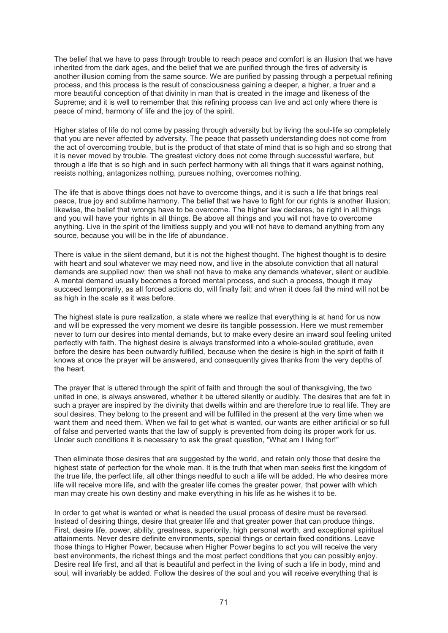The belief that we have to pass through trouble to reach peace and comfort is an illusion that we have inherited from the dark ages, and the belief that we are purified through the fires of adversity is another illusion coming from the same source. We are purified by passing through a perpetual refining process, and this process is the result of consciousness gaining a deeper, a higher, a truer and a more beautiful conception of that divinity in man that is created in the image and likeness of the Supreme; and it is well to remember that this refining process can live and act only where there is peace of mind, harmony of life and the joy of the spirit.

Higher states of life do not come by passing through adversity but by living the soul-life so completely that you are never affected by adversity. The peace that passeth understanding does not come from the act of overcoming trouble, but is the product of that state of mind that is so high and so strong that it is never moved by trouble. The greatest victory does not come through successful warfare, but through a life that is so high and in such perfect harmony with all things that it wars against nothing, resists nothing, antagonizes nothing, pursues nothing, overcomes nothing.

The life that is above things does not have to overcome things, and it is such a life that brings real peace, true joy and sublime harmony. The belief that we have to fight for our rights is another illusion; likewise, the belief that wrongs have to be overcome. The higher law declares, be right in all things and you will have your rights in all things. Be above all things and you will not have to overcome anything. Live in the spirit of the limitless supply and you will not have to demand anything from any source, because you will be in the life of abundance.

There is value in the silent demand, but it is not the highest thought. The highest thought is to desire with heart and soul whatever we may need now, and live in the absolute conviction that all natural demands are supplied now; then we shall not have to make any demands whatever, silent or audible. A mental demand usually becomes a forced mental process, and such a process, though it may succeed temporarily, as all forced actions do, will finally fail; and when it does fail the mind will not be as high in the scale as it was before.

The highest state is pure realization, a state where we realize that everything is at hand for us now and will be expressed the very moment we desire its tangible possession. Here we must remember never to turn our desires into mental demands, but to make every desire an inward soul feeling united perfectly with faith. The highest desire is always transformed into a whole-souled gratitude, even before the desire has been outwardly fulfilled, because when the desire is high in the spirit of faith it knows at once the prayer will be answered, and consequently gives thanks from the very depths of the heart.

The prayer that is uttered through the spirit of faith and through the soul of thanksgiving, the two united in one, is always answered, whether it be uttered silently or audibly. The desires that are felt in such a prayer are inspired by the divinity that dwells within and are therefore true to real life. They are soul desires. They belong to the present and will be fulfilled in the present at the very time when we want them and need them. When we fail to get what is wanted, our wants are either artificial or so full of false and perverted wants that the law of supply is prevented from doing its proper work for us. Under such conditions it is necessary to ask the great question, "What am I living for!"

Then eliminate those desires that are suggested by the world, and retain only those that desire the highest state of perfection for the whole man. It is the truth that when man seeks first the kingdom of the true life, the perfect life, all other things needful to such a life will be added. He who desires more life will receive more life, and with the greater life comes the greater power, that power with which man may create his own destiny and make everything in his life as he wishes it to be.

In order to get what is wanted or what is needed the usual process of desire must be reversed. Instead of desiring things, desire that greater life and that greater power that can produce things. First, desire life, power, ability, greatness, superiority, high personal worth, and exceptional spiritual attainments. Never desire definite environments, special things or certain fixed conditions. Leave those things to Higher Power, because when Higher Power begins to act you will receive the very best environments, the richest things and the most perfect conditions that you can possibly enjoy. Desire real life first, and all that is beautiful and perfect in the living of such a life in body, mind and soul, will invariably be added. Follow the desires of the soul and you will receive everything that is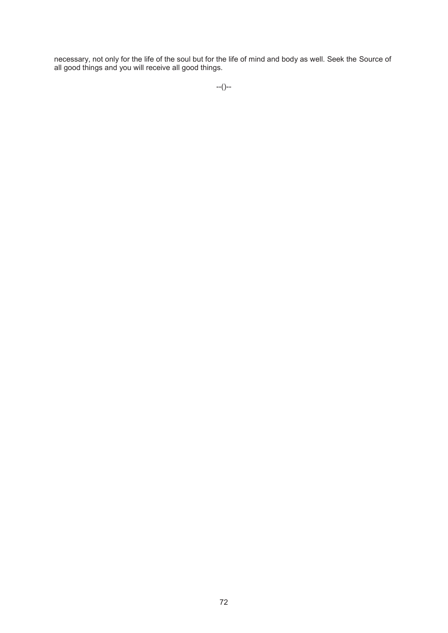necessary, not only for the life of the soul but for the life of mind and body as well. Seek the Source of all good things and you will receive all good things.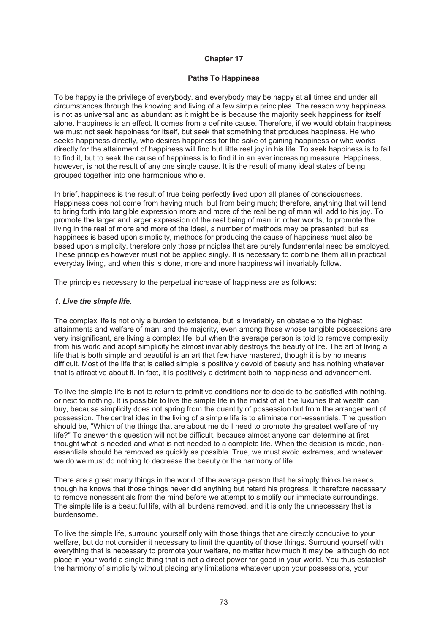#### **Paths To Happiness**

To be happy is the privilege of everybody, and everybody may be happy at all times and under all circumstances through the knowing and living of a few simple principles. The reason why happiness is not as universal and as abundant as it might be is because the majority seek happiness for itself alone. Happiness is an effect. It comes from a definite cause. Therefore, if we would obtain happiness we must not seek happiness for itself, but seek that something that produces happiness. He who seeks happiness directly, who desires happiness for the sake of gaining happiness or who works directly for the attainment of happiness will find but little real joy in his life. To seek happiness is to fail to find it, but to seek the cause of happiness is to find it in an ever increasing measure. Happiness, however, is not the result of any one single cause. It is the result of many ideal states of being grouped together into one harmonious whole.

In brief, happiness is the result of true being perfectly lived upon all planes of consciousness. Happiness does not come from having much, but from being much; therefore, anything that will tend to bring forth into tangible expression more and more of the real being of man will add to his joy. To promote the larger and larger expression of the real being of man; in other words, to promote the living in the real of more and more of the ideal, a number of methods may be presented; but as happiness is based upon simplicity, methods for producing the cause of happiness must also be based upon simplicity, therefore only those principles that are purely fundamental need be employed. These principles however must not be applied singly. It is necessary to combine them all in practical everyday living, and when this is done, more and more happiness will invariably follow.

The principles necessary to the perpetual increase of happiness are as follows:

### *1. Live the simple life.*

The complex life is not only a burden to existence, but is invariably an obstacle to the highest attainments and welfare of man; and the majority, even among those whose tangible possessions are very insignificant, are living a complex life; but when the average person is told to remove complexity from his world and adopt simplicity he almost invariably destroys the beauty of life. The art of living a life that is both simple and beautiful is an art that few have mastered, though it is by no means difficult. Most of the life that is called simple is positively devoid of beauty and has nothing whatever that is attractive about it. In fact, it is positively a detriment both to happiness and advancement.

To live the simple life is not to return to primitive conditions nor to decide to be satisfied with nothing, or next to nothing. It is possible to live the simple life in the midst of all the luxuries that wealth can buy, because simplicity does not spring from the quantity of possession but from the arrangement of possession. The central idea in the living of a simple life is to eliminate non-essentials. The question should be, "Which of the things that are about me do I need to promote the greatest welfare of my life?" To answer this question will not be difficult, because almost anyone can determine at first thought what is needed and what is not needed to a complete life. When the decision is made, nonessentials should be removed as quickly as possible. True, we must avoid extremes, and whatever we do we must do nothing to decrease the beauty or the harmony of life.

There are a great many things in the world of the average person that he simply thinks he needs, though he knows that those things never did anything but retard his progress. It therefore necessary to remove nonessentials from the mind before we attempt to simplify our immediate surroundings. The simple life is a beautiful life, with all burdens removed, and it is only the unnecessary that is burdensome.

To live the simple life, surround yourself only with those things that are directly conducive to your welfare, but do not consider it necessary to limit the quantity of those things. Surround yourself with everything that is necessary to promote your welfare, no matter how much it may be, although do not place in your world a single thing that is not a direct power for good in your world. You thus establish the harmony of simplicity without placing any limitations whatever upon your possessions, your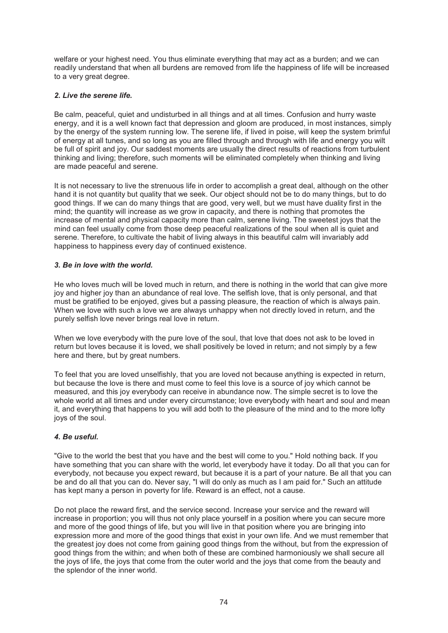welfare or your highest need. You thus eliminate everything that may act as a burden; and we can readily understand that when all burdens are removed from life the happiness of life will be increased to a very great degree.

# *2. Live the serene life.*

Be calm, peaceful, quiet and undisturbed in all things and at all times. Confusion and hurry waste energy, and it is a well known fact that depression and gloom are produced, in most instances, simply by the energy of the system running low. The serene life, if lived in poise, will keep the system brimful of energy at all tunes, and so long as you are filled through and through with life and energy you wilt be full of spirit and joy. Our saddest moments are usually the direct results of reactions from turbulent thinking and living; therefore, such moments will be eliminated completely when thinking and living are made peaceful and serene.

It is not necessary to live the strenuous life in order to accomplish a great deal, although on the other hand it is not quantity but quality that we seek. Our object should not be to do many things, but to do good things. If we can do many things that are good, very well, but we must have duality first in the mind; the quantity will increase as we grow in capacity, and there is nothing that promotes the increase of mental and physical capacity more than calm, serene living. The sweetest joys that the mind can feel usually come from those deep peaceful realizations of the soul when all is quiet and serene. Therefore, to cultivate the habit of living always in this beautiful calm will invariably add happiness to happiness every day of continued existence.

# *3. Be in love with the world.*

He who loves much will be loved much in return, and there is nothing in the world that can give more joy and higher joy than an abundance of real love. The selfish love, that is only personal, and that must be gratified to be enjoyed, gives but a passing pleasure, the reaction of which is always pain. When we love with such a love we are always unhappy when not directly loved in return, and the purely selfish love never brings real love in return.

When we love everybody with the pure love of the soul, that love that does not ask to be loved in return but loves because it is loved, we shall positively be loved in return; and not simply by a few here and there, but by great numbers.

To feel that you are loved unselfishly, that you are loved not because anything is expected in return, but because the love is there and must come to feel this love is a source of joy which cannot be measured, and this joy everybody can receive in abundance now. The simple secret is to love the whole world at all times and under every circumstance; love everybody with heart and soul and mean it, and everything that happens to you will add both to the pleasure of the mind and to the more lofty joys of the soul.

# *4. Be useful.*

"Give to the world the best that you have and the best will come to you." Hold nothing back. If you have something that you can share with the world, let everybody have it today. Do all that you can for everybody, not because you expect reward, but because it is a part of your nature. Be all that you can be and do all that you can do. Never say, "I will do only as much as I am paid for." Such an attitude has kept many a person in poverty for life. Reward is an effect, not a cause.

Do not place the reward first, and the service second. Increase your service and the reward will increase in proportion; you will thus not only place yourself in a position where you can secure more and more of the good things of life, but you will live in that position where you are bringing into expression more and more of the good things that exist in your own life. And we must remember that the greatest joy does not come from gaining good things from the without, but from the expression of good things from the within; and when both of these are combined harmoniously we shall secure all the joys of life, the joys that come from the outer world and the joys that come from the beauty and the splendor of the inner world.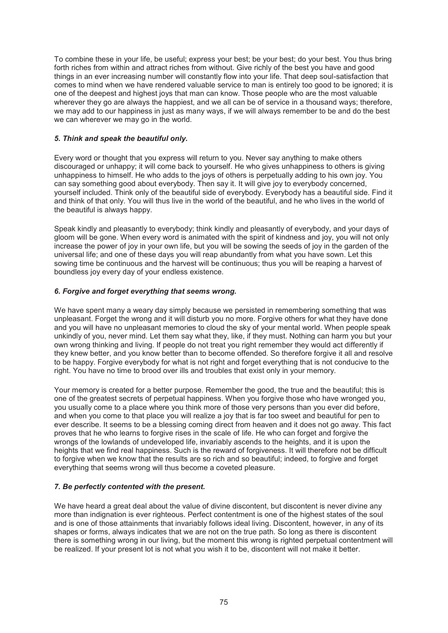To combine these in your life, be useful; express your best; be your best; do your best. You thus bring forth riches from within and attract riches from without. Give richly of the best you have and good things in an ever increasing number will constantly flow into your life. That deep soul-satisfaction that comes to mind when we have rendered valuable service to man is entirely too good to be ignored; it is one of the deepest and highest joys that man can know. Those people who are the most valuable wherever they go are always the happiest, and we all can be of service in a thousand ways; therefore, we may add to our happiness in just as many ways, if we will always remember to be and do the best we can wherever we may go in the world.

### *5. Think and speak the beautiful only.*

Every word or thought that you express will return to you. Never say anything to make others discouraged or unhappy; it will come back to yourself. He who gives unhappiness to others is giving unhappiness to himself. He who adds to the joys of others is perpetually adding to his own joy. You can say something good about everybody. Then say it. It will give joy to everybody concerned, yourself included. Think only of the beautiful side of everybody. Everybody has a beautiful side. Find it and think of that only. You will thus live in the world of the beautiful, and he who lives in the world of the beautiful is always happy.

Speak kindly and pleasantly to everybody; think kindly and pleasantly of everybody, and your days of gloom will be gone. When every word is animated with the spirit of kindness and joy, you will not only increase the power of joy in your own life, but you will be sowing the seeds of joy in the garden of the universal life; and one of these days you will reap abundantly from what you have sown. Let this sowing time be continuous and the harvest will be continuous; thus you will be reaping a harvest of boundless joy every day of your endless existence.

### *6. Forgive and forget everything that seems wrong.*

We have spent many a weary day simply because we persisted in remembering something that was unpleasant. Forget the wrong and it will disturb you no more. Forgive others for what they have done and you will have no unpleasant memories to cloud the sky of your mental world. When people speak unkindly of you, never mind. Let them say what they, like, if they must. Nothing can harm you but your own wrong thinking and living. If people do not treat you right remember they would act differently if they knew better, and you know better than to become offended. So therefore forgive it all and resolve to be happy. Forgive everybody for what is not right and forget everything that is not conducive to the right. You have no time to brood over ills and troubles that exist only in your memory.

Your memory is created for a better purpose. Remember the good, the true and the beautiful; this is one of the greatest secrets of perpetual happiness. When you forgive those who have wronged you, you usually come to a place where you think more of those very persons than you ever did before, and when you come to that place you will realize a joy that is far too sweet and beautiful for pen to ever describe. It seems to be a blessing coming direct from heaven and it does not go away. This fact proves that he who learns to forgive rises in the scale of life. He who can forget and forgive the wrongs of the lowlands of undeveloped life, invariably ascends to the heights, and it is upon the heights that we find real happiness. Such is the reward of forgiveness. It will therefore not be difficult to forgive when we know that the results are so rich and so beautiful; indeed, to forgive and forget everything that seems wrong will thus become a coveted pleasure.

# *7. Be perfectly contented with the present.*

We have heard a great deal about the value of divine discontent, but discontent is never divine any more than indignation is ever righteous. Perfect contentment is one of the highest states of the soul and is one of those attainments that invariably follows ideal living. Discontent, however, in any of its shapes or forms, always indicates that we are not on the true path. So long as there is discontent there is something wrong in our living, but the moment this wrong is righted perpetual contentment will be realized. If your present lot is not what you wish it to be, discontent will not make it better.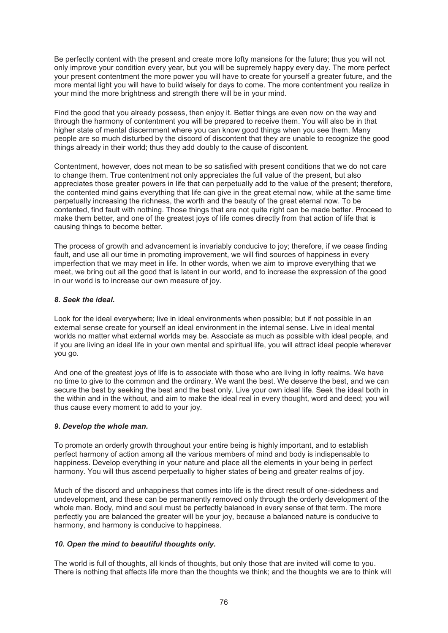Be perfectly content with the present and create more lofty mansions for the future; thus you will not only improve your condition every year, but you will be supremely happy every day. The more perfect your present contentment the more power you will have to create for yourself a greater future, and the more mental light you will have to build wisely for days to come. The more contentment you realize in your mind the more brightness and strength there will be in your mind.

Find the good that you already possess, then enjoy it. Better things are even now on the way and through the harmony of contentment you will be prepared to receive them. You will also be in that higher state of mental discernment where you can know good things when you see them. Many people are so much disturbed by the discord of discontent that they are unable to recognize the good things already in their world; thus they add doubly to the cause of discontent.

Contentment, however, does not mean to be so satisfied with present conditions that we do not care to change them. True contentment not only appreciates the full value of the present, but also appreciates those greater powers in life that can perpetually add to the value of the present; therefore, the contented mind gains everything that life can give in the great eternal now, while at the same time perpetually increasing the richness, the worth and the beauty of the great eternal now. To be contented, find fault with nothing. Those things that are not quite right can be made better. Proceed to make them better, and one of the greatest joys of life comes directly from that action of life that is causing things to become better.

The process of growth and advancement is invariably conducive to joy; therefore, if we cease finding fault, and use all our time in promoting improvement, we will find sources of happiness in every imperfection that we may meet in life. In other words, when we aim to improve everything that we meet, we bring out all the good that is latent in our world, and to increase the expression of the good in our world is to increase our own measure of joy.

#### *8. Seek the ideal.*

Look for the ideal everywhere; live in ideal environments when possible; but if not possible in an external sense create for yourself an ideal environment in the internal sense. Live in ideal mental worlds no matter what external worlds may be. Associate as much as possible with ideal people, and if you are living an ideal life in your own mental and spiritual life, you will attract ideal people wherever you go.

And one of the greatest joys of life is to associate with those who are living in lofty realms. We have no time to give to the common and the ordinary. We want the best. We deserve the best, and we can secure the best by seeking the best and the best only. Live your own ideal life. Seek the ideal both in the within and in the without, and aim to make the ideal real in every thought, word and deed; you will thus cause every moment to add to your joy.

# *9. Develop the whole man.*

To promote an orderly growth throughout your entire being is highly important, and to establish perfect harmony of action among all the various members of mind and body is indispensable to happiness. Develop everything in your nature and place all the elements in your being in perfect harmony. You will thus ascend perpetually to higher states of being and greater realms of joy.

Much of the discord and unhappiness that comes into life is the direct result of one-sidedness and undevelopment, and these can be permanently removed only through the orderly development of the whole man. Body, mind and soul must be perfectly balanced in every sense of that term. The more perfectly you are balanced the greater will be your joy, because a balanced nature is conducive to harmony, and harmony is conducive to happiness.

#### *10. Open the mind to beautiful thoughts only.*

The world is full of thoughts, all kinds of thoughts, but only those that are invited will come to you. There is nothing that affects life more than the thoughts we think; and the thoughts we are to think will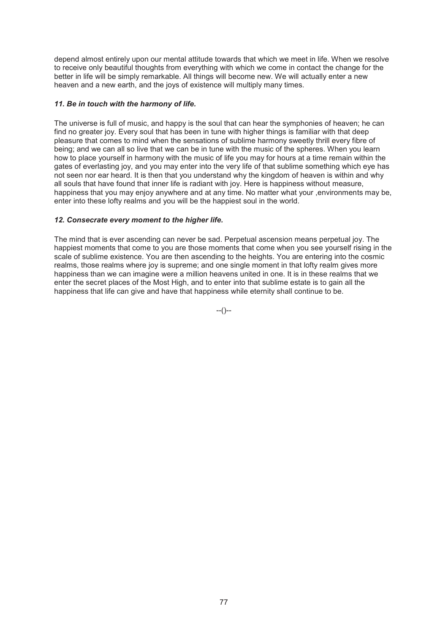depend almost entirely upon our mental attitude towards that which we meet in life. When we resolve to receive only beautiful thoughts from everything with which we come in contact the change for the better in life will be simply remarkable. All things will become new. We will actually enter a new heaven and a new earth, and the joys of existence will multiply many times.

# *11. Be in touch with the harmony of life.*

The universe is full of music, and happy is the soul that can hear the symphonies of heaven; he can find no greater joy. Every soul that has been in tune with higher things is familiar with that deep pleasure that comes to mind when the sensations of sublime harmony sweetly thrill every fibre of being; and we can all so live that we can be in tune with the music of the spheres. When you learn how to place yourself in harmony with the music of life you may for hours at a time remain within the gates of everlasting joy, and you may enter into the very life of that sublime something which eye has not seen nor ear heard. It is then that you understand why the kingdom of heaven is within and why all souls that have found that inner life is radiant with joy. Here is happiness without measure, happiness that you may enjoy anywhere and at any time. No matter what your ,environments may be, enter into these lofty realms and you will be the happiest soul in the world.

# *12. Consecrate every moment to the higher life.*

The mind that is ever ascending can never be sad. Perpetual ascension means perpetual joy. The happiest moments that come to you are those moments that come when you see yourself rising in the scale of sublime existence. You are then ascending to the heights. You are entering into the cosmic realms, those realms where joy is supreme; and one single moment in that lofty realm gives more happiness than we can imagine were a million heavens united in one. It is in these realms that we enter the secret places of the Most High, and to enter into that sublime estate is to gain all the happiness that life can give and have that happiness while eternity shall continue to be.

 $-(-)$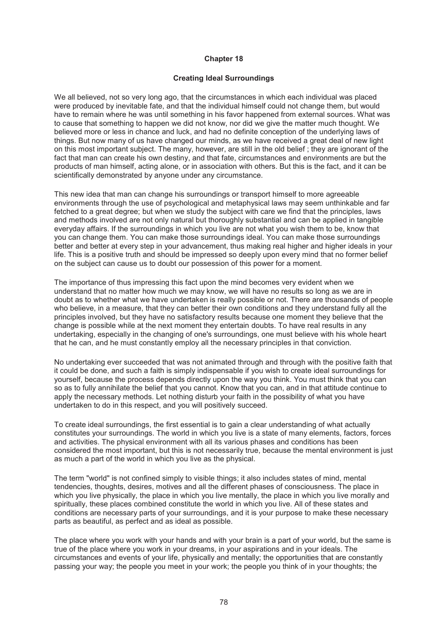#### **Creating Ideal Surroundings**

We all believed, not so very long ago, that the circumstances in which each individual was placed were produced by inevitable fate, and that the individual himself could not change them, but would have to remain where he was until something in his favor happened from external sources. What was to cause that something to happen we did not know, nor did we give the matter much thought. We believed more or less in chance and luck, and had no definite conception of the underlying laws of things. But now many of us have changed our minds, as we have received a great deal of new light on this most important subject. The many, however, are still in the old belief ; they are ignorant of the fact that man can create his own destiny, and that fate, circumstances and environments are but the products of man himself, acting alone, or in association with others. But this is the fact, and it can be scientifically demonstrated by anyone under any circumstance.

This new idea that man can change his surroundings or transport himself to more agreeable environments through the use of psychological and metaphysical laws may seem unthinkable and far fetched to a great degree; but when we study the subject with care we find that the principles, laws and methods involved are not only natural but thoroughly substantial and can be applied in tangible everyday affairs. If the surroundings in which you live are not what you wish them to be, know that you can change them. You can make those surroundings ideal. You can make those surroundings better and better at every step in your advancement, thus making real higher and higher ideals in your life. This is a positive truth and should be impressed so deeply upon every mind that no former belief on the subject can cause us to doubt our possession of this power for a moment.

The importance of thus impressing this fact upon the mind becomes very evident when we understand that no matter how much we may know, we will have no results so long as we are in doubt as to whether what we have undertaken is really possible or not. There are thousands of people who believe, in a measure, that they can better their own conditions and they understand fully all the principles involved, but they have no satisfactory results because one moment they believe that the change is possible while at the next moment they entertain doubts. To have real results in any undertaking, especially in the changing of one's surroundings, one must believe with his whole heart that he can, and he must constantly employ all the necessary principles in that conviction.

No undertaking ever succeeded that was not animated through and through with the positive faith that it could be done, and such a faith is simply indispensable if you wish to create ideal surroundings for yourself, because the process depends directly upon the way you think. You must think that you can so as to fully annihilate the belief that you cannot. Know that you can, and in that attitude continue to apply the necessary methods. Let nothing disturb your faith in the possibility of what you have undertaken to do in this respect, and you will positively succeed.

To create ideal surroundings, the first essential is to gain a clear understanding of what actually constitutes your surroundings. The world in which you live is a state of many elements, factors, forces and activities. The physical environment with all its various phases and conditions has been considered the most important, but this is not necessarily true, because the mental environment is just as much a part of the world in which you live as the physical.

The term "world" is not confined simply to visible things; it also includes states of mind, mental tendencies, thoughts, desires, motives and all the different phases of consciousness. The place in which you live physically, the place in which you live mentally, the place in which you live morally and spiritually, these places combined constitute the world in which you live. All of these states and conditions are necessary parts of your surroundings, and it is your purpose to make these necessary parts as beautiful, as perfect and as ideal as possible.

The place where you work with your hands and with your brain is a part of your world, but the same is true of the place where you work in your dreams, in your aspirations and in your ideals. The circumstances and events of your life, physically and mentally; the opportunities that are constantly passing your way; the people you meet in your work; the people you think of in your thoughts; the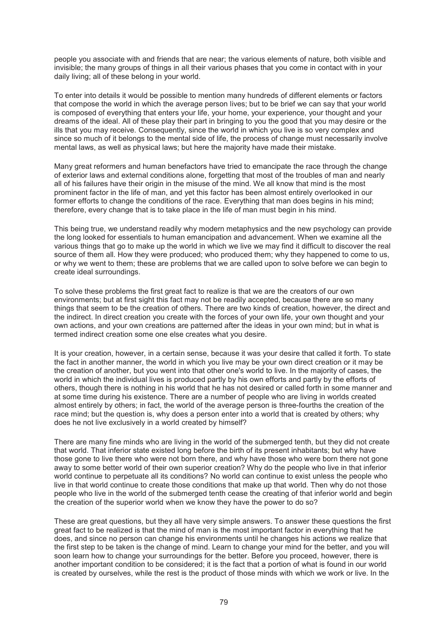people you associate with and friends that are near; the various elements of nature, both visible and invisible; the many groups of things in all their various phases that you come in contact with in your daily living; all of these belong in your world.

To enter into details it would be possible to mention many hundreds of different elements or factors that compose the world in which the average person lives; but to be brief we can say that your world is composed of everything that enters your life, your home, your experience, your thought and your dreams of the ideal. All of these play their part in bringing to you the good that you may desire or the ills that you may receive. Consequently, since the world in which you live is so very complex and since so much of it belongs to the mental side of life, the process of change must necessarily involve mental laws, as well as physical laws; but here the majority have made their mistake.

Many great reformers and human benefactors have tried to emancipate the race through the change of exterior laws and external conditions alone, forgetting that most of the troubles of man and nearly all of his failures have their origin in the misuse of the mind. We all know that mind is the most prominent factor in the life of man, and yet this factor has been almost entirely overlooked in our former efforts to change the conditions of the race. Everything that man does begins in his mind; therefore, every change that is to take place in the life of man must begin in his mind.

This being true, we understand readily why modern metaphysics and the new psychology can provide the long looked for essentials to human emancipation and advancement. When we examine all the various things that go to make up the world in which we live we may find it difficult to discover the real source of them all. How they were produced; who produced them; why they happened to come to us, or why we went to them; these are problems that we are called upon to solve before we can begin to create ideal surroundings.

To solve these problems the first great fact to realize is that we are the creators of our own environments; but at first sight this fact may not be readily accepted, because there are so many things that seem to be the creation of others. There are two kinds of creation, however, the direct and the indirect. In direct creation you create with the forces of your own life, your own thought and your own actions, and your own creations are patterned after the ideas in your own mind; but in what is termed indirect creation some one else creates what you desire.

It is your creation, however, in a certain sense, because it was your desire that called it forth. To state the fact in another manner, the world in which you live may be your own direct creation or it may be the creation of another, but you went into that other one's world to live. In the majority of cases, the world in which the individual lives is produced partly by his own efforts and partly by the efforts of others, though there is nothing in his world that he has not desired or called forth in some manner and at some time during his existence. There are a number of people who are living in worlds created almost entirely by others; in fact, the world of the average person is three-fourths the creation of the race mind; but the question is, why does a person enter into a world that is created by others; why does he not live exclusively in a world created by himself?

There are many fine minds who are living in the world of the submerged tenth, but they did not create that world. That inferior state existed long before the birth of its present inhabitants; but why have those gone to live there who were not born there, and why have those who were born there not gone away to some better world of their own superior creation? Why do the people who live in that inferior world continue to perpetuate all its conditions? No world can continue to exist unless the people who live in that world continue to create those conditions that make up that world. Then why do not those people who live in the world of the submerged tenth cease the creating of that inferior world and begin the creation of the superior world when we know they have the power to do so?

These are great questions, but they all have very simple answers. To answer these questions the first great fact to be realized is that the mind of man is the most important factor in everything that he does, and since no person can change his environments until he changes his actions we realize that the first step to be taken is the change of mind. Learn to change your mind for the better, and you will soon learn how to change your surroundings for the better. Before you proceed, however, there is another important condition to be considered; it is the fact that a portion of what is found in our world is created by ourselves, while the rest is the product of those minds with which we work or live. In the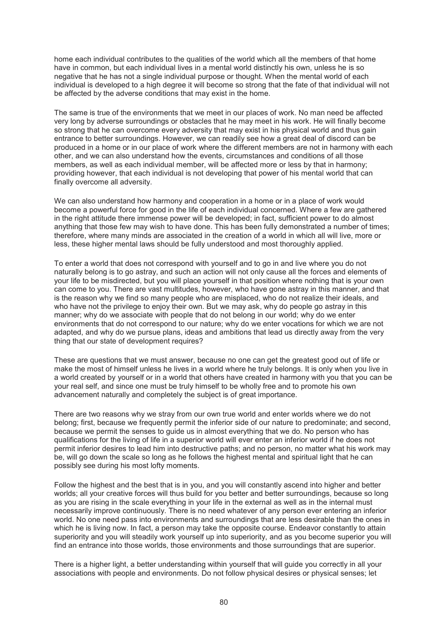home each individual contributes to the qualities of the world which all the members of that home have in common, but each individual lives in a mental world distinctly his own, unless he is so negative that he has not a single individual purpose or thought. When the mental world of each individual is developed to a high degree it will become so strong that the fate of that individual will not be affected by the adverse conditions that may exist in the home.

The same is true of the environments that we meet in our places of work. No man need be affected very long by adverse surroundings or obstacles that he may meet in his work. He will finally become so strong that he can overcome every adversity that may exist in his physical world and thus gain entrance to better surroundings. However, we can readily see how a great deal of discord can be produced in a home or in our place of work where the different members are not in harmony with each other, and we can also understand how the events, circumstances and conditions of all those members, as well as each individual member, will be affected more or less by that in harmony; providing however, that each individual is not developing that power of his mental world that can finally overcome all adversity.

We can also understand how harmony and cooperation in a home or in a place of work would become a powerful force for good in the life of each individual concerned. Where a few are gathered in the right attitude there immense power will be developed; in fact, sufficient power to do almost anything that those few may wish to have done. This has been fully demonstrated a number of times; therefore, where many minds are associated in the creation of a world in which all will live, more or less, these higher mental laws should be fully understood and most thoroughly applied.

To enter a world that does not correspond with yourself and to go in and live where you do not naturally belong is to go astray, and such an action will not only cause all the forces and elements of your life to be misdirected, but you will place yourself in that position where nothing that is your own can come to you. There are vast multitudes, however, who have gone astray in this manner, and that is the reason why we find so many people who are misplaced, who do not realize their ideals, and who have not the privilege to enjoy their own. But we may ask, why do people go astray in this manner; why do we associate with people that do not belong in our world; why do we enter environments that do not correspond to our nature; why do we enter vocations for which we are not adapted, and why do we pursue plans, ideas and ambitions that lead us directly away from the very thing that our state of development requires?

These are questions that we must answer, because no one can get the greatest good out of life or make the most of himself unless he lives in a world where he truly belongs. It is only when you live in a world created by yourself or in a world that others have created in harmony with you that you can be your real self, and since one must be truly himself to be wholly free and to promote his own advancement naturally and completely the subject is of great importance.

There are two reasons why we stray from our own true world and enter worlds where we do not belong; first, because we frequently permit the inferior side of our nature to predominate; and second, because we permit the senses to guide us in almost everything that we do. No person who has qualifications for the living of life in a superior world will ever enter an inferior world if he does not permit inferior desires to lead him into destructive paths; and no person, no matter what his work may be, will go down the scale so long as he follows the highest mental and spiritual light that he can possibly see during his most lofty moments.

Follow the highest and the best that is in you, and you will constantly ascend into higher and better worlds; all your creative forces will thus build for you better and better surroundings, because so long as you are rising in the scale everything in your life in the external as well as in the internal must necessarily improve continuously. There is no need whatever of any person ever entering an inferior world. No one need pass into environments and surroundings that are less desirable than the ones in which he is living now. In fact, a person may take the opposite course. Endeavor constantly to attain superiority and you will steadily work yourself up into superiority, and as you become superior you will find an entrance into those worlds, those environments and those surroundings that are superior.

There is a higher light, a better understanding within yourself that will guide you correctly in all your associations with people and environments. Do not follow physical desires or physical senses; let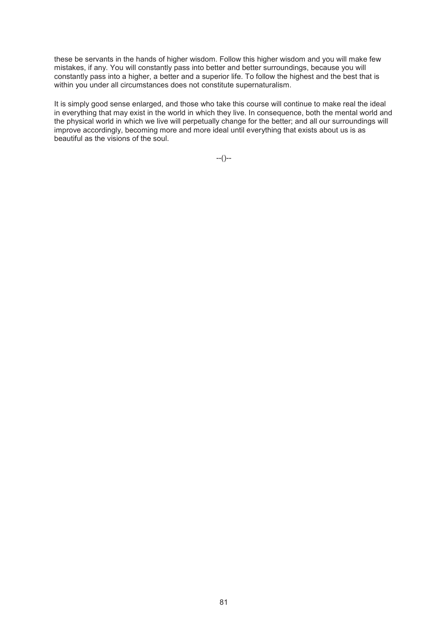these be servants in the hands of higher wisdom. Follow this higher wisdom and you will make few mistakes, if any. You will constantly pass into better and better surroundings, because you will constantly pass into a higher, a better and a superior life. To follow the highest and the best that is within you under all circumstances does not constitute supernaturalism.

It is simply good sense enlarged, and those who take this course will continue to make real the ideal in everything that may exist in the world in which they live. In consequence, both the mental world and the physical world in which we live will perpetually change for the better; and all our surroundings will improve accordingly, becoming more and more ideal until everything that exists about us is as beautiful as the visions of the soul.

--()--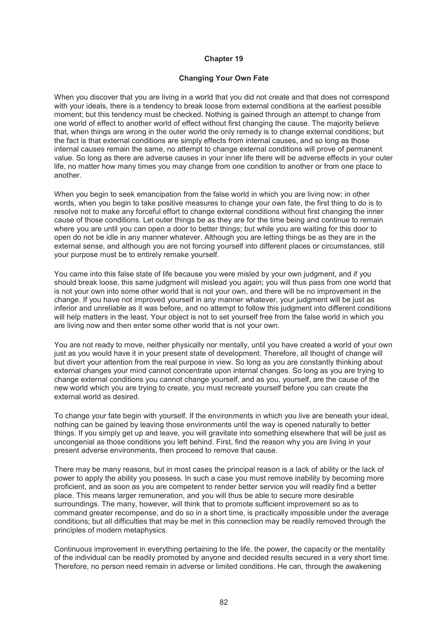### **Changing Your Own Fate**

When you discover that you are living in a world that you did not create and that does not correspond with your ideals, there is a tendency to break loose from external conditions at the earliest possible moment; but this tendency must be checked. Nothing is gained through an attempt to change from one world of effect to another world of effect without first changing the cause. The majority believe that, when things are wrong in the outer world the only remedy is to change external conditions; but the fact is that external conditions are simply effects from internal causes, and so long as those internal causes remain the same, no attempt to change external conditions will prove of permanent value. So long as there are adverse causes in your inner life there will be adverse effects in your outer life, no matter how many times you may change from one condition to another or from one place to another.

When you begin to seek emancipation from the false world in which you are living now; in other words, when you begin to take positive measures to change your own fate, the first thing to do is to resolve not to make any forceful effort to change external conditions without first changing the inner cause of those conditions. Let outer things be as they are for the time being and continue to remain where you are until you can open a door to better things; but while you are waiting for this door to open do not be idle in any manner whatever. Although you are letting things be as they are in the external sense, and although you are not forcing yourself into different places or circumstances, still your purpose must be to entirely remake yourself.

You came into this false state of life because you were misled by your own judgment, and if you should break loose, this same judgment will mislead you again; you will thus pass from one world that is not your own into some other world that is not your own, and there will be no improvement in the change. If you have not improved yourself in any manner whatever, your judgment will be just as inferior and unreliable as it was before, and no attempt to follow this judgment into different conditions will help matters in the least. Your object is not to set yourself free from the false world in which you are living now and then enter some other world that is not your own.

You are not ready to move, neither physically nor mentally, until you have created a world of your own just as you would have it in your present state of development. Therefore, all thought of change will but divert your attention from the real purpose in view. So long as you are constantly thinking about external changes your mind cannot concentrate upon internal changes. So long as you are trying to change external conditions you cannot change yourself, and as you, yourself, are the cause of the new world which you are trying to create, you must recreate yourself before you can create the external world as desired.

To change your fate begin with yourself. If the environments in which you live are beneath your ideal, nothing can be gained by leaving those environments until the way is opened naturally to better things. If you simply get up and leave, you will gravitate into something elsewhere that will be just as uncongenial as those conditions you left behind. First, find the reason why you are living in your present adverse environments, then proceed to remove that cause.

There may be many reasons, but in most cases the principal reason is a lack of ability or the lack of power to apply the ability you possess. In such a case you must remove inability by becoming more proficient, and as soon as you are competent to render better service you will readily find a better place. This means larger remuneration, and you will thus be able to secure more desirable surroundings. The many, however, will think that to promote sufficient improvement so as to command greater recompense, and do so in a short time, is practically impossible under the average conditions; but all difficulties that may be met in this connection may be readily removed through the principles of modern metaphysics.

Continuous improvement in everything pertaining to the life, the power, the capacity or the mentality of the individual can be readily promoted by anyone and decided results secured in a very short time. Therefore, no person need remain in adverse or limited conditions. He can, through the awakening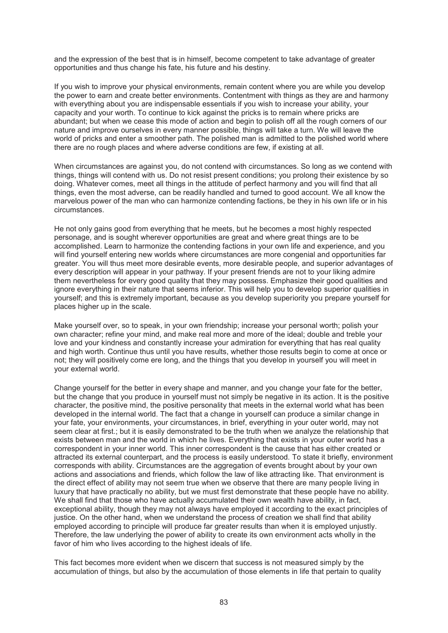and the expression of the best that is in himself, become competent to take advantage of greater opportunities and thus change his fate, his future and his destiny.

If you wish to improve your physical environments, remain content where you are while you develop the power to earn and create better environments. Contentment with things as they are and harmony with everything about you are indispensable essentials if you wish to increase your ability, your capacity and your worth. To continue to kick against the pricks is to remain where pricks are abundant; but when we cease this mode of action and begin to polish off all the rough corners of our nature and improve ourselves in every manner possible, things will take a turn. We will leave the world of pricks and enter a smoother path. The polished man is admitted to the polished world where there are no rough places and where adverse conditions are few, if existing at all.

When circumstances are against you, do not contend with circumstances. So long as we contend with things, things will contend with us. Do not resist present conditions; you prolong their existence by so doing. Whatever comes, meet all things in the attitude of perfect harmony and you will find that all things, even the most adverse, can be readily handled and turned to good account. We all know the marvelous power of the man who can harmonize contending factions, be they in his own life or in his circumstances.

He not only gains good from everything that he meets, but he becomes a most highly respected personage, and is sought wherever opportunities are great and where great things are to be accomplished. Learn to harmonize the contending factions in your own life and experience, and you will find yourself entering new worlds where circumstances are more congenial and opportunities far greater. You will thus meet more desirable events, more desirable people, and superior advantages of every description will appear in your pathway. If your present friends are not to your liking admire them nevertheless for every good quality that they may possess. Emphasize their good qualities and ignore everything in their nature that seems inferior. This will help you to develop superior qualities in yourself; and this is extremely important, because as you develop superiority you prepare yourself for places higher up in the scale.

Make yourself over, so to speak, in your own friendship; increase your personal worth; polish your own character; refine your mind, and make real more and more of the ideal; double and treble your love and your kindness and constantly increase your admiration for everything that has real quality and high worth. Continue thus until you have results, whether those results begin to come at once or not; they will positively come ere long, and the things that you develop in yourself you will meet in your external world.

Change yourself for the better in every shape and manner, and you change your fate for the better, but the change that you produce in yourself must not simply be negative in its action. It is the positive character, the positive mind, the positive personality that meets in the external world what has been developed in the internal world. The fact that a change in yourself can produce a similar change in your fate, your environments, your circumstances, in brief, everything in your outer world, may not seem clear at first.; but it is easily demonstrated to be the truth when we analyze the relationship that exists between man and the world in which he lives. Everything that exists in your outer world has a correspondent in your inner world. This inner correspondent is the cause that has either created or attracted its external counterpart, and the process is easily understood. To state it briefly, environment corresponds with ability. Circumstances are the aggregation of events brought about by your own actions and associations and friends, which follow the law of like attracting like. That environment is the direct effect of ability may not seem true when we observe that there are many people living in luxury that have practically no ability, but we must first demonstrate that these people have no ability. We shall find that those who have actually accumulated their own wealth have ability, in fact, exceptional ability, though they may not always have employed it according to the exact principles of justice. On the other hand, when we understand the process of creation we shall find that ability employed according to principle will produce far greater results than when it is employed unjustly. Therefore, the law underlying the power of ability to create its own environment acts wholly in the favor of him who lives according to the highest ideals of life.

This fact becomes more evident when we discern that success is not measured simply by the accumulation of things, but also by the accumulation of those elements in life that pertain to quality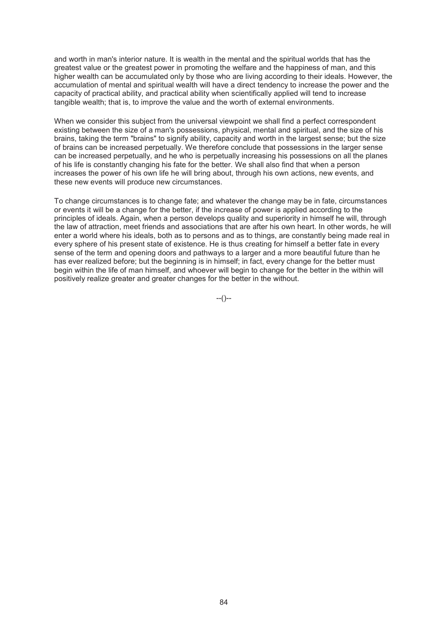and worth in man's interior nature. It is wealth in the mental and the spiritual worlds that has the greatest value or the greatest power in promoting the welfare and the happiness of man, and this higher wealth can be accumulated only by those who are living according to their ideals. However, the accumulation of mental and spiritual wealth will have a direct tendency to increase the power and the capacity of practical ability, and practical ability when scientifically applied will tend to increase tangible wealth; that is, to improve the value and the worth of external environments.

When we consider this subject from the universal viewpoint we shall find a perfect correspondent existing between the size of a man's possessions, physical, mental and spiritual, and the size of his brains, taking the term "brains" to signify ability, capacity and worth in the largest sense; but the size of brains can be increased perpetually. We therefore conclude that possessions in the larger sense can be increased perpetually, and he who is perpetually increasing his possessions on all the planes of his life is constantly changing his fate for the better. We shall also find that when a person increases the power of his own life he will bring about, through his own actions, new events, and these new events will produce new circumstances.

To change circumstances is to change fate; and whatever the change may be in fate, circumstances or events it will be a change for the better, if the increase of power is applied according to the principles of ideals. Again, when a person develops quality and superiority in himself he will, through the law of attraction, meet friends and associations that are after his own heart. In other words, he will enter a world where his ideals, both as to persons and as to things, are constantly being made real in every sphere of his present state of existence. He is thus creating for himself a better fate in every sense of the term and opening doors and pathways to a larger and a more beautiful future than he has ever realized before; but the beginning is in himself; in fact, every change for the better must begin within the life of man himself, and whoever will begin to change for the better in the within will positively realize greater and greater changes for the better in the without.

--()--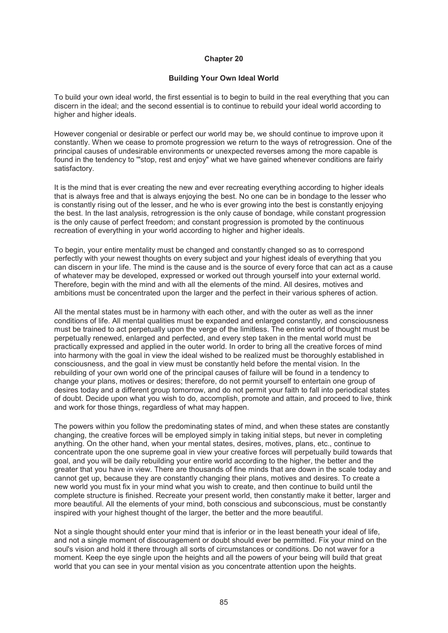#### **Building Your Own Ideal World**

To build your own ideal world, the first essential is to begin to build in the real everything that you can discern in the ideal; and the second essential is to continue to rebuild your ideal world according to higher and higher ideals.

However congenial or desirable or perfect our world may be, we should continue to improve upon it constantly. When we cease to promote progression we return to the ways of retrogression. One of the principal causes of undesirable environments or unexpected reverses among the more capable is found in the tendency to '"stop, rest and enjoy" what we have gained whenever conditions are fairly satisfactory.

It is the mind that is ever creating the new and ever recreating everything according to higher ideals that is always free and that is always enjoying the best. No one can be in bondage to the lesser who is constantly rising out of the lesser, and he who is ever growing into the best is constantly enjoying the best. In the last analysis, retrogression is the only cause of bondage, while constant progression is the only cause of perfect freedom; and constant progression is promoted by the continuous recreation of everything in your world according to higher and higher ideals.

To begin, your entire mentality must be changed and constantly changed so as to correspond perfectly with your newest thoughts on every subject and your highest ideals of everything that you can discern in your life. The mind is the cause and is the source of every force that can act as a cause of whatever may be developed, expressed or worked out through yourself into your external world. Therefore, begin with the mind and with all the elements of the mind. All desires, motives and ambitions must be concentrated upon the larger and the perfect in their various spheres of action.

All the mental states must be in harmony with each other, and with the outer as well as the inner conditions of life. All mental qualities must be expanded and enlarged constantly, and consciousness must be trained to act perpetually upon the verge of the limitless. The entire world of thought must be perpetually renewed, enlarged and perfected, and every step taken in the mental world must be practically expressed and applied in the outer world. In order to bring all the creative forces of mind into harmony with the goal in view the ideal wished to be realized must be thoroughly established in consciousness, and the goal in view must be constantly held before the mental vision. In the rebuilding of your own world one of the principal causes of failure will be found in a tendency to change your plans, motives or desires; therefore, do not permit yourself to entertain one group of desires today and a different group tomorrow, and do not permit your faith to fall into periodical states of doubt. Decide upon what you wish to do, accomplish, promote and attain, and proceed to live, think and work for those things, regardless of what may happen.

The powers within you follow the predominating states of mind, and when these states are constantly changing, the creative forces will be employed simply in taking initial steps, but never in completing anything. On the other hand, when your mental states, desires, motives, plans, etc., continue to concentrate upon the one supreme goal in view your creative forces will perpetually build towards that goal, and you will be daily rebuilding your entire world according to the higher, the better and the greater that you have in view. There are thousands of fine minds that are down in the scale today and cannot get up, because they are constantly changing their plans, motives and desires. To create a new world you must fix in your mind what you wish to create, and then continue to build until the complete structure is finished. Recreate your present world, then constantly make it better, larger and more beautiful. All the elements of your mind, both conscious and subconscious, must be constantly inspired with your highest thought of the larger, the better and the more beautiful.

Not a single thought should enter your mind that is inferior or in the least beneath your ideal of life, and not a single moment of discouragement or doubt should ever be permitted. Fix your mind on the soul's vision and hold it there through all sorts of circumstances or conditions. Do not waver for a moment. Keep the eye single upon the heights and all the powers of your being will build that great world that you can see in your mental vision as you concentrate attention upon the heights.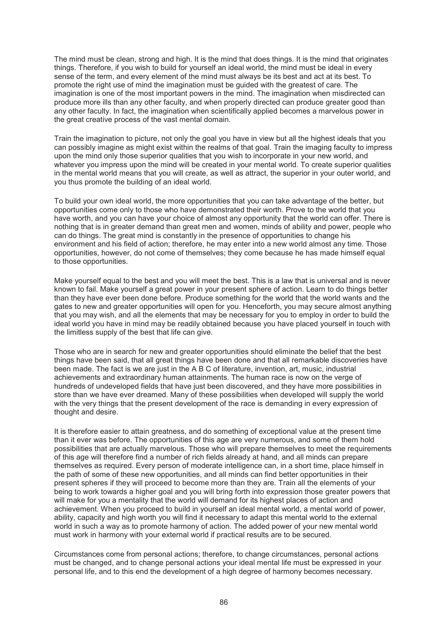The mind must be clean, strong and high. It is the mind that does things. It is the mind that originates things. Therefore, if you wish to build for yourself an ideal world, the mind must be ideal in every sense of the term, and every element of the mind must always be its best and act at its best. To promote the right use of mind the imagination must be guided with the greatest of care. The imagination is one of the most important powers in the mind. The imagination when misdirected can produce more ills than any other faculty, and when properly directed can produce greater good than any other faculty. In fact, the imagination when scientifically applied becomes a marvelous power in the great creative process of the vast mental domain.

Train the imagination to picture, not only the goal you have in view but all the highest ideals that you can possibly imagine as might exist within the realms of that goal. Train the imaging faculty to impress upon the mind only those superior qualities that you wish to incorporate in your new world, and whatever you impress upon the mind will be created in your mental world. To create superior qualities in the mental world means that you will create, as well as attract, the superior in your outer world, and you thus promote the building of an ideal world.

To build your own ideal world, the more opportunities that you can take advantage of the better, but opportunities come only to those who have demonstrated their worth. Prove to the world that you have worth, and you can have your choice of almost any opportunity that the world can offer. There is nothing that is in greater demand than great men and women, minds of ability and power, people who can do things. The great mind is constantly in the presence of opportunities to change his environment and his field of action; therefore, he may enter into a new world almost any time. Those opportunities, however, do not come of themselves; they come because he has made himself equal to those opportunities.

Make yourself equal to the best and you will meet the best. This is a law that is universal and is never known to fail. Make yourself a great power in your present sphere of action. Learn to do things better than they have ever been done before. Produce something for the world that the world wants and the gates to new and greater opportunities will open for you. Henceforth, you may secure almost anything that you may wish, and all the elements that may be necessary for you to employ in order to build the ideal world you have in mind may be readily obtained because you have placed yourself in touch with the limitless supply of the best that life can give.

Those who are in search for new and greater opportunities should eliminate the belief that the best things have been said, that all great things have been done and that all remarkable discoveries have been made. The fact is we are just in the A B C of literature, invention, art, music, industrial achievements and extraordinary human attainments. The human race is now on the verge of hundreds of undeveloped fields that have just been discovered, and they have more possibilities in store than we have ever dreamed. Many of these possibilities when developed will supply the world with the very things that the present development of the race is demanding in every expression of thought and desire.

It is therefore easier to attain greatness, and do something of exceptional value at the present time than it ever was before. The opportunities of this age are very numerous, and some of them hold possibilities that are actually marvelous. Those who will prepare themselves to meet the requirements of this age will therefore find a number of rich fields already at hand, and all minds can prepare themselves as required. Every person of moderate intelligence can, in a short time, place himself in the path of some of these new opportunities, and all minds can find better opportunities in their present spheres if they will proceed to become more than they are. Train all the elements of your being to work towards a higher goal and you will bring forth into expression those greater powers that will make for you a mentality that the world will demand for its highest places of action and achievement. When you proceed to build in yourself an ideal mental world, a mental world of power, ability, capacity and high worth you will find it necessary to adapt this mental world to the external world in such a way as to promote harmony of action. The added power of your new mental world must work in harmony with your external world if practical results are to be secured.

Circumstances come from personal actions; therefore, to change circumstances, personal actions must be changed, and to change personal actions your ideal mental life must be expressed in your personal life, and to this end the development of a high degree of harmony becomes necessary.